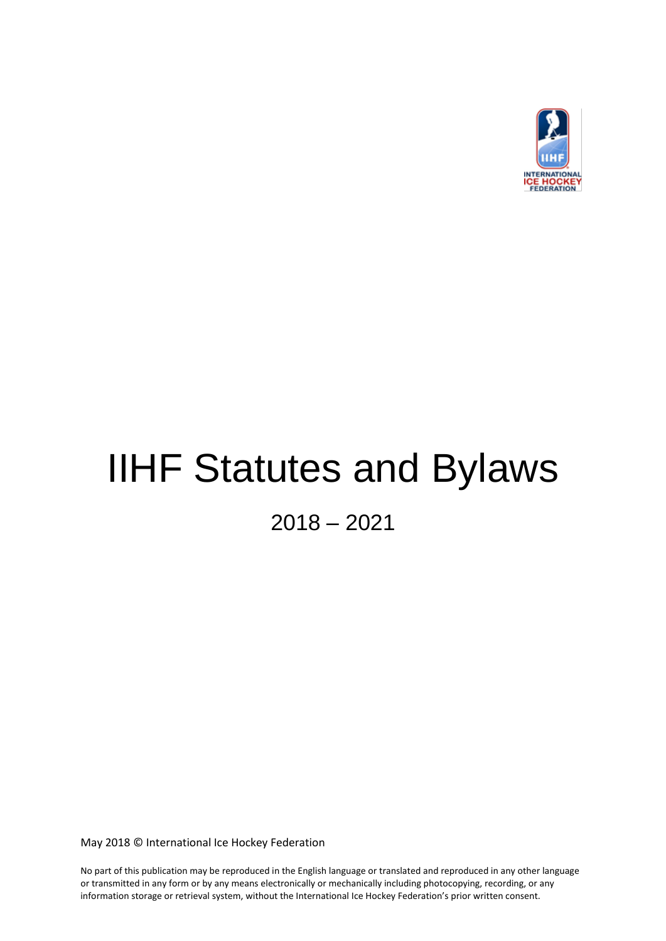

# IIHF Statutes and Bylaws

2018 – 2021

May 2018 © International Ice Hockey Federation

No part of this publication may be reproduced in the English language or translated and reproduced in any other language or transmitted in any form or by any means electronically or mechanically including photocopying, recording, or any information storage or retrieval system, without the International Ice Hockey Federation's prior written consent.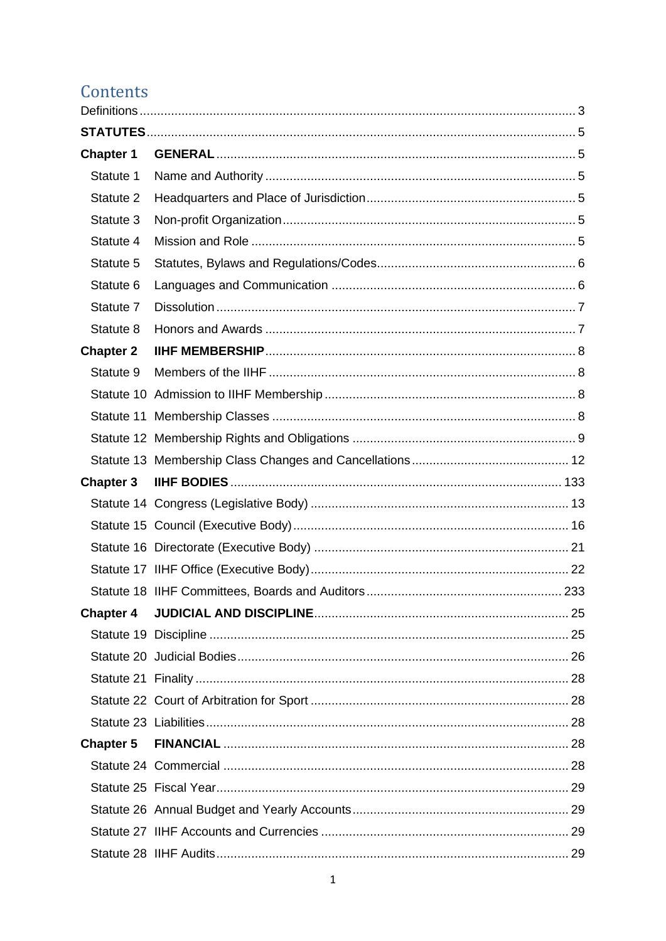# Contents

| <b>Chapter 1</b> |  |
|------------------|--|
| Statute 1        |  |
| Statute 2        |  |
| Statute 3        |  |
| Statute 4        |  |
| Statute 5        |  |
| Statute 6        |  |
| Statute 7        |  |
| Statute 8        |  |
| <b>Chapter 2</b> |  |
| Statute 9        |  |
|                  |  |
|                  |  |
|                  |  |
|                  |  |
| <b>Chapter 3</b> |  |
|                  |  |
|                  |  |
|                  |  |
|                  |  |
|                  |  |
| <b>Chapter 4</b> |  |
|                  |  |
|                  |  |
|                  |  |
|                  |  |
|                  |  |
| <b>Chapter 5</b> |  |
|                  |  |
|                  |  |
|                  |  |
|                  |  |
|                  |  |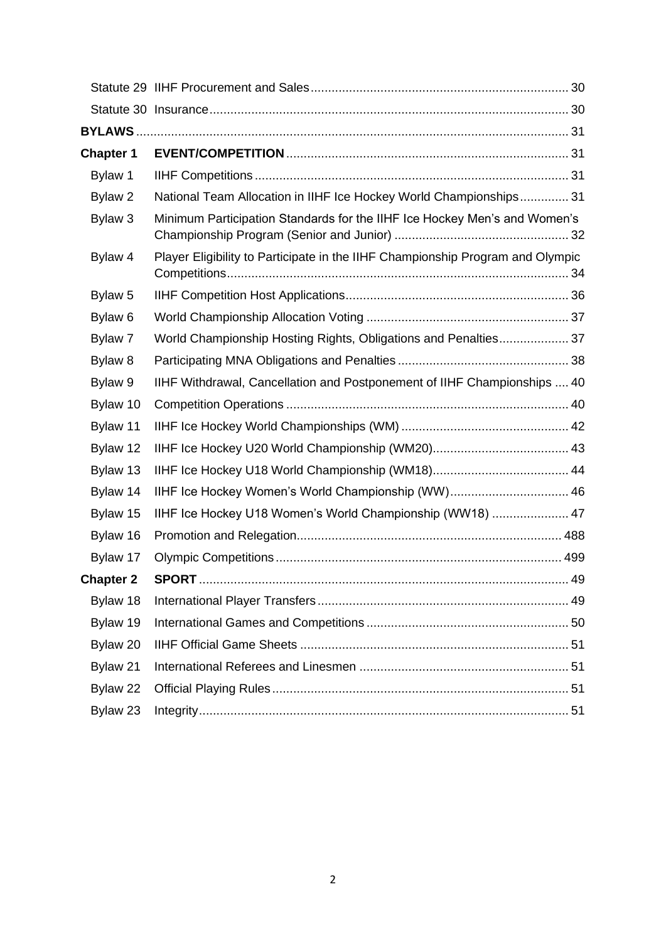| <b>Chapter 1</b>   |                                                                                |  |
|--------------------|--------------------------------------------------------------------------------|--|
| Bylaw 1            |                                                                                |  |
| Bylaw <sub>2</sub> | National Team Allocation in IIHF Ice Hockey World Championships 31             |  |
| Bylaw 3            | Minimum Participation Standards for the IIHF Ice Hockey Men's and Women's      |  |
| Bylaw 4            | Player Eligibility to Participate in the IIHF Championship Program and Olympic |  |
| Bylaw 5            |                                                                                |  |
| Bylaw <sub>6</sub> |                                                                                |  |
| Bylaw 7            | World Championship Hosting Rights, Obligations and Penalties 37                |  |
| Bylaw 8            |                                                                                |  |
| Bylaw 9            | IIHF Withdrawal, Cancellation and Postponement of IIHF Championships  40       |  |
| Bylaw 10           |                                                                                |  |
| Bylaw 11           |                                                                                |  |
| Bylaw 12           |                                                                                |  |
| Bylaw 13           |                                                                                |  |
| Bylaw 14           | IIHF Ice Hockey Women's World Championship (WW) 46                             |  |
| Bylaw 15           | IIHF Ice Hockey U18 Women's World Championship (WW18)  47                      |  |
| Bylaw 16           |                                                                                |  |
| Bylaw 17           |                                                                                |  |
| <b>Chapter 2</b>   |                                                                                |  |
| Bylaw 18           |                                                                                |  |
| Bylaw 19           |                                                                                |  |
| Bylaw 20           |                                                                                |  |
| Bylaw 21           |                                                                                |  |
| Bylaw 22           |                                                                                |  |
| Bylaw 23           |                                                                                |  |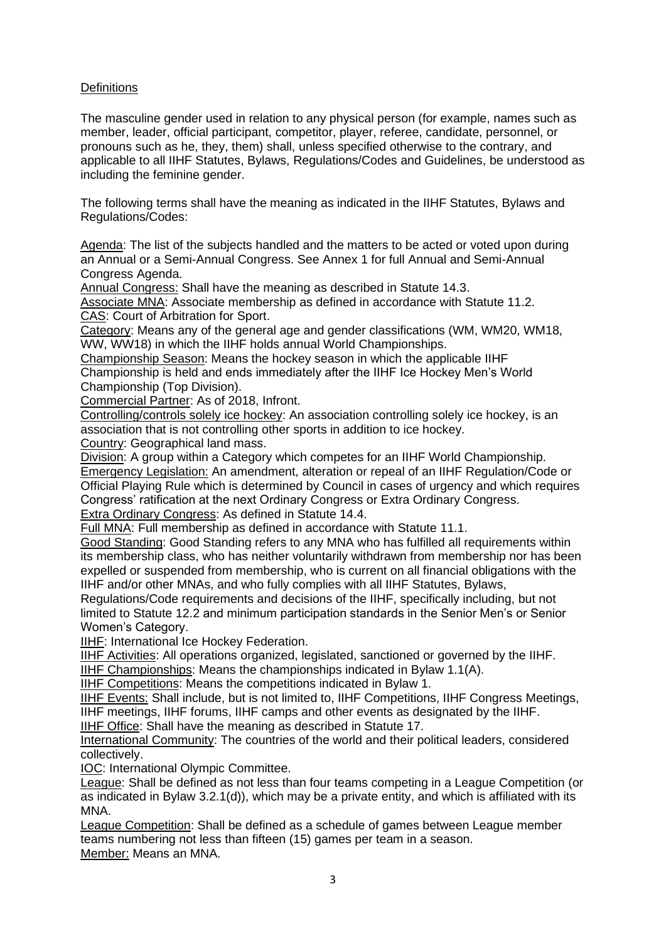# <span id="page-3-0"></span>**Definitions**

The masculine gender used in relation to any physical person (for example, names such as member, leader, official participant, competitor, player, referee, candidate, personnel, or pronouns such as he, they, them) shall, unless specified otherwise to the contrary, and applicable to all IIHF Statutes, Bylaws, Regulations/Codes and Guidelines, be understood as including the feminine gender.

The following terms shall have the meaning as indicated in the IIHF Statutes, Bylaws and Regulations/Codes:

Agenda: The list of the subjects handled and the matters to be acted or voted upon during an Annual or a Semi-Annual Congress. See Annex 1 for full Annual and Semi-Annual Congress Agenda.

Annual Congress: Shall have the meaning as described in Statute 14.3.

Associate MNA: Associate membership as defined in accordance with Statute 11.2. CAS: Court of Arbitration for Sport.

Category: Means any of the general age and gender classifications (WM, WM20, WM18, WW, WW18) in which the IIHF holds annual World Championships.

Championship Season: Means the hockey season in which the applicable IIHF Championship is held and ends immediately after the IIHF Ice Hockey Men's World Championship (Top Division).

Commercial Partner: As of 2018, Infront.

Controlling/controls solely ice hockey: An association controlling solely ice hockey, is an association that is not controlling other sports in addition to ice hockey.

Country: Geographical land mass.

Division: A group within a Category which competes for an IIHF World Championship. Emergency Legislation: An amendment, alteration or repeal of an IIHF Regulation/Code or Official Playing Rule which is determined by Council in cases of urgency and which requires Congress' ratification at the next Ordinary Congress or Extra Ordinary Congress. Extra Ordinary Congress: As defined in Statute 14.4.

Full MNA: Full membership as defined in accordance with Statute 11.1.

Good Standing: Good Standing refers to any MNA who has fulfilled all requirements within its membership class, who has neither voluntarily withdrawn from membership nor has been expelled or suspended from membership, who is current on all financial obligations with the IIHF and/or other MNAs, and who fully complies with all IIHF Statutes, Bylaws,

Regulations/Code requirements and decisions of the IIHF, specifically including, but not limited to Statute 12.2 and minimum participation standards in the Senior Men's or Senior Women's Category.

IIHF: International Ice Hockey Federation.

IIHF Activities: All operations organized, legislated, sanctioned or governed by the IIHF.

IIHF Championships: Means the championships indicated in Bylaw 1.1(A).

IIHF Competitions: Means the competitions indicated in Bylaw 1.

IIHF Events: Shall include, but is not limited to, IIHF Competitions, IIHF Congress Meetings, IIHF meetings, IIHF forums, IIHF camps and other events as designated by the IIHF.

**IIHF Office: Shall have the meaning as described in Statute 17.** 

International Community: The countries of the world and their political leaders, considered collectively.

IOC: International Olympic Committee.

League: Shall be defined as not less than four teams competing in a League Competition (or as indicated in Bylaw 3.2.1(d)), which may be a private entity, and which is affiliated with its MNA.

League Competition: Shall be defined as a schedule of games between League member teams numbering not less than fifteen (15) games per team in a season. Member: Means an MNA.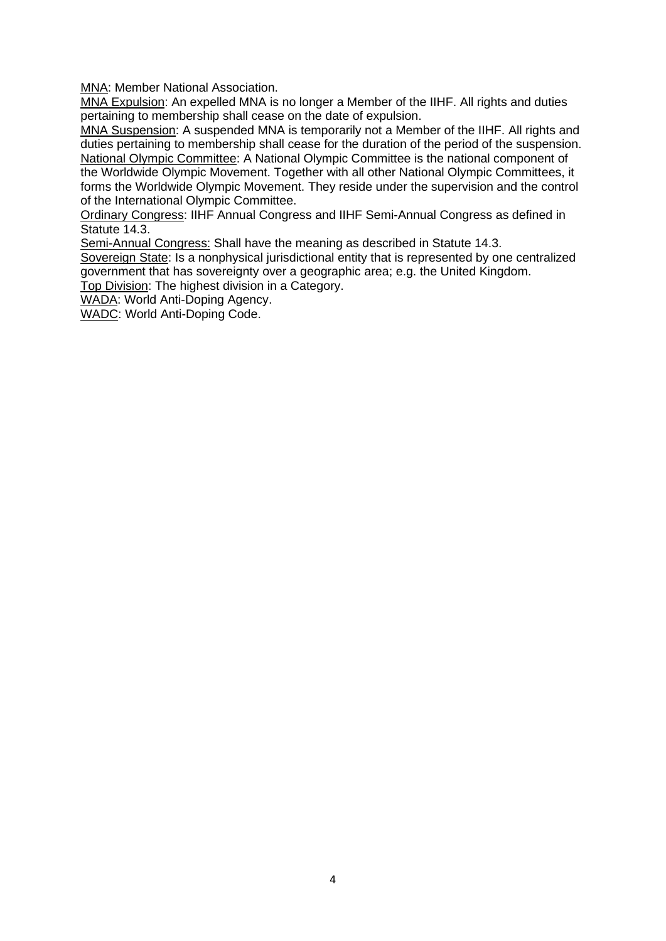MNA: Member National Association.

MNA Expulsion: An expelled MNA is no longer a Member of the IIHF. All rights and duties pertaining to membership shall cease on the date of expulsion.

MNA Suspension: A suspended MNA is temporarily not a Member of the IIHF. All rights and duties pertaining to membership shall cease for the duration of the period of the suspension. National Olympic Committee: A National Olympic Committee is the national component of the Worldwide Olympic Movement. Together with all other National Olympic Committees, it forms the Worldwide Olympic Movement. They reside under the supervision and the control of the International Olympic Committee.

Ordinary Congress: IIHF Annual Congress and IIHF Semi-Annual Congress as defined in Statute 14.3.

Semi-Annual Congress: Shall have the meaning as described in Statute 14.3.

Sovereign State: Is a nonphysical jurisdictional entity that is represented by one centralized government that has sovereignty over a geographic area; e.g. the United Kingdom.

Top Division: The highest division in a Category.

WADA: World Anti-Doping Agency.

WADC: World Anti-Doping Code.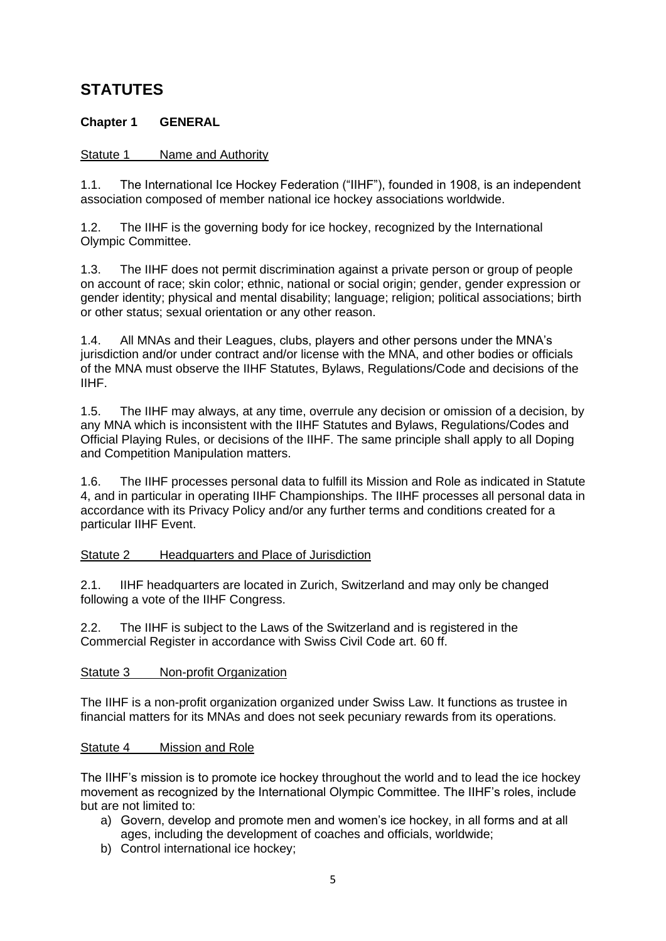# <span id="page-5-0"></span>**STATUTES**

# <span id="page-5-1"></span>**Chapter 1 GENERAL**

# <span id="page-5-2"></span>Statute 1 Name and Authority

1.1. The International Ice Hockey Federation ("IIHF"), founded in 1908, is an independent association composed of member national ice hockey associations worldwide.

1.2. The IIHF is the governing body for ice hockey, recognized by the International Olympic Committee.

1.3. The IIHF does not permit discrimination against a private person or group of people on account of race; skin color; ethnic, national or social origin; gender, gender expression or gender identity; physical and mental disability; language; religion; political associations; birth or other status; sexual orientation or any other reason.

1.4. All MNAs and their Leagues, clubs, players and other persons under the MNA's jurisdiction and/or under contract and/or license with the MNA, and other bodies or officials of the MNA must observe the IIHF Statutes, Bylaws, Regulations/Code and decisions of the IIHF.

1.5. The IIHF may always, at any time, overrule any decision or omission of a decision, by any MNA which is inconsistent with the IIHF Statutes and Bylaws, Regulations/Codes and Official Playing Rules, or decisions of the IIHF. The same principle shall apply to all Doping and Competition Manipulation matters.

1.6. The IIHF processes personal data to fulfill its Mission and Role as indicated in Statute 4, and in particular in operating IIHF Championships. The IIHF processes all personal data in accordance with its Privacy Policy and/or any further terms and conditions created for a particular IIHF Event.

# <span id="page-5-3"></span>Statute 2 Headquarters and Place of Jurisdiction

2.1. IIHF headquarters are located in Zurich, Switzerland and may only be changed following a vote of the IIHF Congress.

2.2. The IIHF is subject to the Laws of the Switzerland and is registered in the Commercial Register in accordance with Swiss Civil Code art. 60 ff.

# <span id="page-5-4"></span>Statute 3 Non-profit Organization

The IIHF is a non-profit organization organized under Swiss Law. It functions as trustee in financial matters for its MNAs and does not seek pecuniary rewards from its operations.

# <span id="page-5-5"></span>Statute 4 Mission and Role

The IIHF's mission is to promote ice hockey throughout the world and to lead the ice hockey movement as recognized by the International Olympic Committee. The IIHF's roles, include but are not limited to:

- a) Govern, develop and promote men and women's ice hockey, in all forms and at all ages, including the development of coaches and officials, worldwide;
- b) Control international ice hockey;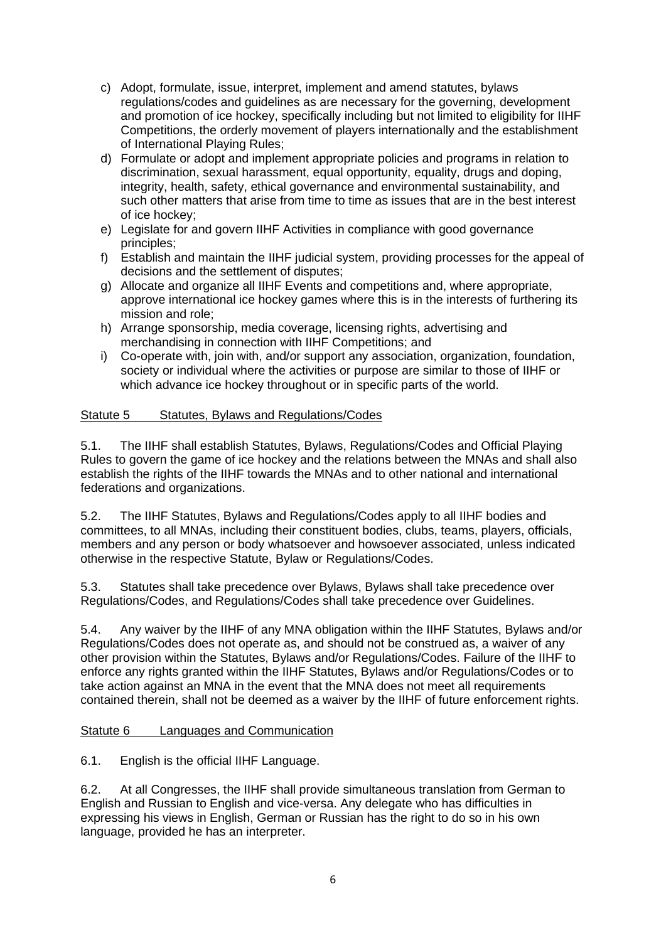- c) Adopt, formulate, issue, interpret, implement and amend statutes, bylaws regulations/codes and guidelines as are necessary for the governing, development and promotion of ice hockey, specifically including but not limited to eligibility for IIHF Competitions, the orderly movement of players internationally and the establishment of International Playing Rules;
- d) Formulate or adopt and implement appropriate policies and programs in relation to discrimination, sexual harassment, equal opportunity, equality, drugs and doping, integrity, health, safety, ethical governance and environmental sustainability, and such other matters that arise from time to time as issues that are in the best interest of ice hockey;
- e) Legislate for and govern IIHF Activities in compliance with good governance principles;
- f) Establish and maintain the IIHF judicial system, providing processes for the appeal of decisions and the settlement of disputes;
- g) Allocate and organize all IIHF Events and competitions and, where appropriate, approve international ice hockey games where this is in the interests of furthering its mission and role;
- h) Arrange sponsorship, media coverage, licensing rights, advertising and merchandising in connection with IIHF Competitions; and
- i) Co-operate with, join with, and/or support any association, organization, foundation, society or individual where the activities or purpose are similar to those of IIHF or which advance ice hockey throughout or in specific parts of the world.

# <span id="page-6-0"></span>Statute 5 Statutes, Bylaws and Regulations/Codes

5.1. The IIHF shall establish Statutes, Bylaws, Regulations/Codes and Official Playing Rules to govern the game of ice hockey and the relations between the MNAs and shall also establish the rights of the IIHF towards the MNAs and to other national and international federations and organizations.

5.2. The IIHF Statutes, Bylaws and Regulations/Codes apply to all IIHF bodies and committees, to all MNAs, including their constituent bodies, clubs, teams, players, officials, members and any person or body whatsoever and howsoever associated, unless indicated otherwise in the respective Statute, Bylaw or Regulations/Codes.

5.3. Statutes shall take precedence over Bylaws, Bylaws shall take precedence over Regulations/Codes, and Regulations/Codes shall take precedence over Guidelines.

5.4. Any waiver by the IIHF of any MNA obligation within the IIHF Statutes, Bylaws and/or Regulations/Codes does not operate as, and should not be construed as, a waiver of any other provision within the Statutes, Bylaws and/or Regulations/Codes. Failure of the IIHF to enforce any rights granted within the IIHF Statutes, Bylaws and/or Regulations/Codes or to take action against an MNA in the event that the MNA does not meet all requirements contained therein, shall not be deemed as a waiver by the IIHF of future enforcement rights.

# <span id="page-6-1"></span>Statute 6 Languages and Communication

6.1. English is the official IIHF Language.

6.2. At all Congresses, the IIHF shall provide simultaneous translation from German to English and Russian to English and vice-versa. Any delegate who has difficulties in expressing his views in English, German or Russian has the right to do so in his own language, provided he has an interpreter.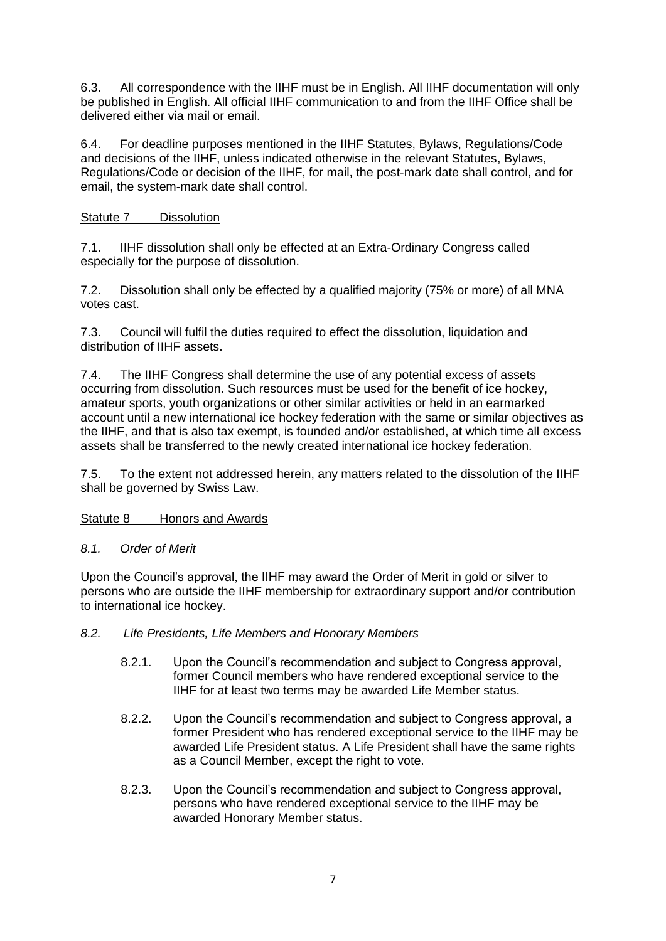6.3. All correspondence with the IIHF must be in English. All IIHF documentation will only be published in English. All official IIHF communication to and from the IIHF Office shall be delivered either via mail or email.

6.4. For deadline purposes mentioned in the IIHF Statutes, Bylaws, Regulations/Code and decisions of the IIHF, unless indicated otherwise in the relevant Statutes, Bylaws, Regulations/Code or decision of the IIHF, for mail, the post-mark date shall control, and for email, the system-mark date shall control.

<span id="page-7-0"></span>Statute 7 Dissolution

7.1. IIHF dissolution shall only be effected at an Extra-Ordinary Congress called especially for the purpose of dissolution.

7.2. Dissolution shall only be effected by a qualified majority (75% or more) of all MNA votes cast.

7.3. Council will fulfil the duties required to effect the dissolution, liquidation and distribution of IIHF assets.

7.4. The IIHF Congress shall determine the use of any potential excess of assets occurring from dissolution. Such resources must be used for the benefit of ice hockey, amateur sports, youth organizations or other similar activities or held in an earmarked account until a new international ice hockey federation with the same or similar objectives as the IIHF, and that is also tax exempt, is founded and/or established, at which time all excess assets shall be transferred to the newly created international ice hockey federation.

7.5. To the extent not addressed herein, any matters related to the dissolution of the IIHF shall be governed by Swiss Law.

<span id="page-7-1"></span>Statute 8 Honors and Awards

# *8.1. Order of Merit*

Upon the Council's approval, the IIHF may award the Order of Merit in gold or silver to persons who are outside the IIHF membership for extraordinary support and/or contribution to international ice hockey.

- *8.2. Life Presidents, Life Members and Honorary Members*
	- 8.2.1. Upon the Council's recommendation and subject to Congress approval, former Council members who have rendered exceptional service to the IIHF for at least two terms may be awarded Life Member status.
	- 8.2.2. Upon the Council's recommendation and subject to Congress approval, a former President who has rendered exceptional service to the IIHF may be awarded Life President status. A Life President shall have the same rights as a Council Member, except the right to vote.
	- 8.2.3. Upon the Council's recommendation and subject to Congress approval, persons who have rendered exceptional service to the IIHF may be awarded Honorary Member status.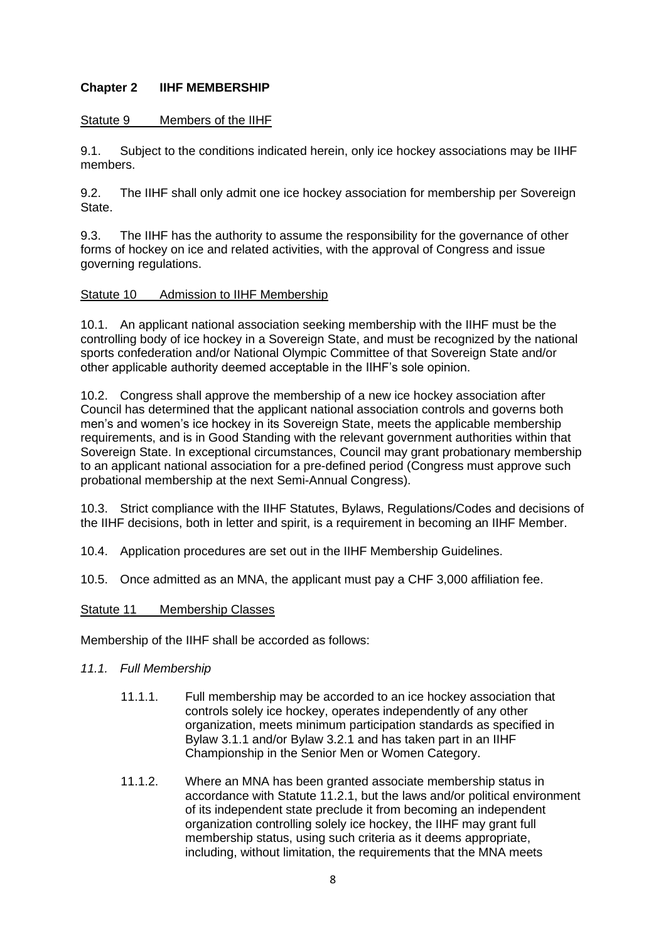# <span id="page-8-0"></span>**Chapter 2 IIHF MEMBERSHIP**

# <span id="page-8-1"></span>Statute 9 Members of the IIHF

9.1. Subject to the conditions indicated herein, only ice hockey associations may be IIHF members.

9.2. The IIHF shall only admit one ice hockey association for membership per Sovereign State.

9.3. The IIHF has the authority to assume the responsibility for the governance of other forms of hockey on ice and related activities, with the approval of Congress and issue governing regulations.

# <span id="page-8-2"></span>Statute 10 Admission to IIHF Membership

10.1. An applicant national association seeking membership with the IIHF must be the controlling body of ice hockey in a Sovereign State, and must be recognized by the national sports confederation and/or National Olympic Committee of that Sovereign State and/or other applicable authority deemed acceptable in the IIHF's sole opinion.

10.2. Congress shall approve the membership of a new ice hockey association after Council has determined that the applicant national association controls and governs both men's and women's ice hockey in its Sovereign State, meets the applicable membership requirements, and is in Good Standing with the relevant government authorities within that Sovereign State. In exceptional circumstances, Council may grant probationary membership to an applicant national association for a pre-defined period (Congress must approve such probational membership at the next Semi-Annual Congress).

10.3. Strict compliance with the IIHF Statutes, Bylaws, Regulations/Codes and decisions of the IIHF decisions, both in letter and spirit, is a requirement in becoming an IIHF Member.

- 10.4. Application procedures are set out in the IIHF Membership Guidelines.
- 10.5. Once admitted as an MNA, the applicant must pay a CHF 3,000 affiliation fee.

### <span id="page-8-3"></span>Statute 11 Membership Classes

Membership of the IIHF shall be accorded as follows:

- *11.1. Full Membership* 
	- 11.1.1. Full membership may be accorded to an ice hockey association that controls solely ice hockey, operates independently of any other organization, meets minimum participation standards as specified in Bylaw 3.1.1 and/or Bylaw 3.2.1 and has taken part in an IIHF Championship in the Senior Men or Women Category.
	- 11.1.2. Where an MNA has been granted associate membership status in accordance with Statute 11.2.1, but the laws and/or political environment of its independent state preclude it from becoming an independent organization controlling solely ice hockey, the IIHF may grant full membership status, using such criteria as it deems appropriate, including, without limitation, the requirements that the MNA meets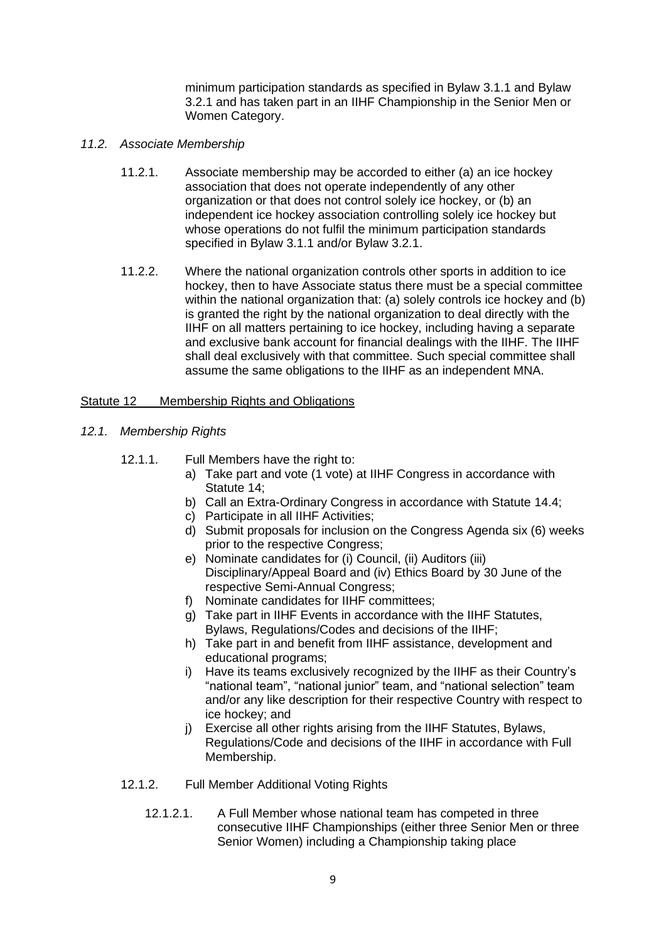minimum participation standards as specified in Bylaw 3.1.1 and Bylaw 3.2.1 and has taken part in an IIHF Championship in the Senior Men or Women Category.

- *11.2. Associate Membership*
	- 11.2.1. Associate membership may be accorded to either (a) an ice hockey association that does not operate independently of any other organization or that does not control solely ice hockey, or (b) an independent ice hockey association controlling solely ice hockey but whose operations do not fulfil the minimum participation standards specified in Bylaw 3.1.1 and/or Bylaw 3.2.1.
	- 11.2.2. Where the national organization controls other sports in addition to ice hockey, then to have Associate status there must be a special committee within the national organization that: (a) solely controls ice hockey and (b) is granted the right by the national organization to deal directly with the IIHF on all matters pertaining to ice hockey, including having a separate and exclusive bank account for financial dealings with the IIHF. The IIHF shall deal exclusively with that committee. Such special committee shall assume the same obligations to the IIHF as an independent MNA.

### <span id="page-9-0"></span>Statute 12 Membership Rights and Obligations

- *12.1. Membership Rights*
	- 12.1.1. Full Members have the right to:
		- a) Take part and vote (1 vote) at IIHF Congress in accordance with Statute 14;
		- b) Call an Extra-Ordinary Congress in accordance with Statute 14.4;
		- c) Participate in all IIHF Activities;
		- d) Submit proposals for inclusion on the Congress Agenda six (6) weeks prior to the respective Congress;
		- e) Nominate candidates for (i) Council, (ii) Auditors (iii) Disciplinary/Appeal Board and (iv) Ethics Board by 30 June of the respective Semi-Annual Congress;
		- f) Nominate candidates for IIHF committees;
		- g) Take part in IIHF Events in accordance with the IIHF Statutes, Bylaws, Regulations/Codes and decisions of the IIHF;
		- h) Take part in and benefit from IIHF assistance, development and educational programs;
		- i) Have its teams exclusively recognized by the IIHF as their Country's "national team", "national junior" team, and "national selection" team and/or any like description for their respective Country with respect to ice hockey; and
		- i) Exercise all other rights arising from the IIHF Statutes, Bylaws, Regulations/Code and decisions of the IIHF in accordance with Full Membership.
	- 12.1.2. Full Member Additional Voting Rights
		- 12.1.2.1. A Full Member whose national team has competed in three consecutive IIHF Championships (either three Senior Men or three Senior Women) including a Championship taking place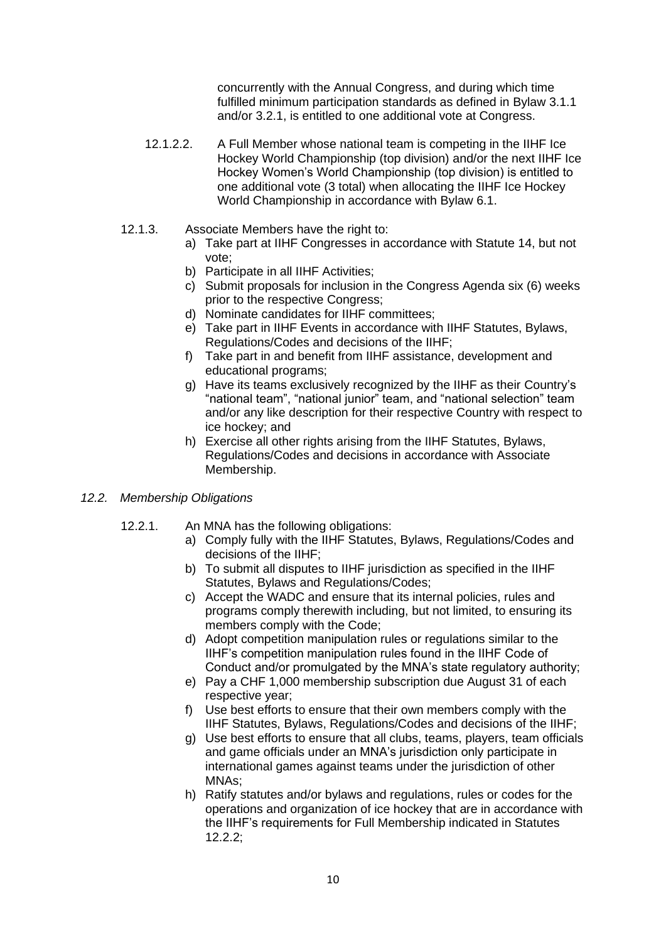concurrently with the Annual Congress, and during which time fulfilled minimum participation standards as defined in Bylaw 3.1.1 and/or 3.2.1, is entitled to one additional vote at Congress.

- 12.1.2.2. A Full Member whose national team is competing in the IIHF Ice Hockey World Championship (top division) and/or the next IIHF Ice Hockey Women's World Championship (top division) is entitled to one additional vote (3 total) when allocating the IIHF Ice Hockey World Championship in accordance with Bylaw 6.1.
- 12.1.3. Associate Members have the right to:
	- a) Take part at IIHF Congresses in accordance with Statute 14, but not vote;
	- b) Participate in all IIHF Activities;
	- c) Submit proposals for inclusion in the Congress Agenda six (6) weeks prior to the respective Congress;
	- d) Nominate candidates for IIHF committees;
	- e) Take part in IIHF Events in accordance with IIHF Statutes, Bylaws, Regulations/Codes and decisions of the IIHF;
	- f) Take part in and benefit from IIHF assistance, development and educational programs;
	- g) Have its teams exclusively recognized by the IIHF as their Country's "national team", "national junior" team, and "national selection" team and/or any like description for their respective Country with respect to ice hockey; and
	- h) Exercise all other rights arising from the IIHF Statutes, Bylaws, Regulations/Codes and decisions in accordance with Associate Membership.
- *12.2. Membership Obligations* 
	- 12.2.1. An MNA has the following obligations:
		- a) Comply fully with the IIHF Statutes, Bylaws, Regulations/Codes and decisions of the IIHF;
			- b) To submit all disputes to IIHF jurisdiction as specified in the IIHF Statutes, Bylaws and Regulations/Codes;
			- c) Accept the WADC and ensure that its internal policies, rules and programs comply therewith including, but not limited, to ensuring its members comply with the Code;
			- d) Adopt competition manipulation rules or regulations similar to the IIHF's competition manipulation rules found in the IIHF Code of Conduct and/or promulgated by the MNA's state regulatory authority;
			- e) Pay a CHF 1,000 membership subscription due August 31 of each respective year;
			- f) Use best efforts to ensure that their own members comply with the IIHF Statutes, Bylaws, Regulations/Codes and decisions of the IIHF;
			- g) Use best efforts to ensure that all clubs, teams, players, team officials and game officials under an MNA's jurisdiction only participate in international games against teams under the jurisdiction of other MNAs;
			- h) Ratify statutes and/or bylaws and regulations, rules or codes for the operations and organization of ice hockey that are in accordance with the IIHF's requirements for Full Membership indicated in Statutes 12.2.2;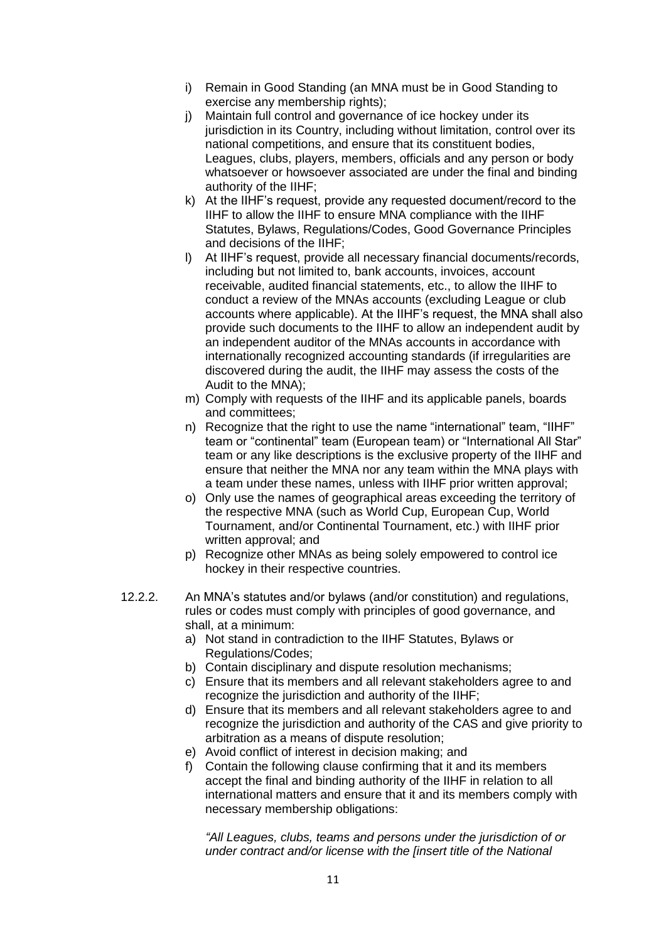- i) Remain in Good Standing (an MNA must be in Good Standing to exercise any membership rights);
- j) Maintain full control and governance of ice hockey under its jurisdiction in its Country, including without limitation, control over its national competitions, and ensure that its constituent bodies, Leagues, clubs, players, members, officials and any person or body whatsoever or howsoever associated are under the final and binding authority of the IIHF;
- k) At the IIHF's request, provide any requested document/record to the IIHF to allow the IIHF to ensure MNA compliance with the IIHF Statutes, Bylaws, Regulations/Codes, Good Governance Principles and decisions of the IIHF;
- l) At IIHF's request, provide all necessary financial documents/records, including but not limited to, bank accounts, invoices, account receivable, audited financial statements, etc., to allow the IIHF to conduct a review of the MNAs accounts (excluding League or club accounts where applicable). At the IIHF's request, the MNA shall also provide such documents to the IIHF to allow an independent audit by an independent auditor of the MNAs accounts in accordance with internationally recognized accounting standards (if irregularities are discovered during the audit, the IIHF may assess the costs of the Audit to the MNA);
- m) Comply with requests of the IIHF and its applicable panels, boards and committees;
- n) Recognize that the right to use the name "international" team, "IIHF" team or "continental" team (European team) or "International All Star" team or any like descriptions is the exclusive property of the IIHF and ensure that neither the MNA nor any team within the MNA plays with a team under these names, unless with IIHF prior written approval;
- o) Only use the names of geographical areas exceeding the territory of the respective MNA (such as World Cup, European Cup, World Tournament, and/or Continental Tournament, etc.) with IIHF prior written approval; and
- p) Recognize other MNAs as being solely empowered to control ice hockey in their respective countries.
- 12.2.2. An MNA's statutes and/or bylaws (and/or constitution) and regulations, rules or codes must comply with principles of good governance, and shall, at a minimum:
	- a) Not stand in contradiction to the IIHF Statutes, Bylaws or Regulations/Codes;
	- b) Contain disciplinary and dispute resolution mechanisms;
	- c) Ensure that its members and all relevant stakeholders agree to and recognize the jurisdiction and authority of the IIHF;
	- d) Ensure that its members and all relevant stakeholders agree to and recognize the jurisdiction and authority of the CAS and give priority to arbitration as a means of dispute resolution;
	- e) Avoid conflict of interest in decision making; and
	- f) Contain the following clause confirming that it and its members accept the final and binding authority of the IIHF in relation to all international matters and ensure that it and its members comply with necessary membership obligations:

*"All Leagues, clubs, teams and persons under the jurisdiction of or under contract and/or license with the [insert title of the National*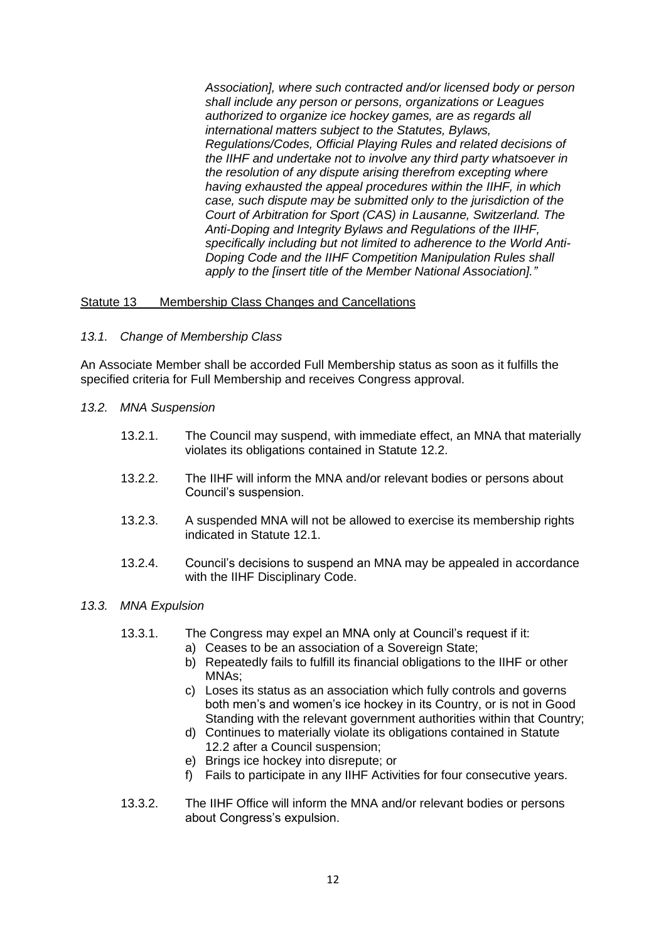*Association], where such contracted and/or licensed body or person shall include any person or persons, organizations or Leagues authorized to organize ice hockey games, are as regards all international matters subject to the Statutes, Bylaws, Regulations/Codes, Official Playing Rules and related decisions of the IIHF and undertake not to involve any third party whatsoever in the resolution of any dispute arising therefrom excepting where having exhausted the appeal procedures within the IIHF, in which case, such dispute may be submitted only to the jurisdiction of the Court of Arbitration for Sport (CAS) in Lausanne, Switzerland. The Anti-Doping and Integrity Bylaws and Regulations of the IIHF, specifically including but not limited to adherence to the World Anti-Doping Code and the IIHF Competition Manipulation Rules shall apply to the [insert title of the Member National Association]."*

### <span id="page-12-0"></span>Statute 13 Membership Class Changes and Cancellations

*13.1. Change of Membership Class*

An Associate Member shall be accorded Full Membership status as soon as it fulfills the specified criteria for Full Membership and receives Congress approval.

- *13.2. MNA Suspension*
	- 13.2.1. The Council may suspend, with immediate effect, an MNA that materially violates its obligations contained in Statute 12.2.
	- 13.2.2. The IIHF will inform the MNA and/or relevant bodies or persons about Council's suspension.
	- 13.2.3. A suspended MNA will not be allowed to exercise its membership rights indicated in Statute 12.1.
	- 13.2.4. Council's decisions to suspend an MNA may be appealed in accordance with the IIHF Disciplinary Code.

### *13.3. MNA Expulsion*

- 13.3.1. The Congress may expel an MNA only at Council's request if it:
	- a) Ceases to be an association of a Sovereign State;
	- b) Repeatedly fails to fulfill its financial obligations to the IIHF or other MNAs;
	- c) Loses its status as an association which fully controls and governs both men's and women's ice hockey in its Country, or is not in Good Standing with the relevant government authorities within that Country:
	- d) Continues to materially violate its obligations contained in Statute 12.2 after a Council suspension;
	- e) Brings ice hockey into disrepute; or
	- f) Fails to participate in any IIHF Activities for four consecutive years.
- 13.3.2. The IIHF Office will inform the MNA and/or relevant bodies or persons about Congress's expulsion.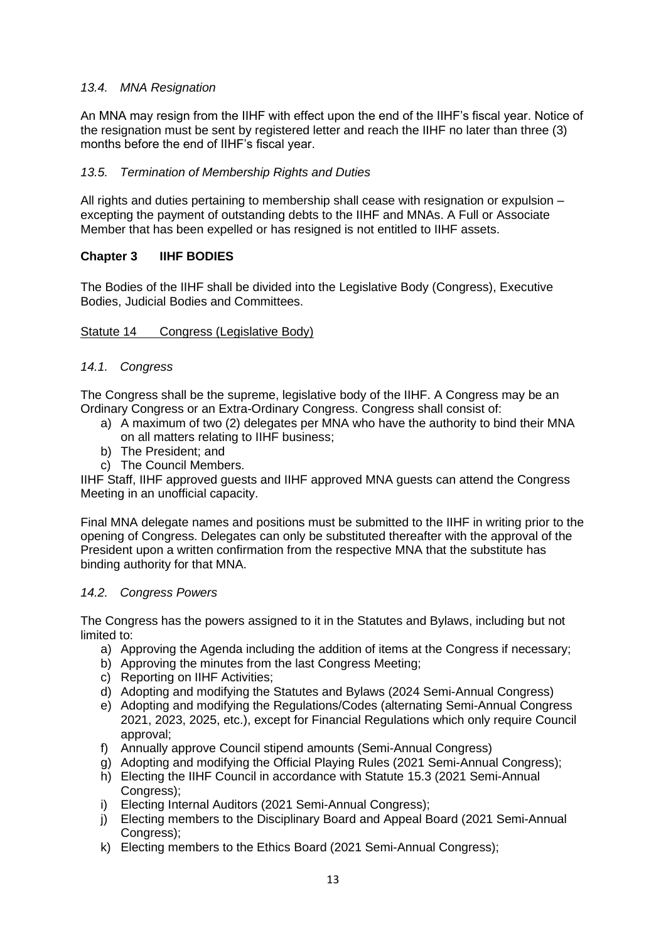# *13.4. MNA Resignation*

An MNA may resign from the IIHF with effect upon the end of the IIHF's fiscal year. Notice of the resignation must be sent by registered letter and reach the IIHF no later than three (3) months before the end of IIHF's fiscal year.

# *13.5. Termination of Membership Rights and Duties*

All rights and duties pertaining to membership shall cease with resignation or expulsion – excepting the payment of outstanding debts to the IIHF and MNAs. A Full or Associate Member that has been expelled or has resigned is not entitled to IIHF assets.

# <span id="page-13-0"></span>**Chapter 3 IIHF BODIES**

The Bodies of the IIHF shall be divided into the Legislative Body (Congress), Executive Bodies, Judicial Bodies and Committees.

# <span id="page-13-1"></span>Statute 14 Congress (Legislative Body)

### *14.1. Congress*

The Congress shall be the supreme, legislative body of the IIHF. A Congress may be an Ordinary Congress or an Extra-Ordinary Congress. Congress shall consist of:

- a) A maximum of two (2) delegates per MNA who have the authority to bind their MNA on all matters relating to IIHF business;
- b) The President; and
- c) The Council Members.

IIHF Staff, IIHF approved guests and IIHF approved MNA guests can attend the Congress Meeting in an unofficial capacity.

Final MNA delegate names and positions must be submitted to the IIHF in writing prior to the opening of Congress. Delegates can only be substituted thereafter with the approval of the President upon a written confirmation from the respective MNA that the substitute has binding authority for that MNA.

# *14.2. Congress Powers*

The Congress has the powers assigned to it in the Statutes and Bylaws, including but not limited to:

- a) Approving the Agenda including the addition of items at the Congress if necessary;
- b) Approving the minutes from the last Congress Meeting;
- c) Reporting on IIHF Activities;
- d) Adopting and modifying the Statutes and Bylaws (2024 Semi-Annual Congress)
- e) Adopting and modifying the Regulations/Codes (alternating Semi-Annual Congress 2021, 2023, 2025, etc.), except for Financial Regulations which only require Council approval;
- f) Annually approve Council stipend amounts (Semi-Annual Congress)
- g) Adopting and modifying the Official Playing Rules (2021 Semi-Annual Congress);
- h) Electing the IIHF Council in accordance with Statute 15.3 (2021 Semi-Annual Congress):
- i) Electing Internal Auditors (2021 Semi-Annual Congress);
- j) Electing members to the Disciplinary Board and Appeal Board (2021 Semi-Annual Congress):
- k) Electing members to the Ethics Board (2021 Semi-Annual Congress);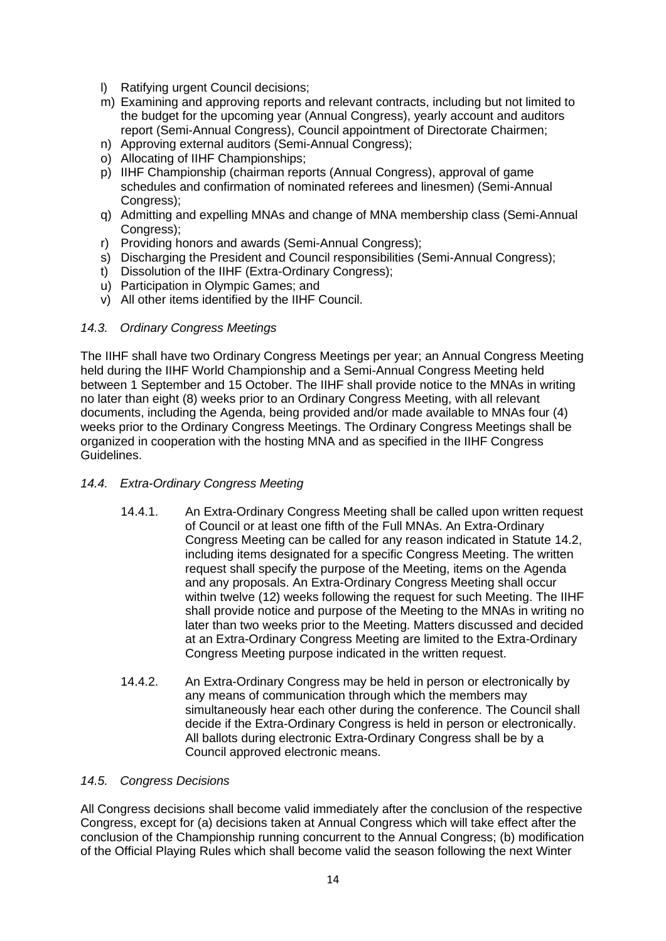- l) Ratifying urgent Council decisions;
- m) Examining and approving reports and relevant contracts, including but not limited to the budget for the upcoming year (Annual Congress), yearly account and auditors report (Semi-Annual Congress), Council appointment of Directorate Chairmen;
- n) Approving external auditors (Semi-Annual Congress);
- o) Allocating of IIHF Championships;
- p) IIHF Championship (chairman reports (Annual Congress), approval of game schedules and confirmation of nominated referees and linesmen) (Semi-Annual Congress):
- q) Admitting and expelling MNAs and change of MNA membership class (Semi-Annual Congress):
- r) Providing honors and awards (Semi-Annual Congress);
- s) Discharging the President and Council responsibilities (Semi-Annual Congress);
- t) Dissolution of the IIHF (Extra-Ordinary Congress);
- u) Participation in Olympic Games; and
- v) All other items identified by the IIHF Council.

# *14.3. Ordinary Congress Meetings*

The IIHF shall have two Ordinary Congress Meetings per year; an Annual Congress Meeting held during the IIHF World Championship and a Semi-Annual Congress Meeting held between 1 September and 15 October. The IIHF shall provide notice to the MNAs in writing no later than eight (8) weeks prior to an Ordinary Congress Meeting, with all relevant documents, including the Agenda, being provided and/or made available to MNAs four (4) weeks prior to the Ordinary Congress Meetings. The Ordinary Congress Meetings shall be organized in cooperation with the hosting MNA and as specified in the IIHF Congress Guidelines.

# *14.4. Extra-Ordinary Congress Meeting*

- 14.4.1. An Extra-Ordinary Congress Meeting shall be called upon written request of Council or at least one fifth of the Full MNAs. An Extra-Ordinary Congress Meeting can be called for any reason indicated in Statute 14.2, including items designated for a specific Congress Meeting. The written request shall specify the purpose of the Meeting, items on the Agenda and any proposals. An Extra-Ordinary Congress Meeting shall occur within twelve (12) weeks following the request for such Meeting. The IIHF shall provide notice and purpose of the Meeting to the MNAs in writing no later than two weeks prior to the Meeting. Matters discussed and decided at an Extra-Ordinary Congress Meeting are limited to the Extra-Ordinary Congress Meeting purpose indicated in the written request.
- 14.4.2. An Extra-Ordinary Congress may be held in person or electronically by any means of communication through which the members may simultaneously hear each other during the conference. The Council shall decide if the Extra-Ordinary Congress is held in person or electronically. All ballots during electronic Extra-Ordinary Congress shall be by a Council approved electronic means.

# *14.5. Congress Decisions*

All Congress decisions shall become valid immediately after the conclusion of the respective Congress, except for (a) decisions taken at Annual Congress which will take effect after the conclusion of the Championship running concurrent to the Annual Congress; (b) modification of the Official Playing Rules which shall become valid the season following the next Winter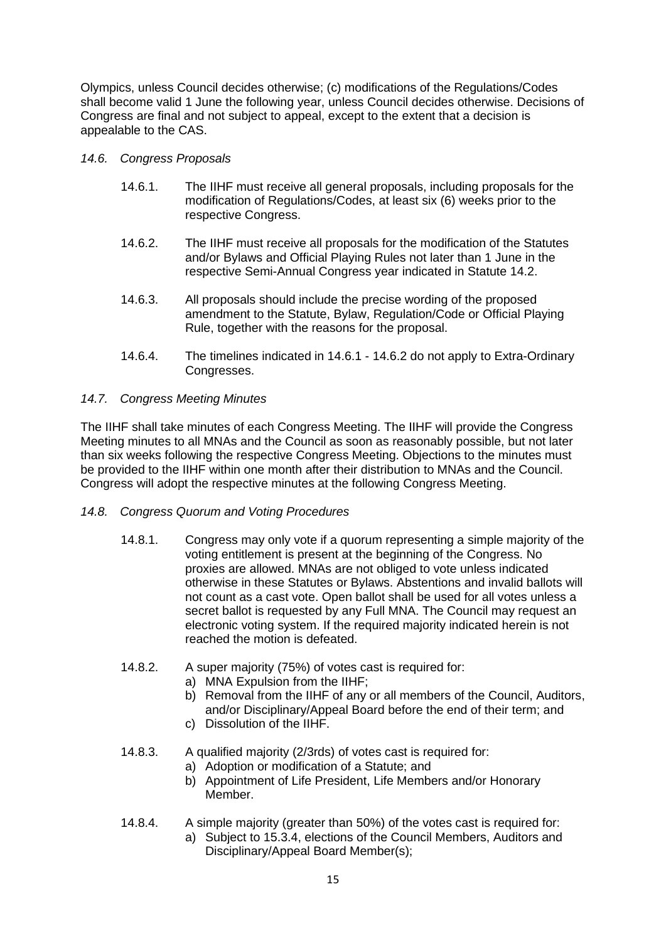Olympics, unless Council decides otherwise; (c) modifications of the Regulations/Codes shall become valid 1 June the following year, unless Council decides otherwise. Decisions of Congress are final and not subject to appeal, except to the extent that a decision is appealable to the CAS.

- *14.6. Congress Proposals*
	- 14.6.1. The IIHF must receive all general proposals, including proposals for the modification of Regulations/Codes, at least six (6) weeks prior to the respective Congress.
	- 14.6.2. The IIHF must receive all proposals for the modification of the Statutes and/or Bylaws and Official Playing Rules not later than 1 June in the respective Semi-Annual Congress year indicated in Statute 14.2.
	- 14.6.3. All proposals should include the precise wording of the proposed amendment to the Statute, Bylaw, Regulation/Code or Official Playing Rule, together with the reasons for the proposal.
	- 14.6.4. The timelines indicated in 14.6.1 14.6.2 do not apply to Extra-Ordinary Congresses.

# *14.7. Congress Meeting Minutes*

The IIHF shall take minutes of each Congress Meeting. The IIHF will provide the Congress Meeting minutes to all MNAs and the Council as soon as reasonably possible, but not later than six weeks following the respective Congress Meeting. Objections to the minutes must be provided to the IIHF within one month after their distribution to MNAs and the Council. Congress will adopt the respective minutes at the following Congress Meeting.

- *14.8. Congress Quorum and Voting Procedures*
	- 14.8.1. Congress may only vote if a quorum representing a simple majority of the voting entitlement is present at the beginning of the Congress. No proxies are allowed. MNAs are not obliged to vote unless indicated otherwise in these Statutes or Bylaws. Abstentions and invalid ballots will not count as a cast vote. Open ballot shall be used for all votes unless a secret ballot is requested by any Full MNA. The Council may request an electronic voting system. If the required majority indicated herein is not reached the motion is defeated.
	- 14.8.2. A super majority (75%) of votes cast is required for:
		- a) MNA Expulsion from the IIHF;
		- b) Removal from the IIHF of any or all members of the Council, Auditors, and/or Disciplinary/Appeal Board before the end of their term; and
		- c) Dissolution of the IIHF.
	- 14.8.3. A qualified majority (2/3rds) of votes cast is required for:
		- a) Adoption or modification of a Statute; and
		- b) Appointment of Life President, Life Members and/or Honorary Member.
	- 14.8.4. A simple majority (greater than 50%) of the votes cast is required for: a) Subject to 15.3.4, elections of the Council Members, Auditors and Disciplinary/Appeal Board Member(s);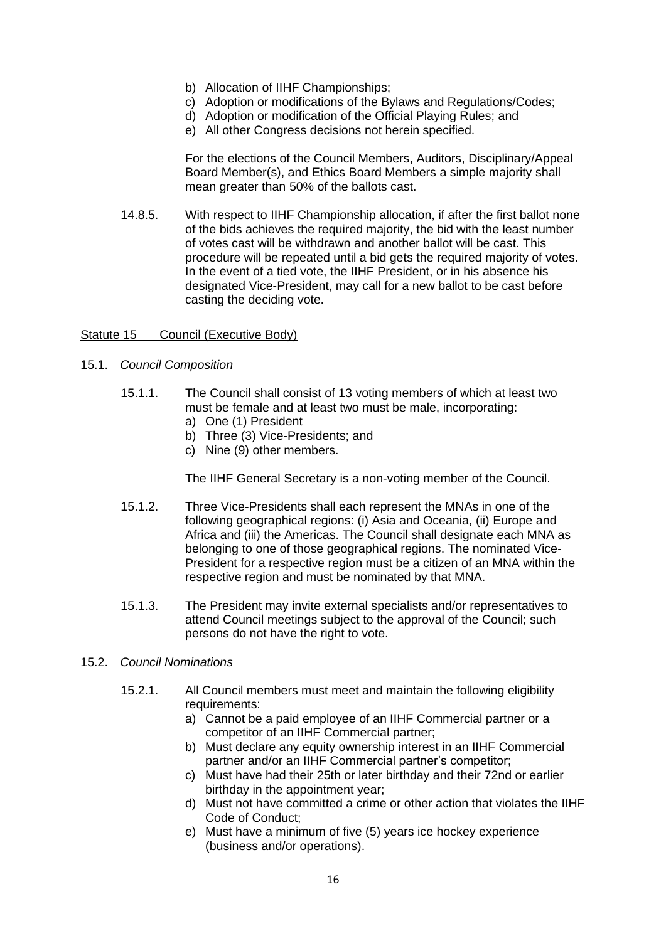- b) Allocation of IIHF Championships;
- c) Adoption or modifications of the Bylaws and Regulations/Codes;
- d) Adoption or modification of the Official Playing Rules; and
- e) All other Congress decisions not herein specified.

For the elections of the Council Members, Auditors, Disciplinary/Appeal Board Member(s), and Ethics Board Members a simple majority shall mean greater than 50% of the ballots cast.

14.8.5. With respect to IIHF Championship allocation, if after the first ballot none of the bids achieves the required majority, the bid with the least number of votes cast will be withdrawn and another ballot will be cast. This procedure will be repeated until a bid gets the required majority of votes. In the event of a tied vote, the IIHF President, or in his absence his designated Vice-President, may call for a new ballot to be cast before casting the deciding vote.

### <span id="page-16-0"></span>Statute 15 Council (Executive Body)

- 15.1. *Council Composition*
	- 15.1.1. The Council shall consist of 13 voting members of which at least two must be female and at least two must be male, incorporating:
		- a) One (1) President
		- b) Three (3) Vice-Presidents; and
		- c) Nine (9) other members.

The IIHF General Secretary is a non-voting member of the Council.

- 15.1.2. Three Vice-Presidents shall each represent the MNAs in one of the following geographical regions: (i) Asia and Oceania, (ii) Europe and Africa and (iii) the Americas. The Council shall designate each MNA as belonging to one of those geographical regions. The nominated Vice-President for a respective region must be a citizen of an MNA within the respective region and must be nominated by that MNA.
- 15.1.3. The President may invite external specialists and/or representatives to attend Council meetings subject to the approval of the Council; such persons do not have the right to vote.

### 15.2. *Council Nominations*

- 15.2.1. All Council members must meet and maintain the following eligibility requirements:
	- a) Cannot be a paid employee of an IIHF Commercial partner or a competitor of an IIHF Commercial partner;
	- b) Must declare any equity ownership interest in an IIHF Commercial partner and/or an IIHF Commercial partner's competitor;
	- c) Must have had their 25th or later birthday and their 72nd or earlier birthday in the appointment year;
	- d) Must not have committed a crime or other action that violates the IIHF Code of Conduct;
	- e) Must have a minimum of five (5) years ice hockey experience (business and/or operations).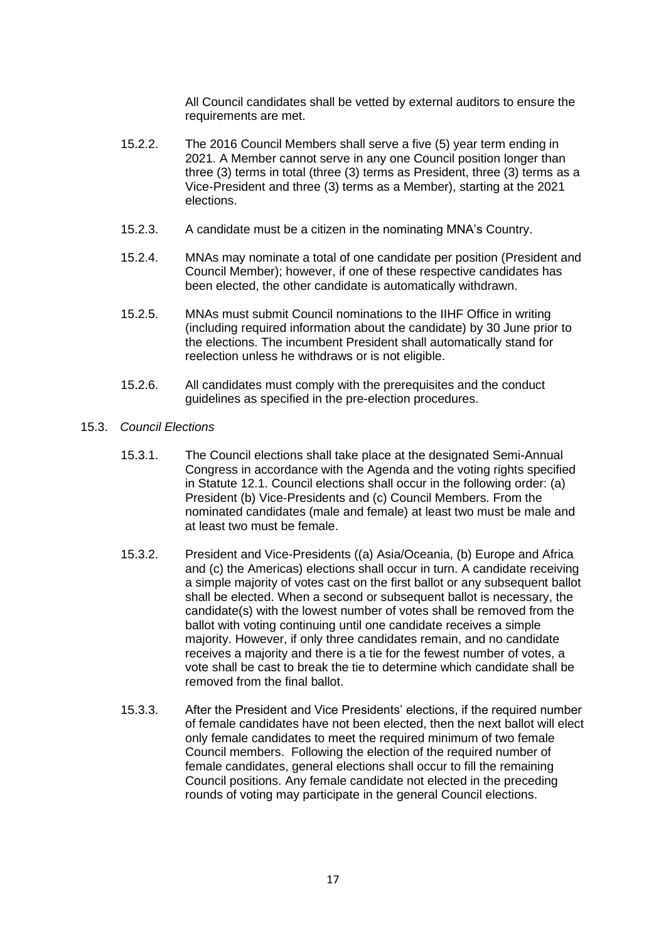All Council candidates shall be vetted by external auditors to ensure the requirements are met.

- 15.2.2. The 2016 Council Members shall serve a five (5) year term ending in 2021. A Member cannot serve in any one Council position longer than three (3) terms in total (three (3) terms as President, three (3) terms as a Vice-President and three (3) terms as a Member), starting at the 2021 elections.
- 15.2.3. A candidate must be a citizen in the nominating MNA's Country.
- 15.2.4. MNAs may nominate a total of one candidate per position (President and Council Member); however, if one of these respective candidates has been elected, the other candidate is automatically withdrawn.
- 15.2.5. MNAs must submit Council nominations to the IIHF Office in writing (including required information about the candidate) by 30 June prior to the elections. The incumbent President shall automatically stand for reelection unless he withdraws or is not eligible.
- 15.2.6. All candidates must comply with the prerequisites and the conduct guidelines as specified in the pre-election procedures.

### 15.3. *Council Elections*

- 15.3.1. The Council elections shall take place at the designated Semi-Annual Congress in accordance with the Agenda and the voting rights specified in Statute 12.1. Council elections shall occur in the following order: (a) President (b) Vice-Presidents and (c) Council Members. From the nominated candidates (male and female) at least two must be male and at least two must be female.
- 15.3.2. President and Vice-Presidents ((a) Asia/Oceania, (b) Europe and Africa and (c) the Americas) elections shall occur in turn. A candidate receiving a simple majority of votes cast on the first ballot or any subsequent ballot shall be elected. When a second or subsequent ballot is necessary, the candidate(s) with the lowest number of votes shall be removed from the ballot with voting continuing until one candidate receives a simple majority. However, if only three candidates remain, and no candidate receives a majority and there is a tie for the fewest number of votes, a vote shall be cast to break the tie to determine which candidate shall be removed from the final ballot.
- 15.3.3. After the President and Vice Presidents' elections, if the required number of female candidates have not been elected, then the next ballot will elect only female candidates to meet the required minimum of two female Council members. Following the election of the required number of female candidates, general elections shall occur to fill the remaining Council positions. Any female candidate not elected in the preceding rounds of voting may participate in the general Council elections.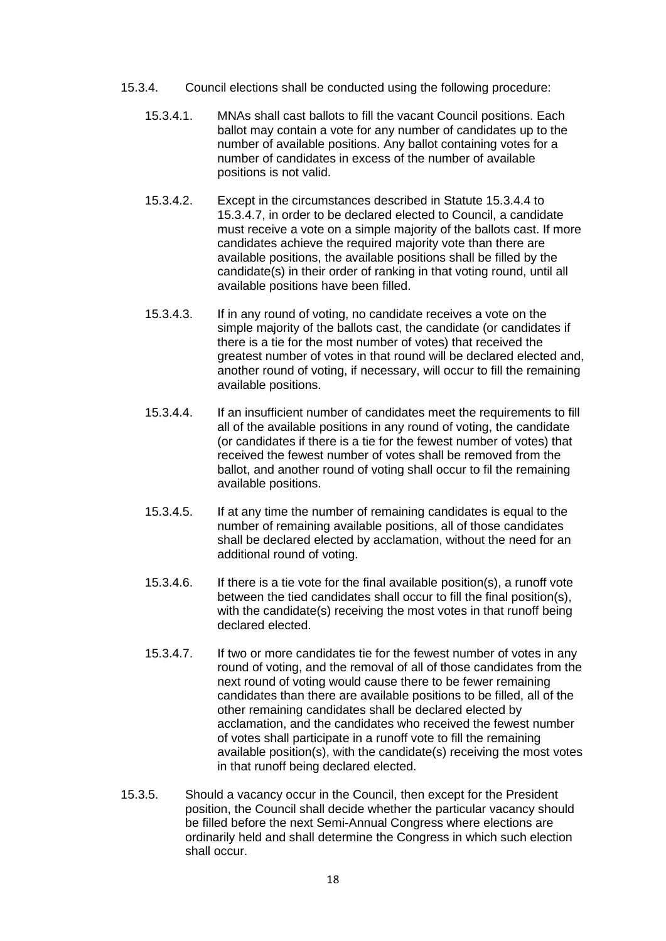- 15.3.4. Council elections shall be conducted using the following procedure:
	- 15.3.4.1. MNAs shall cast ballots to fill the vacant Council positions. Each ballot may contain a vote for any number of candidates up to the number of available positions. Any ballot containing votes for a number of candidates in excess of the number of available positions is not valid.
	- 15.3.4.2. Except in the circumstances described in Statute 15.3.4.4 to 15.3.4.7, in order to be declared elected to Council, a candidate must receive a vote on a simple majority of the ballots cast. If more candidates achieve the required majority vote than there are available positions, the available positions shall be filled by the candidate(s) in their order of ranking in that voting round, until all available positions have been filled.
	- 15.3.4.3. If in any round of voting, no candidate receives a vote on the simple majority of the ballots cast, the candidate (or candidates if there is a tie for the most number of votes) that received the greatest number of votes in that round will be declared elected and, another round of voting, if necessary, will occur to fill the remaining available positions.
	- 15.3.4.4. If an insufficient number of candidates meet the requirements to fill all of the available positions in any round of voting, the candidate (or candidates if there is a tie for the fewest number of votes) that received the fewest number of votes shall be removed from the ballot, and another round of voting shall occur to fil the remaining available positions.
	- 15.3.4.5. If at any time the number of remaining candidates is equal to the number of remaining available positions, all of those candidates shall be declared elected by acclamation, without the need for an additional round of voting.
	- 15.3.4.6. If there is a tie vote for the final available position(s), a runoff vote between the tied candidates shall occur to fill the final position(s), with the candidate(s) receiving the most votes in that runoff being declared elected.
	- 15.3.4.7. If two or more candidates tie for the fewest number of votes in any round of voting, and the removal of all of those candidates from the next round of voting would cause there to be fewer remaining candidates than there are available positions to be filled, all of the other remaining candidates shall be declared elected by acclamation, and the candidates who received the fewest number of votes shall participate in a runoff vote to fill the remaining available position(s), with the candidate(s) receiving the most votes in that runoff being declared elected.
- 15.3.5. Should a vacancy occur in the Council, then except for the President position, the Council shall decide whether the particular vacancy should be filled before the next Semi-Annual Congress where elections are ordinarily held and shall determine the Congress in which such election shall occur.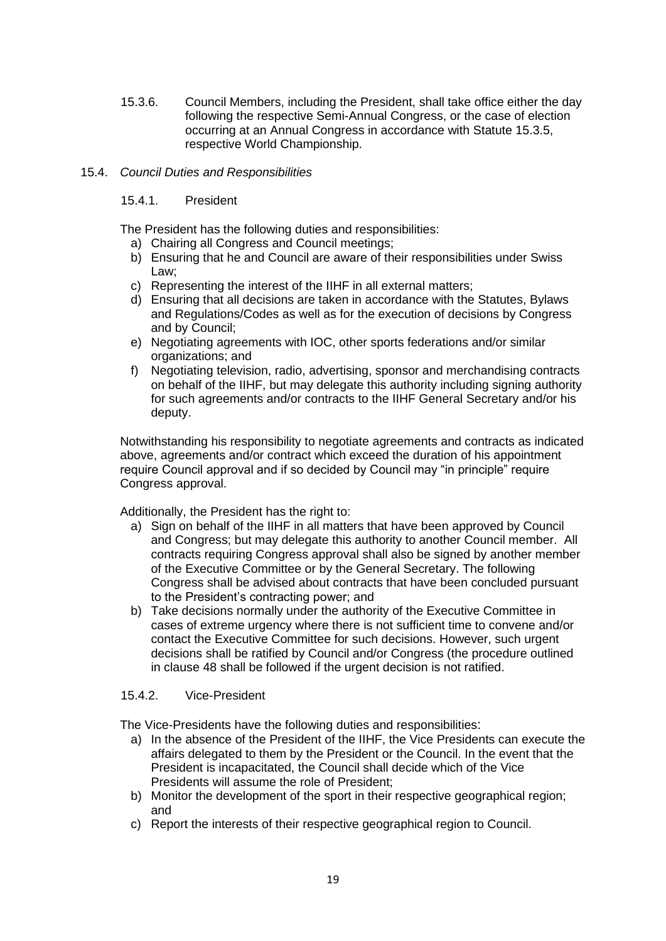15.3.6. Council Members, including the President, shall take office either the day following the respective Semi-Annual Congress, or the case of election occurring at an Annual Congress in accordance with Statute 15.3.5, respective World Championship.

# 15.4. *Council Duties and Responsibilities*

# 15.4.1. President

The President has the following duties and responsibilities:

- a) Chairing all Congress and Council meetings;
- b) Ensuring that he and Council are aware of their responsibilities under Swiss Law;
- c) Representing the interest of the IIHF in all external matters;
- d) Ensuring that all decisions are taken in accordance with the Statutes, Bylaws and Regulations/Codes as well as for the execution of decisions by Congress and by Council;
- e) Negotiating agreements with IOC, other sports federations and/or similar organizations; and
- f) Negotiating television, radio, advertising, sponsor and merchandising contracts on behalf of the IIHF, but may delegate this authority including signing authority for such agreements and/or contracts to the IIHF General Secretary and/or his deputy.

Notwithstanding his responsibility to negotiate agreements and contracts as indicated above, agreements and/or contract which exceed the duration of his appointment require Council approval and if so decided by Council may "in principle" require Congress approval.

Additionally, the President has the right to:

- a) Sign on behalf of the IIHF in all matters that have been approved by Council and Congress; but may delegate this authority to another Council member. All contracts requiring Congress approval shall also be signed by another member of the Executive Committee or by the General Secretary. The following Congress shall be advised about contracts that have been concluded pursuant to the President's contracting power; and
- b) Take decisions normally under the authority of the Executive Committee in cases of extreme urgency where there is not sufficient time to convene and/or contact the Executive Committee for such decisions. However, such urgent decisions shall be ratified by Council and/or Congress (the procedure outlined in clause 48 shall be followed if the urgent decision is not ratified.

# 15.4.2. Vice-President

The Vice-Presidents have the following duties and responsibilities:

- a) In the absence of the President of the IIHF, the Vice Presidents can execute the affairs delegated to them by the President or the Council. In the event that the President is incapacitated, the Council shall decide which of the Vice Presidents will assume the role of President;
- b) Monitor the development of the sport in their respective geographical region; and
- c) Report the interests of their respective geographical region to Council.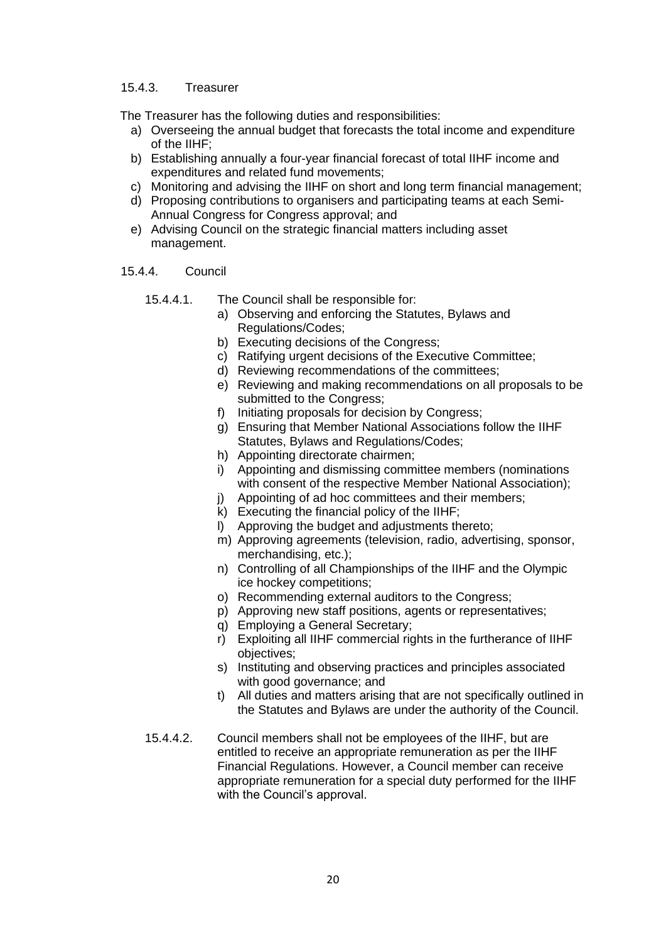### 15.4.3. Treasurer

The Treasurer has the following duties and responsibilities:

- a) Overseeing the annual budget that forecasts the total income and expenditure of the IIHF;
- b) Establishing annually a four-year financial forecast of total IIHF income and expenditures and related fund movements;
- c) Monitoring and advising the IIHF on short and long term financial management;
- d) Proposing contributions to organisers and participating teams at each Semi-Annual Congress for Congress approval; and
- e) Advising Council on the strategic financial matters including asset management.

### 15.4.4. Council

- 15.4.4.1. The Council shall be responsible for:
	- a) Observing and enforcing the Statutes, Bylaws and Regulations/Codes;
	- b) Executing decisions of the Congress;
	- c) Ratifying urgent decisions of the Executive Committee;
	- d) Reviewing recommendations of the committees;
	- e) Reviewing and making recommendations on all proposals to be submitted to the Congress:
	- f) Initiating proposals for decision by Congress;
	- g) Ensuring that Member National Associations follow the IIHF Statutes, Bylaws and Regulations/Codes;
	- h) Appointing directorate chairmen;
	- i) Appointing and dismissing committee members (nominations with consent of the respective Member National Association);
	- j) Appointing of ad hoc committees and their members;
	- k) Executing the financial policy of the IIHF;
	- l) Approving the budget and adjustments thereto;
	- m) Approving agreements (television, radio, advertising, sponsor, merchandising, etc.);
	- n) Controlling of all Championships of the IIHF and the Olympic ice hockey competitions;
	- o) Recommending external auditors to the Congress;
	- p) Approving new staff positions, agents or representatives;
	- q) Employing a General Secretary;
	- r) Exploiting all IIHF commercial rights in the furtherance of IIHF objectives;
	- s) Instituting and observing practices and principles associated with good governance; and
	- t) All duties and matters arising that are not specifically outlined in the Statutes and Bylaws are under the authority of the Council.
- 15.4.4.2. Council members shall not be employees of the IIHF, but are entitled to receive an appropriate remuneration as per the IIHF Financial Regulations. However, a Council member can receive appropriate remuneration for a special duty performed for the IIHF with the Council's approval.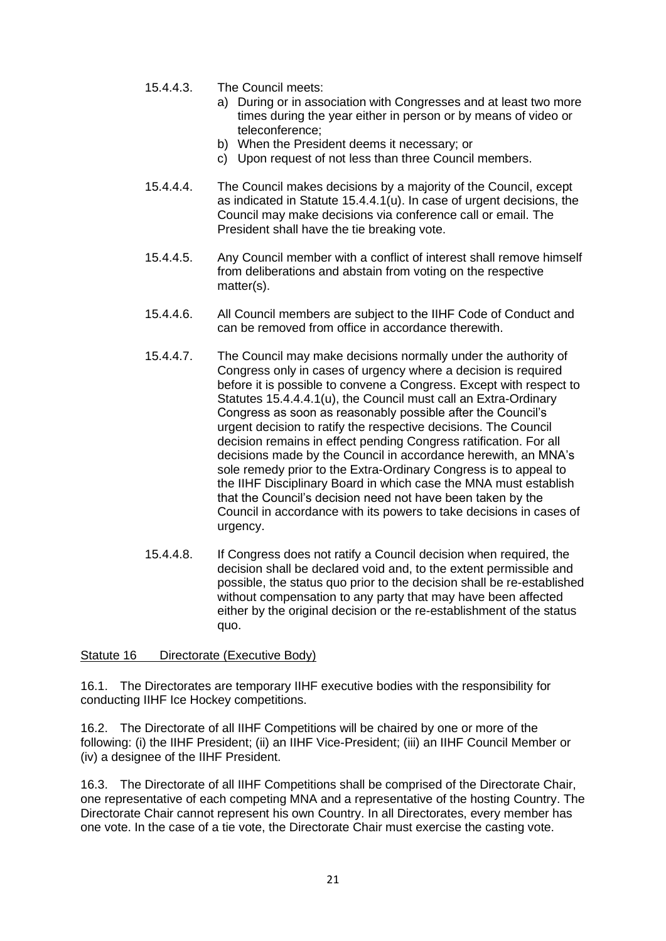- 15.4.4.3. The Council meets:
	- a) During or in association with Congresses and at least two more times during the year either in person or by means of video or teleconference;
	- b) When the President deems it necessary; or
	- c) Upon request of not less than three Council members.
- 15.4.4.4. The Council makes decisions by a majority of the Council, except as indicated in Statute 15.4.4.1(u). In case of urgent decisions, the Council may make decisions via conference call or email. The President shall have the tie breaking vote.
- 15.4.4.5. Any Council member with a conflict of interest shall remove himself from deliberations and abstain from voting on the respective matter(s).
- 15.4.4.6. All Council members are subject to the IIHF Code of Conduct and can be removed from office in accordance therewith.
- 15.4.4.7. The Council may make decisions normally under the authority of Congress only in cases of urgency where a decision is required before it is possible to convene a Congress. Except with respect to Statutes 15.4.4.4.1(u), the Council must call an Extra-Ordinary Congress as soon as reasonably possible after the Council's urgent decision to ratify the respective decisions. The Council decision remains in effect pending Congress ratification. For all decisions made by the Council in accordance herewith, an MNA's sole remedy prior to the Extra-Ordinary Congress is to appeal to the IIHF Disciplinary Board in which case the MNA must establish that the Council's decision need not have been taken by the Council in accordance with its powers to take decisions in cases of urgency.
- 15.4.4.8. If Congress does not ratify a Council decision when required, the decision shall be declared void and, to the extent permissible and possible, the status quo prior to the decision shall be re-established without compensation to any party that may have been affected either by the original decision or the re-establishment of the status quo.

<span id="page-21-0"></span>Statute 16 Directorate (Executive Body)

16.1. The Directorates are temporary IIHF executive bodies with the responsibility for conducting IIHF Ice Hockey competitions.

16.2. The Directorate of all IIHF Competitions will be chaired by one or more of the following: (i) the IIHF President; (ii) an IIHF Vice-President; (iii) an IIHF Council Member or (iv) a designee of the IIHF President.

16.3. The Directorate of all IIHF Competitions shall be comprised of the Directorate Chair, one representative of each competing MNA and a representative of the hosting Country. The Directorate Chair cannot represent his own Country. In all Directorates, every member has one vote. In the case of a tie vote, the Directorate Chair must exercise the casting vote.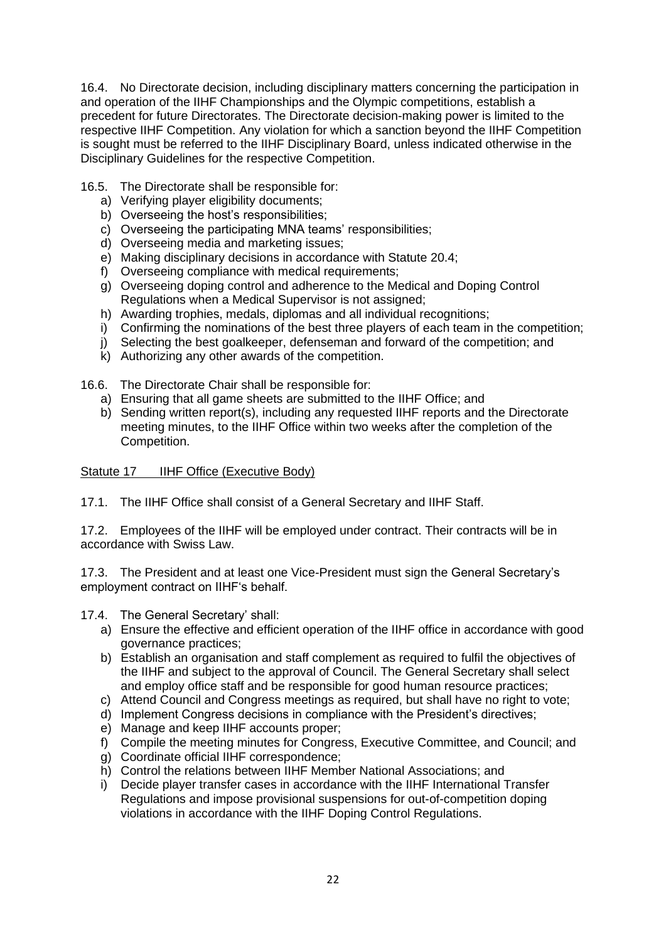16.4. No Directorate decision, including disciplinary matters concerning the participation in and operation of the IIHF Championships and the Olympic competitions, establish a precedent for future Directorates. The Directorate decision-making power is limited to the respective IIHF Competition. Any violation for which a sanction beyond the IIHF Competition is sought must be referred to the IIHF Disciplinary Board, unless indicated otherwise in the Disciplinary Guidelines for the respective Competition.

16.5. The Directorate shall be responsible for:

- a) Verifying player eligibility documents;
- b) Overseeing the host's responsibilities;
- c) Overseeing the participating MNA teams' responsibilities;
- d) Overseeing media and marketing issues;
- e) Making disciplinary decisions in accordance with Statute 20.4;
- f) Overseeing compliance with medical requirements;
- g) Overseeing doping control and adherence to the Medical and Doping Control Regulations when a Medical Supervisor is not assigned;
- h) Awarding trophies, medals, diplomas and all individual recognitions;
- i) Confirming the nominations of the best three players of each team in the competition;
- j) Selecting the best goalkeeper, defenseman and forward of the competition; and
- k) Authorizing any other awards of the competition.

16.6. The Directorate Chair shall be responsible for:

- a) Ensuring that all game sheets are submitted to the IIHF Office; and
- b) Sending written report(s), including any requested IIHF reports and the Directorate meeting minutes, to the IIHF Office within two weeks after the completion of the Competition.

<span id="page-22-0"></span>Statute 17 **IIHF Office (Executive Body)** 

17.1. The IIHF Office shall consist of a General Secretary and IIHF Staff.

17.2. Employees of the IIHF will be employed under contract. Their contracts will be in accordance with Swiss Law.

17.3. The President and at least one Vice-President must sign the General Secretary's employment contract on IIHF's behalf.

- 17.4. The General Secretary' shall:
	- a) Ensure the effective and efficient operation of the IIHF office in accordance with good governance practices;
	- b) Establish an organisation and staff complement as required to fulfil the objectives of the IIHF and subject to the approval of Council. The General Secretary shall select and employ office staff and be responsible for good human resource practices;
	- c) Attend Council and Congress meetings as required, but shall have no right to vote;
	- d) Implement Congress decisions in compliance with the President's directives;
	- e) Manage and keep IIHF accounts proper;
	- f) Compile the meeting minutes for Congress, Executive Committee, and Council; and
	- g) Coordinate official IIHF correspondence;
	- h) Control the relations between IIHF Member National Associations; and
	- i) Decide player transfer cases in accordance with the IIHF International Transfer Regulations and impose provisional suspensions for out-of-competition doping violations in accordance with the IIHF Doping Control Regulations.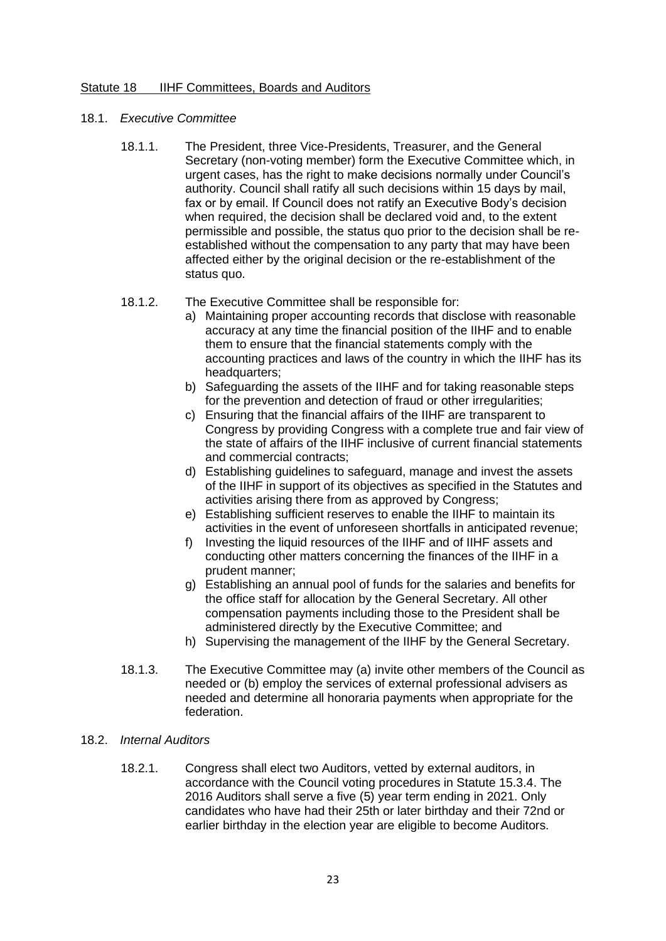### <span id="page-23-0"></span>Statute 18 **IIHF Committees, Boards and Auditors**

- 18.1. *Executive Committee*
	- 18.1.1. The President, three Vice-Presidents, Treasurer, and the General Secretary (non-voting member) form the Executive Committee which, in urgent cases, has the right to make decisions normally under Council's authority. Council shall ratify all such decisions within 15 days by mail, fax or by email. If Council does not ratify an Executive Body's decision when required, the decision shall be declared void and, to the extent permissible and possible, the status quo prior to the decision shall be reestablished without the compensation to any party that may have been affected either by the original decision or the re-establishment of the status quo.

### 18.1.2. The Executive Committee shall be responsible for:

- a) Maintaining proper accounting records that disclose with reasonable accuracy at any time the financial position of the IIHF and to enable them to ensure that the financial statements comply with the accounting practices and laws of the country in which the IIHF has its headquarters;
- b) Safeguarding the assets of the IIHF and for taking reasonable steps for the prevention and detection of fraud or other irregularities;
- c) Ensuring that the financial affairs of the IIHF are transparent to Congress by providing Congress with a complete true and fair view of the state of affairs of the IIHF inclusive of current financial statements and commercial contracts;
- d) Establishing guidelines to safeguard, manage and invest the assets of the IIHF in support of its objectives as specified in the Statutes and activities arising there from as approved by Congress;
- e) Establishing sufficient reserves to enable the IIHF to maintain its activities in the event of unforeseen shortfalls in anticipated revenue;
- f) Investing the liquid resources of the IIHF and of IIHF assets and conducting other matters concerning the finances of the IIHF in a prudent manner;
- g) Establishing an annual pool of funds for the salaries and benefits for the office staff for allocation by the General Secretary. All other compensation payments including those to the President shall be administered directly by the Executive Committee; and
- h) Supervising the management of the IIHF by the General Secretary.
- 18.1.3. The Executive Committee may (a) invite other members of the Council as needed or (b) employ the services of external professional advisers as needed and determine all honoraria payments when appropriate for the federation.

### 18.2. *Internal Auditors*

18.2.1. Congress shall elect two Auditors, vetted by external auditors, in accordance with the Council voting procedures in Statute 15.3.4. The 2016 Auditors shall serve a five (5) year term ending in 2021. Only candidates who have had their 25th or later birthday and their 72nd or earlier birthday in the election year are eligible to become Auditors.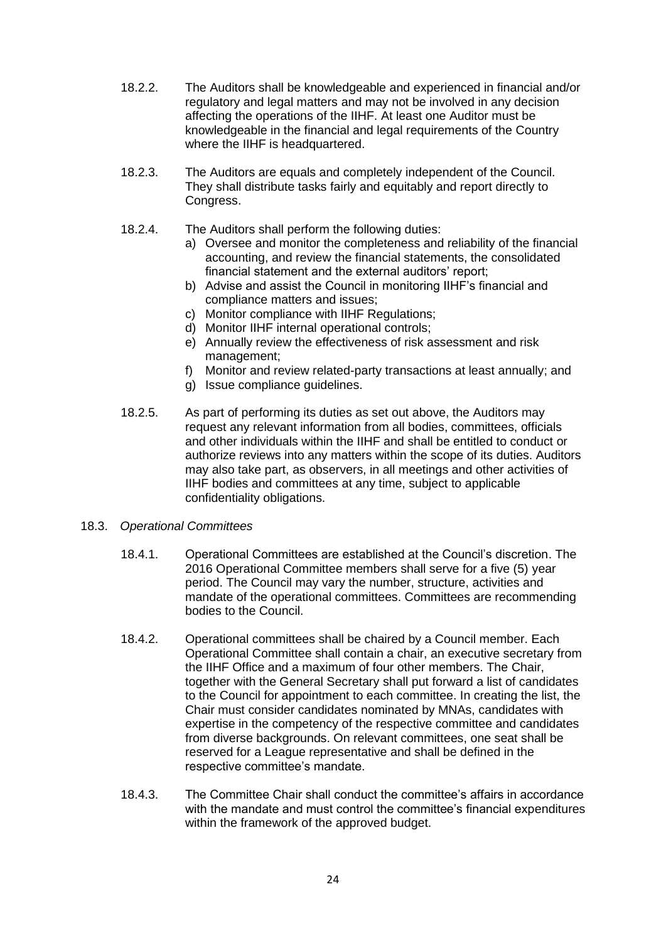- 18.2.2. The Auditors shall be knowledgeable and experienced in financial and/or regulatory and legal matters and may not be involved in any decision affecting the operations of the IIHF. At least one Auditor must be knowledgeable in the financial and legal requirements of the Country where the IIHF is headquartered.
- 18.2.3. The Auditors are equals and completely independent of the Council. They shall distribute tasks fairly and equitably and report directly to Congress.
- 18.2.4. The Auditors shall perform the following duties:
	- a) Oversee and monitor the completeness and reliability of the financial accounting, and review the financial statements, the consolidated financial statement and the external auditors' report;
	- b) Advise and assist the Council in monitoring IIHF's financial and compliance matters and issues;
	- c) Monitor compliance with IIHF Regulations;
	- d) Monitor IIHF internal operational controls;
	- e) Annually review the effectiveness of risk assessment and risk management;
	- f) Monitor and review related-party transactions at least annually; and
	- g) Issue compliance guidelines.
- 18.2.5. As part of performing its duties as set out above, the Auditors may request any relevant information from all bodies, committees, officials and other individuals within the IIHF and shall be entitled to conduct or authorize reviews into any matters within the scope of its duties. Auditors may also take part, as observers, in all meetings and other activities of IIHF bodies and committees at any time, subject to applicable confidentiality obligations.

### 18.3. *Operational Committees*

- 18.4.1. Operational Committees are established at the Council's discretion. The 2016 Operational Committee members shall serve for a five (5) year period. The Council may vary the number, structure, activities and mandate of the operational committees. Committees are recommending bodies to the Council.
- 18.4.2. Operational committees shall be chaired by a Council member. Each Operational Committee shall contain a chair, an executive secretary from the IIHF Office and a maximum of four other members. The Chair, together with the General Secretary shall put forward a list of candidates to the Council for appointment to each committee. In creating the list, the Chair must consider candidates nominated by MNAs, candidates with expertise in the competency of the respective committee and candidates from diverse backgrounds. On relevant committees, one seat shall be reserved for a League representative and shall be defined in the respective committee's mandate.
- 18.4.3. The Committee Chair shall conduct the committee's affairs in accordance with the mandate and must control the committee's financial expenditures within the framework of the approved budget.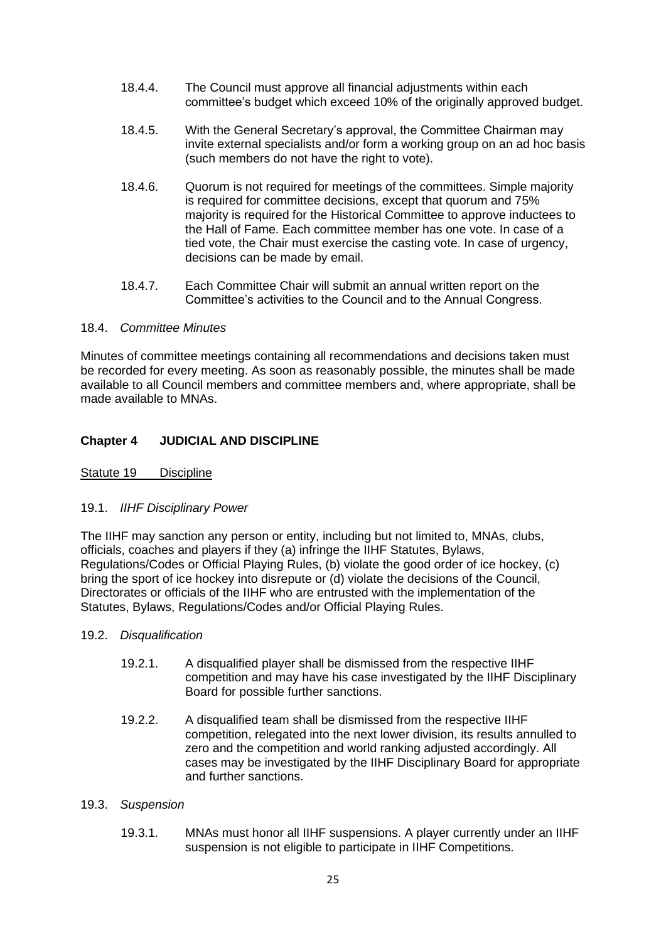- 18.4.4. The Council must approve all financial adjustments within each committee's budget which exceed 10% of the originally approved budget.
- 18.4.5. With the General Secretary's approval, the Committee Chairman may invite external specialists and/or form a working group on an ad hoc basis (such members do not have the right to vote).
- 18.4.6. Quorum is not required for meetings of the committees. Simple majority is required for committee decisions, except that quorum and 75% majority is required for the Historical Committee to approve inductees to the Hall of Fame. Each committee member has one vote. In case of a tied vote, the Chair must exercise the casting vote. In case of urgency, decisions can be made by email.
- 18.4.7. Each Committee Chair will submit an annual written report on the Committee's activities to the Council and to the Annual Congress.

# 18.4. *Committee Minutes*

Minutes of committee meetings containing all recommendations and decisions taken must be recorded for every meeting. As soon as reasonably possible, the minutes shall be made available to all Council members and committee members and, where appropriate, shall be made available to MNAs.

# <span id="page-25-0"></span>**Chapter 4 JUDICIAL AND DISCIPLINE**

<span id="page-25-1"></span>Statute 19 Discipline

# 19.1. *IIHF Disciplinary Power*

The IIHF may sanction any person or entity, including but not limited to, MNAs, clubs, officials, coaches and players if they (a) infringe the IIHF Statutes, Bylaws, Regulations/Codes or Official Playing Rules, (b) violate the good order of ice hockey, (c) bring the sport of ice hockey into disrepute or (d) violate the decisions of the Council, Directorates or officials of the IIHF who are entrusted with the implementation of the Statutes, Bylaws, Regulations/Codes and/or Official Playing Rules.

### 19.2. *Disqualification*

- 19.2.1. A disqualified player shall be dismissed from the respective IIHF competition and may have his case investigated by the IIHF Disciplinary Board for possible further sanctions.
- 19.2.2. A disqualified team shall be dismissed from the respective IIHF competition, relegated into the next lower division, its results annulled to zero and the competition and world ranking adjusted accordingly. All cases may be investigated by the IIHF Disciplinary Board for appropriate and further sanctions.

### 19.3. *Suspension*

19.3.1. MNAs must honor all IIHF suspensions. A player currently under an IIHF suspension is not eligible to participate in IIHF Competitions.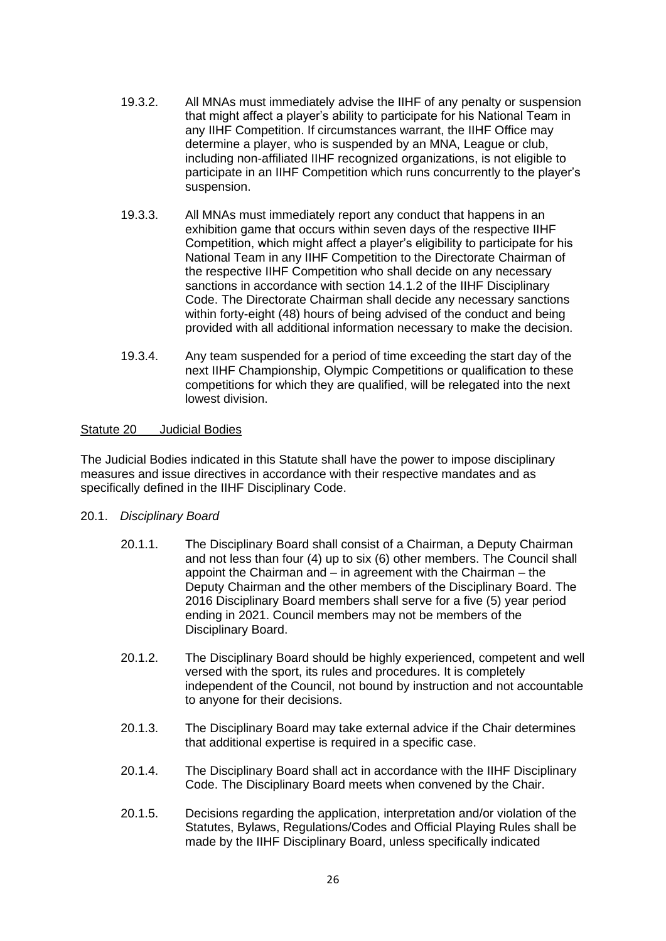- 19.3.2. All MNAs must immediately advise the IIHF of any penalty or suspension that might affect a player's ability to participate for his National Team in any IIHF Competition. If circumstances warrant, the IIHF Office may determine a player, who is suspended by an MNA, League or club, including non-affiliated IIHF recognized organizations, is not eligible to participate in an IIHF Competition which runs concurrently to the player's suspension.
- 19.3.3. All MNAs must immediately report any conduct that happens in an exhibition game that occurs within seven days of the respective IIHF Competition, which might affect a player's eligibility to participate for his National Team in any IIHF Competition to the Directorate Chairman of the respective IIHF Competition who shall decide on any necessary sanctions in accordance with section 14.1.2 of the IIHF Disciplinary Code. The Directorate Chairman shall decide any necessary sanctions within forty-eight (48) hours of being advised of the conduct and being provided with all additional information necessary to make the decision.
- 19.3.4. Any team suspended for a period of time exceeding the start day of the next IIHF Championship, Olympic Competitions or qualification to these competitions for which they are qualified, will be relegated into the next lowest division.

### <span id="page-26-0"></span>Statute 20 Judicial Bodies

The Judicial Bodies indicated in this Statute shall have the power to impose disciplinary measures and issue directives in accordance with their respective mandates and as specifically defined in the IIHF Disciplinary Code.

# 20.1. *Disciplinary Board*

- 20.1.1. The Disciplinary Board shall consist of a Chairman, a Deputy Chairman and not less than four (4) up to six (6) other members. The Council shall appoint the Chairman and – in agreement with the Chairman – the Deputy Chairman and the other members of the Disciplinary Board. The 2016 Disciplinary Board members shall serve for a five (5) year period ending in 2021. Council members may not be members of the Disciplinary Board.
- 20.1.2. The Disciplinary Board should be highly experienced, competent and well versed with the sport, its rules and procedures. It is completely independent of the Council, not bound by instruction and not accountable to anyone for their decisions.
- 20.1.3. The Disciplinary Board may take external advice if the Chair determines that additional expertise is required in a specific case.
- 20.1.4. The Disciplinary Board shall act in accordance with the IIHF Disciplinary Code. The Disciplinary Board meets when convened by the Chair.
- 20.1.5. Decisions regarding the application, interpretation and/or violation of the Statutes, Bylaws, Regulations/Codes and Official Playing Rules shall be made by the IIHF Disciplinary Board, unless specifically indicated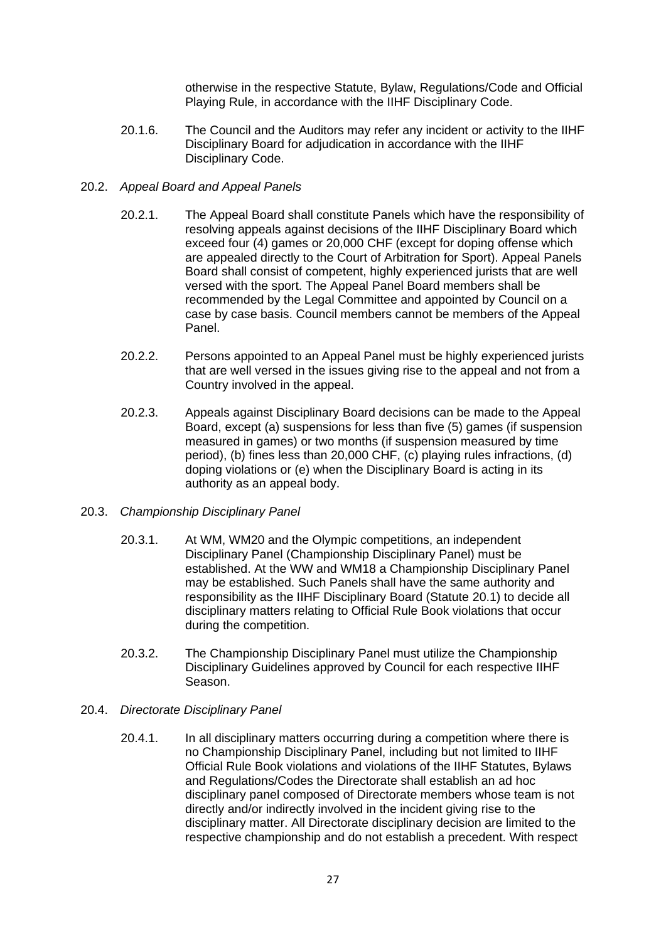otherwise in the respective Statute, Bylaw, Regulations/Code and Official Playing Rule, in accordance with the IIHF Disciplinary Code.

20.1.6. The Council and the Auditors may refer any incident or activity to the IIHF Disciplinary Board for adjudication in accordance with the IIHF Disciplinary Code.

### 20.2. *Appeal Board and Appeal Panels*

- 20.2.1. The Appeal Board shall constitute Panels which have the responsibility of resolving appeals against decisions of the IIHF Disciplinary Board which exceed four (4) games or 20,000 CHF (except for doping offense which are appealed directly to the Court of Arbitration for Sport). Appeal Panels Board shall consist of competent, highly experienced jurists that are well versed with the sport. The Appeal Panel Board members shall be recommended by the Legal Committee and appointed by Council on a case by case basis. Council members cannot be members of the Appeal Panel.
- 20.2.2. Persons appointed to an Appeal Panel must be highly experienced jurists that are well versed in the issues giving rise to the appeal and not from a Country involved in the appeal.
- 20.2.3. Appeals against Disciplinary Board decisions can be made to the Appeal Board, except (a) suspensions for less than five (5) games (if suspension measured in games) or two months (if suspension measured by time period), (b) fines less than 20,000 CHF, (c) playing rules infractions, (d) doping violations or (e) when the Disciplinary Board is acting in its authority as an appeal body.

### 20.3. *Championship Disciplinary Panel*

- 20.3.1. At WM, WM20 and the Olympic competitions, an independent Disciplinary Panel (Championship Disciplinary Panel) must be established. At the WW and WM18 a Championship Disciplinary Panel may be established. Such Panels shall have the same authority and responsibility as the IIHF Disciplinary Board (Statute 20.1) to decide all disciplinary matters relating to Official Rule Book violations that occur during the competition.
- 20.3.2. The Championship Disciplinary Panel must utilize the Championship Disciplinary Guidelines approved by Council for each respective IIHF Season.

# 20.4. *Directorate Disciplinary Panel*

20.4.1. In all disciplinary matters occurring during a competition where there is no Championship Disciplinary Panel, including but not limited to IIHF Official Rule Book violations and violations of the IIHF Statutes, Bylaws and Regulations/Codes the Directorate shall establish an ad hoc disciplinary panel composed of Directorate members whose team is not directly and/or indirectly involved in the incident giving rise to the disciplinary matter. All Directorate disciplinary decision are limited to the respective championship and do not establish a precedent. With respect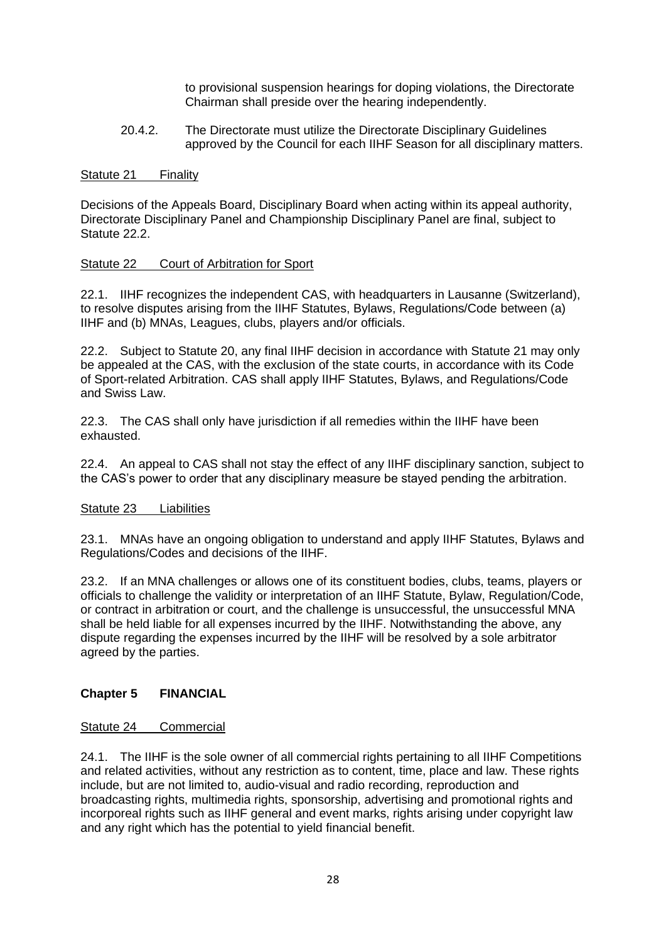to provisional suspension hearings for doping violations, the Directorate Chairman shall preside over the hearing independently.

20.4.2. The Directorate must utilize the Directorate Disciplinary Guidelines approved by the Council for each IIHF Season for all disciplinary matters.

### <span id="page-28-0"></span>Statute 21 Finality

Decisions of the Appeals Board, Disciplinary Board when acting within its appeal authority, Directorate Disciplinary Panel and Championship Disciplinary Panel are final, subject to Statute 22.2.

### <span id="page-28-1"></span>Statute 22 Court of Arbitration for Sport

22.1. IIHF recognizes the independent CAS, with headquarters in Lausanne (Switzerland), to resolve disputes arising from the IIHF Statutes, Bylaws, Regulations/Code between (a) IIHF and (b) MNAs, Leagues, clubs, players and/or officials.

22.2. Subject to Statute 20, any final IIHF decision in accordance with Statute 21 may only be appealed at the CAS, with the exclusion of the state courts, in accordance with its Code of Sport-related Arbitration. CAS shall apply IIHF Statutes, Bylaws, and Regulations/Code and Swiss Law.

22.3. The CAS shall only have jurisdiction if all remedies within the IIHF have been exhausted.

22.4. An appeal to CAS shall not stay the effect of any IIHF disciplinary sanction, subject to the CAS's power to order that any disciplinary measure be stayed pending the arbitration.

### <span id="page-28-2"></span>Statute 23 Liabilities

23.1. MNAs have an ongoing obligation to understand and apply IIHF Statutes, Bylaws and Regulations/Codes and decisions of the IIHF.

23.2. If an MNA challenges or allows one of its constituent bodies, clubs, teams, players or officials to challenge the validity or interpretation of an IIHF Statute, Bylaw, Regulation/Code, or contract in arbitration or court, and the challenge is unsuccessful, the unsuccessful MNA shall be held liable for all expenses incurred by the IIHF. Notwithstanding the above, any dispute regarding the expenses incurred by the IIHF will be resolved by a sole arbitrator agreed by the parties.

### <span id="page-28-3"></span>**Chapter 5 FINANCIAL**

### <span id="page-28-4"></span>Statute 24 Commercial

24.1. The IIHF is the sole owner of all commercial rights pertaining to all IIHF Competitions and related activities, without any restriction as to content, time, place and law. These rights include, but are not limited to, audio-visual and radio recording, reproduction and broadcasting rights, multimedia rights, sponsorship, advertising and promotional rights and incorporeal rights such as IIHF general and event marks, rights arising under copyright law and any right which has the potential to yield financial benefit.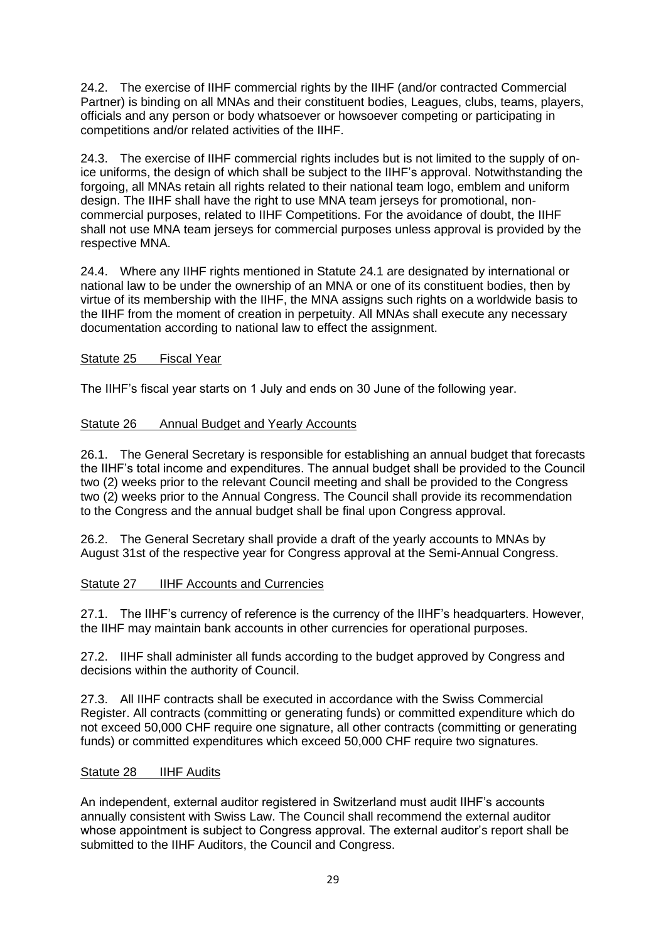24.2. The exercise of IIHF commercial rights by the IIHF (and/or contracted Commercial Partner) is binding on all MNAs and their constituent bodies, Leagues, clubs, teams, players, officials and any person or body whatsoever or howsoever competing or participating in competitions and/or related activities of the IIHF.

24.3. The exercise of IIHF commercial rights includes but is not limited to the supply of onice uniforms, the design of which shall be subject to the IIHF's approval. Notwithstanding the forgoing, all MNAs retain all rights related to their national team logo, emblem and uniform design. The IIHF shall have the right to use MNA team jerseys for promotional, noncommercial purposes, related to IIHF Competitions. For the avoidance of doubt, the IIHF shall not use MNA team jerseys for commercial purposes unless approval is provided by the respective MNA.

24.4. Where any IIHF rights mentioned in Statute 24.1 are designated by international or national law to be under the ownership of an MNA or one of its constituent bodies, then by virtue of its membership with the IIHF, the MNA assigns such rights on a worldwide basis to the IIHF from the moment of creation in perpetuity. All MNAs shall execute any necessary documentation according to national law to effect the assignment.

# <span id="page-29-0"></span>Statute 25 Fiscal Year

The IIHF's fiscal year starts on 1 July and ends on 30 June of the following year.

# <span id="page-29-1"></span>Statute 26 Annual Budget and Yearly Accounts

26.1. The General Secretary is responsible for establishing an annual budget that forecasts the IIHF's total income and expenditures. The annual budget shall be provided to the Council two (2) weeks prior to the relevant Council meeting and shall be provided to the Congress two (2) weeks prior to the Annual Congress. The Council shall provide its recommendation to the Congress and the annual budget shall be final upon Congress approval.

26.2. The General Secretary shall provide a draft of the yearly accounts to MNAs by August 31st of the respective year for Congress approval at the Semi-Annual Congress.

# <span id="page-29-2"></span>Statute 27 **IIHF Accounts and Currencies**

27.1. The IIHF's currency of reference is the currency of the IIHF's headquarters. However, the IIHF may maintain bank accounts in other currencies for operational purposes.

27.2. IIHF shall administer all funds according to the budget approved by Congress and decisions within the authority of Council.

27.3. All IIHF contracts shall be executed in accordance with the Swiss Commercial Register. All contracts (committing or generating funds) or committed expenditure which do not exceed 50,000 CHF require one signature, all other contracts (committing or generating funds) or committed expenditures which exceed 50,000 CHF require two signatures.

# <span id="page-29-3"></span>Statute 28 IIHF Audits

An independent, external auditor registered in Switzerland must audit IIHF's accounts annually consistent with Swiss Law. The Council shall recommend the external auditor whose appointment is subject to Congress approval. The external auditor's report shall be submitted to the IIHF Auditors, the Council and Congress.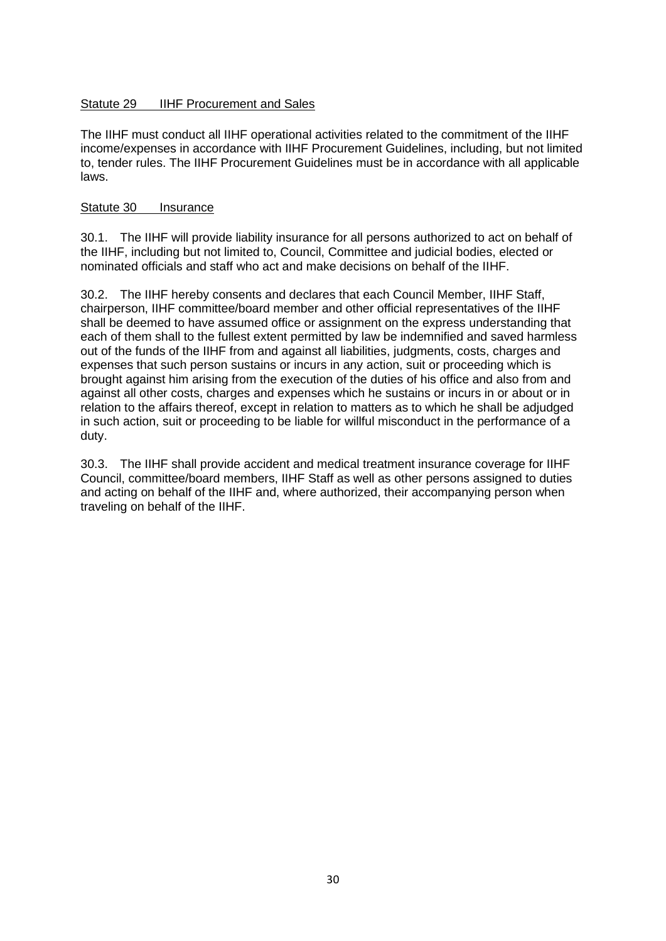### <span id="page-30-0"></span>Statute 29 **IIHF Procurement and Sales**

The IIHF must conduct all IIHF operational activities related to the commitment of the IIHF income/expenses in accordance with IIHF Procurement Guidelines, including, but not limited to, tender rules. The IIHF Procurement Guidelines must be in accordance with all applicable laws.

### <span id="page-30-1"></span>Statute 30 Insurance

30.1. The IIHF will provide liability insurance for all persons authorized to act on behalf of the IIHF, including but not limited to, Council, Committee and judicial bodies, elected or nominated officials and staff who act and make decisions on behalf of the IIHF.

30.2. The IIHF hereby consents and declares that each Council Member, IIHF Staff, chairperson, IIHF committee/board member and other official representatives of the IIHF shall be deemed to have assumed office or assignment on the express understanding that each of them shall to the fullest extent permitted by law be indemnified and saved harmless out of the funds of the IIHF from and against all liabilities, judgments, costs, charges and expenses that such person sustains or incurs in any action, suit or proceeding which is brought against him arising from the execution of the duties of his office and also from and against all other costs, charges and expenses which he sustains or incurs in or about or in relation to the affairs thereof, except in relation to matters as to which he shall be adjudged in such action, suit or proceeding to be liable for willful misconduct in the performance of a duty.

30.3. The IIHF shall provide accident and medical treatment insurance coverage for IIHF Council, committee/board members, IIHF Staff as well as other persons assigned to duties and acting on behalf of the IIHF and, where authorized, their accompanying person when traveling on behalf of the IIHF.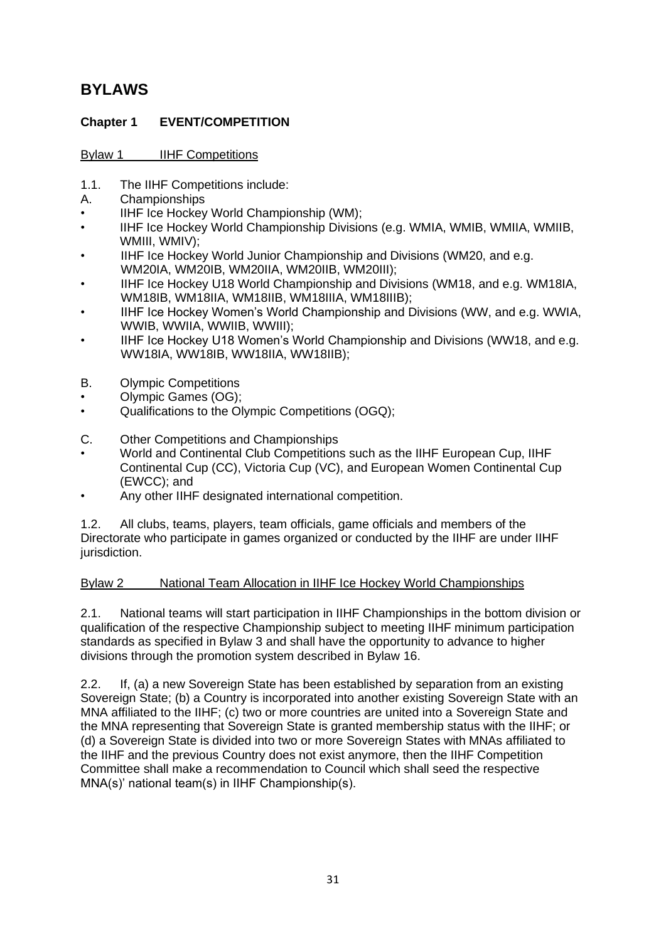# <span id="page-31-0"></span>**BYLAWS**

# <span id="page-31-1"></span>**Chapter 1 EVENT/COMPETITION**

# <span id="page-31-2"></span>Bylaw 1 **IIHF** Competitions

- 1.1. The IIHF Competitions include:
- A. Championships
- IIHF Ice Hockey World Championship (WM);
- IIHF Ice Hockey World Championship Divisions (e.g. WMIA, WMIB, WMIIA, WMIIB, WMIII, WMIV);
- IIHF Ice Hockey World Junior Championship and Divisions (WM20, and e.g. WM20IA, WM20IB, WM20IIA, WM20IIB, WM20III);
- IIHF Ice Hockey U18 World Championship and Divisions (WM18, and e.g. WM18IA, WM18IB, WM18IIA, WM18IIB, WM18IIIA, WM18IIIB);
- IIHF Ice Hockey Women's World Championship and Divisions (WW, and e.g. WWIA, WWIB, WWIIA, WWIIB, WWIII);
- IIHF Ice Hockey U18 Women's World Championship and Divisions (WW18, and e.g. WW18IA, WW18IB, WW18IIA, WW18IIB);
- B. Olympic Competitions
- Olympic Games (OG);
- Qualifications to the Olympic Competitions (OGQ);
- C. Other Competitions and Championships
- World and Continental Club Competitions such as the IIHF European Cup, IIHF Continental Cup (CC), Victoria Cup (VC), and European Women Continental Cup (EWCC); and
- Any other IIHF designated international competition.

1.2. All clubs, teams, players, team officials, game officials and members of the Directorate who participate in games organized or conducted by the IIHF are under IIHF jurisdiction.

# <span id="page-31-3"></span>Bylaw 2 National Team Allocation in IIHF Ice Hockey World Championships

2.1. National teams will start participation in IIHF Championships in the bottom division or qualification of the respective Championship subject to meeting IIHF minimum participation standards as specified in Bylaw 3 and shall have the opportunity to advance to higher divisions through the promotion system described in Bylaw 16.

2.2. If, (a) a new Sovereign State has been established by separation from an existing Sovereign State; (b) a Country is incorporated into another existing Sovereign State with an MNA affiliated to the IIHF; (c) two or more countries are united into a Sovereign State and the MNA representing that Sovereign State is granted membership status with the IIHF; or (d) a Sovereign State is divided into two or more Sovereign States with MNAs affiliated to the IIHF and the previous Country does not exist anymore, then the IIHF Competition Committee shall make a recommendation to Council which shall seed the respective MNA(s)' national team(s) in IIHF Championship(s).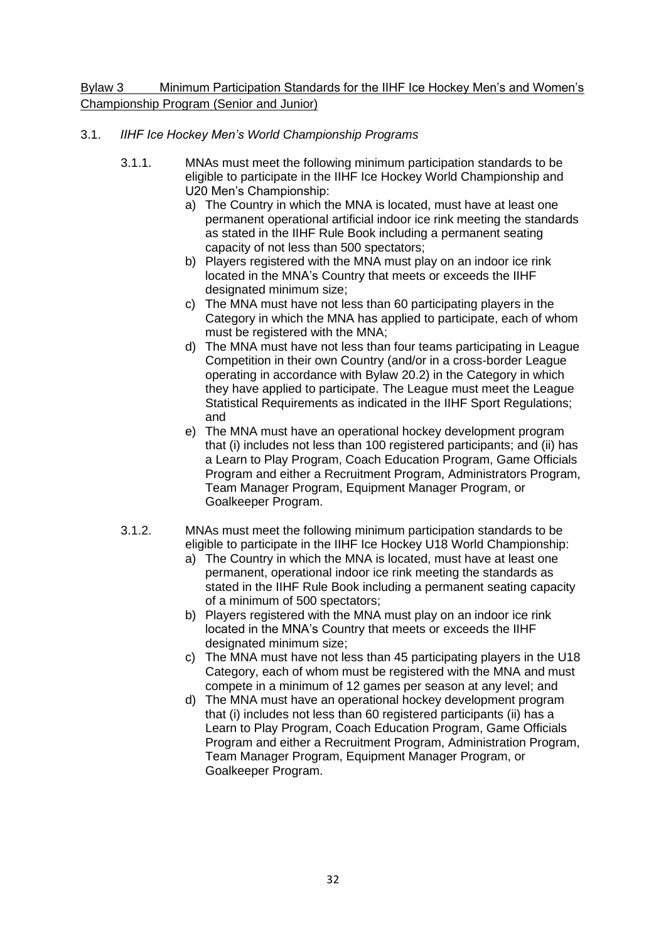<span id="page-32-0"></span>Bylaw 3 Minimum Participation Standards for the IIHF Ice Hockey Men's and Women's Championship Program (Senior and Junior)

# 3.1. *IIHF Ice Hockey Men's World Championship Programs*

- 3.1.1. MNAs must meet the following minimum participation standards to be eligible to participate in the IIHF Ice Hockey World Championship and U20 Men's Championship:
	- a) The Country in which the MNA is located, must have at least one permanent operational artificial indoor ice rink meeting the standards as stated in the IIHF Rule Book including a permanent seating capacity of not less than 500 spectators;
	- b) Players registered with the MNA must play on an indoor ice rink located in the MNA's Country that meets or exceeds the IIHF designated minimum size;
	- c) The MNA must have not less than 60 participating players in the Category in which the MNA has applied to participate, each of whom must be registered with the MNA;
	- d) The MNA must have not less than four teams participating in League Competition in their own Country (and/or in a cross-border League operating in accordance with Bylaw 20.2) in the Category in which they have applied to participate. The League must meet the League Statistical Requirements as indicated in the IIHF Sport Regulations; and
	- e) The MNA must have an operational hockey development program that (i) includes not less than 100 registered participants; and (ii) has a Learn to Play Program, Coach Education Program, Game Officials Program and either a Recruitment Program, Administrators Program, Team Manager Program, Equipment Manager Program, or Goalkeeper Program.
- 3.1.2. MNAs must meet the following minimum participation standards to be eligible to participate in the IIHF Ice Hockey U18 World Championship:
	- a) The Country in which the MNA is located, must have at least one permanent, operational indoor ice rink meeting the standards as stated in the IIHF Rule Book including a permanent seating capacity of a minimum of 500 spectators;
	- b) Players registered with the MNA must play on an indoor ice rink located in the MNA's Country that meets or exceeds the IIHF designated minimum size;
	- c) The MNA must have not less than 45 participating players in the U18 Category, each of whom must be registered with the MNA and must compete in a minimum of 12 games per season at any level; and
	- d) The MNA must have an operational hockey development program that (i) includes not less than 60 registered participants (ii) has a Learn to Play Program, Coach Education Program, Game Officials Program and either a Recruitment Program, Administration Program, Team Manager Program, Equipment Manager Program, or Goalkeeper Program.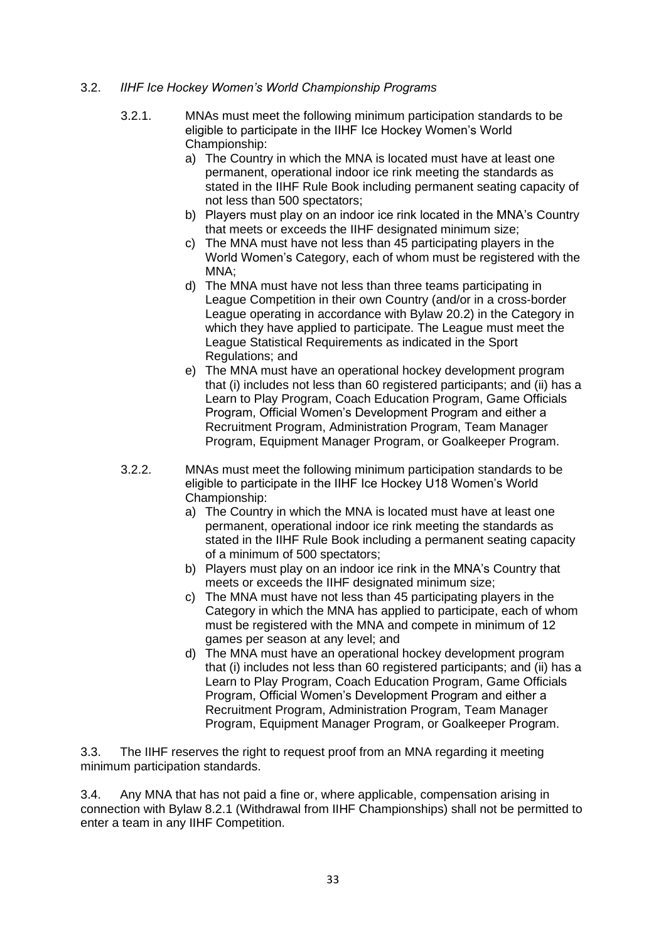### 3.2. *IIHF Ice Hockey Women's World Championship Programs*

- 3.2.1. MNAs must meet the following minimum participation standards to be eligible to participate in the IIHF Ice Hockey Women's World Championship:
	- a) The Country in which the MNA is located must have at least one permanent, operational indoor ice rink meeting the standards as stated in the IIHF Rule Book including permanent seating capacity of not less than 500 spectators;
	- b) Players must play on an indoor ice rink located in the MNA's Country that meets or exceeds the IIHF designated minimum size;
	- c) The MNA must have not less than 45 participating players in the World Women's Category, each of whom must be registered with the MNA;
	- d) The MNA must have not less than three teams participating in League Competition in their own Country (and/or in a cross-border League operating in accordance with Bylaw 20.2) in the Category in which they have applied to participate. The League must meet the League Statistical Requirements as indicated in the Sport Regulations; and
	- e) The MNA must have an operational hockey development program that (i) includes not less than 60 registered participants; and (ii) has a Learn to Play Program, Coach Education Program, Game Officials Program, Official Women's Development Program and either a Recruitment Program, Administration Program, Team Manager Program, Equipment Manager Program, or Goalkeeper Program.
- 3.2.2. MNAs must meet the following minimum participation standards to be eligible to participate in the IIHF Ice Hockey U18 Women's World Championship:
	- a) The Country in which the MNA is located must have at least one permanent, operational indoor ice rink meeting the standards as stated in the IIHF Rule Book including a permanent seating capacity of a minimum of 500 spectators;
	- b) Players must play on an indoor ice rink in the MNA's Country that meets or exceeds the IIHF designated minimum size;
	- c) The MNA must have not less than 45 participating players in the Category in which the MNA has applied to participate, each of whom must be registered with the MNA and compete in minimum of 12 games per season at any level; and
	- d) The MNA must have an operational hockey development program that (i) includes not less than 60 registered participants; and (ii) has a Learn to Play Program, Coach Education Program, Game Officials Program, Official Women's Development Program and either a Recruitment Program, Administration Program, Team Manager Program, Equipment Manager Program, or Goalkeeper Program.

3.3. The IIHF reserves the right to request proof from an MNA regarding it meeting minimum participation standards.

3.4. Any MNA that has not paid a fine or, where applicable, compensation arising in connection with Bylaw 8.2.1 (Withdrawal from IIHF Championships) shall not be permitted to enter a team in any IIHF Competition.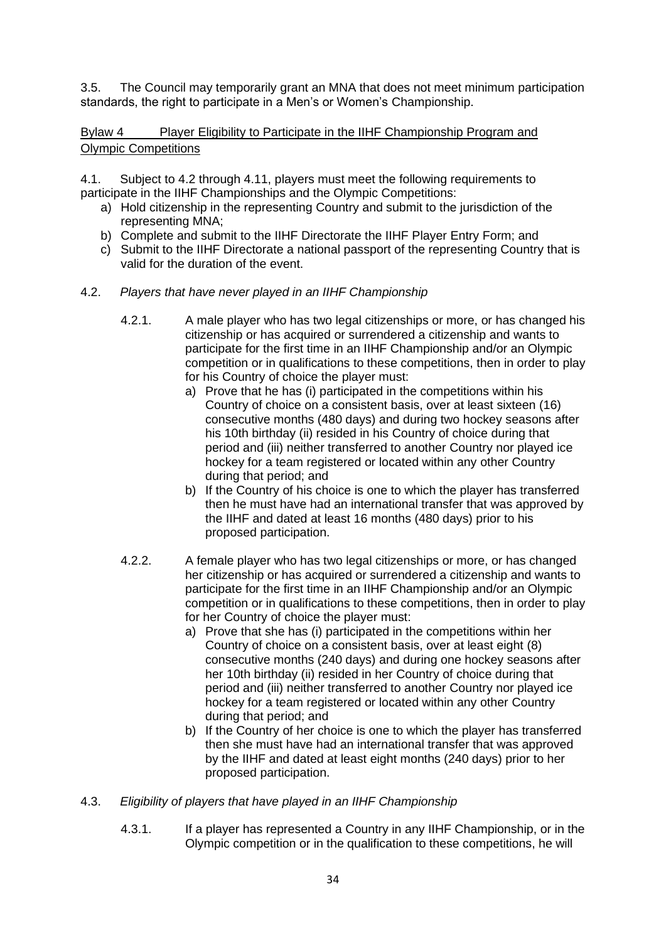3.5. The Council may temporarily grant an MNA that does not meet minimum participation standards, the right to participate in a Men's or Women's Championship.

<span id="page-34-0"></span>Bylaw 4 Player Eligibility to Participate in the IIHF Championship Program and Olympic Competitions

4.1. Subject to 4.2 through 4.11, players must meet the following requirements to participate in the IIHF Championships and the Olympic Competitions:

- a) Hold citizenship in the representing Country and submit to the jurisdiction of the representing MNA;
- b) Complete and submit to the IIHF Directorate the IIHF Player Entry Form; and
- c) Submit to the IIHF Directorate a national passport of the representing Country that is valid for the duration of the event.
- 4.2. *Players that have never played in an IIHF Championship*
	- 4.2.1. A male player who has two legal citizenships or more, or has changed his citizenship or has acquired or surrendered a citizenship and wants to participate for the first time in an IIHF Championship and/or an Olympic competition or in qualifications to these competitions, then in order to play for his Country of choice the player must:
		- a) Prove that he has (i) participated in the competitions within his Country of choice on a consistent basis, over at least sixteen (16) consecutive months (480 days) and during two hockey seasons after his 10th birthday (ii) resided in his Country of choice during that period and (iii) neither transferred to another Country nor played ice hockey for a team registered or located within any other Country during that period; and
		- b) If the Country of his choice is one to which the player has transferred then he must have had an international transfer that was approved by the IIHF and dated at least 16 months (480 days) prior to his proposed participation.
	- 4.2.2. A female player who has two legal citizenships or more, or has changed her citizenship or has acquired or surrendered a citizenship and wants to participate for the first time in an IIHF Championship and/or an Olympic competition or in qualifications to these competitions, then in order to play for her Country of choice the player must:
		- a) Prove that she has (i) participated in the competitions within her Country of choice on a consistent basis, over at least eight (8) consecutive months (240 days) and during one hockey seasons after her 10th birthday (ii) resided in her Country of choice during that period and (iii) neither transferred to another Country nor played ice hockey for a team registered or located within any other Country during that period; and
		- b) If the Country of her choice is one to which the player has transferred then she must have had an international transfer that was approved by the IIHF and dated at least eight months (240 days) prior to her proposed participation.
- 4.3. *Eligibility of players that have played in an IIHF Championship*
	- 4.3.1. If a player has represented a Country in any IIHF Championship, or in the Olympic competition or in the qualification to these competitions, he will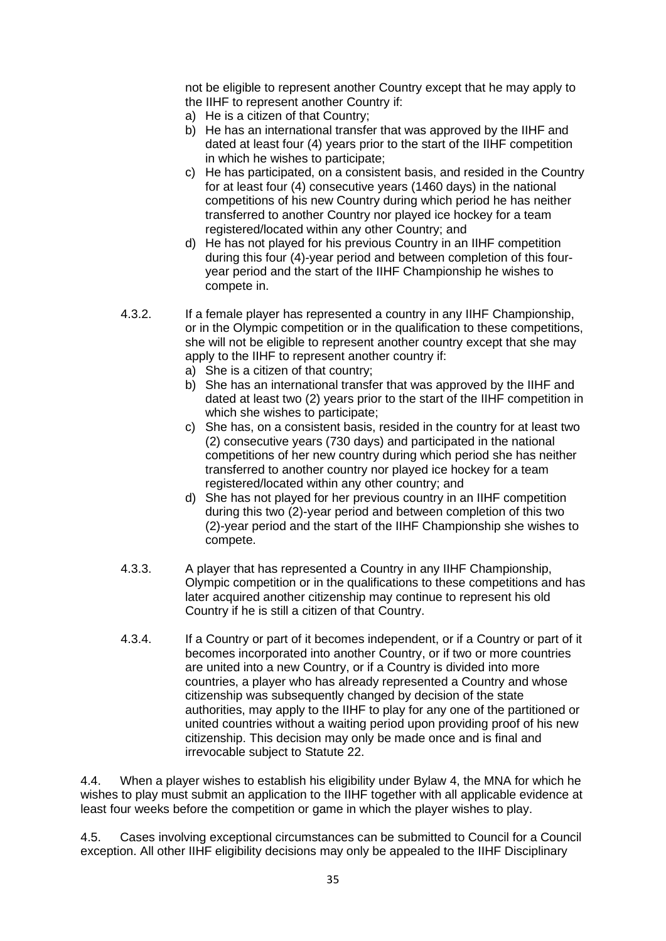not be eligible to represent another Country except that he may apply to the IIHF to represent another Country if:

- a) He is a citizen of that Country;
- b) He has an international transfer that was approved by the IIHF and dated at least four (4) years prior to the start of the IIHF competition in which he wishes to participate;
- c) He has participated, on a consistent basis, and resided in the Country for at least four (4) consecutive years (1460 days) in the national competitions of his new Country during which period he has neither transferred to another Country nor played ice hockey for a team registered/located within any other Country; and
- d) He has not played for his previous Country in an IIHF competition during this four (4)-year period and between completion of this fouryear period and the start of the IIHF Championship he wishes to compete in.
- 4.3.2. If a female player has represented a country in any IIHF Championship, or in the Olympic competition or in the qualification to these competitions, she will not be eligible to represent another country except that she may apply to the IIHF to represent another country if:
	- a) She is a citizen of that country;
	- b) She has an international transfer that was approved by the IIHF and dated at least two (2) years prior to the start of the IIHF competition in which she wishes to participate;
	- c) She has, on a consistent basis, resided in the country for at least two (2) consecutive years (730 days) and participated in the national competitions of her new country during which period she has neither transferred to another country nor played ice hockey for a team registered/located within any other country; and
	- d) She has not played for her previous country in an IIHF competition during this two (2)-year period and between completion of this two (2)-year period and the start of the IIHF Championship she wishes to compete.
- 4.3.3. A player that has represented a Country in any IIHF Championship, Olympic competition or in the qualifications to these competitions and has later acquired another citizenship may continue to represent his old Country if he is still a citizen of that Country.
- 4.3.4. If a Country or part of it becomes independent, or if a Country or part of it becomes incorporated into another Country, or if two or more countries are united into a new Country, or if a Country is divided into more countries, a player who has already represented a Country and whose citizenship was subsequently changed by decision of the state authorities, may apply to the IIHF to play for any one of the partitioned or united countries without a waiting period upon providing proof of his new citizenship. This decision may only be made once and is final and irrevocable subject to Statute 22.

4.4. When a player wishes to establish his eligibility under Bylaw 4, the MNA for which he wishes to play must submit an application to the IIHF together with all applicable evidence at least four weeks before the competition or game in which the player wishes to play.

4.5. Cases involving exceptional circumstances can be submitted to Council for a Council exception. All other IIHF eligibility decisions may only be appealed to the IIHF Disciplinary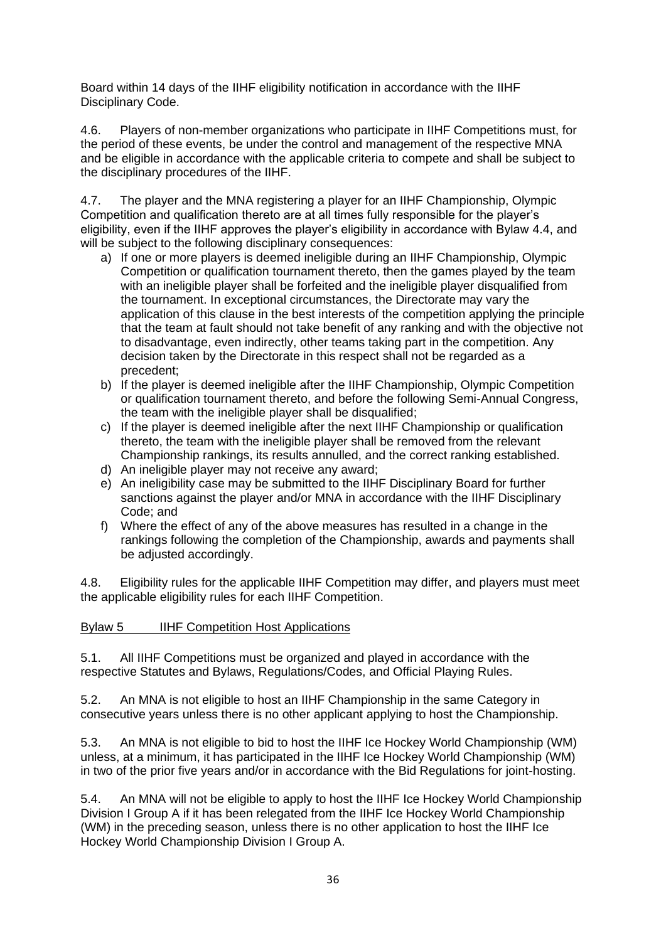Board within 14 days of the IIHF eligibility notification in accordance with the IIHF Disciplinary Code.

4.6. Players of non-member organizations who participate in IIHF Competitions must, for the period of these events, be under the control and management of the respective MNA and be eligible in accordance with the applicable criteria to compete and shall be subject to the disciplinary procedures of the IIHF.

4.7. The player and the MNA registering a player for an IIHF Championship, Olympic Competition and qualification thereto are at all times fully responsible for the player's eligibility, even if the IIHF approves the player's eligibility in accordance with Bylaw 4.4, and will be subject to the following disciplinary consequences:

- a) If one or more players is deemed ineligible during an IIHF Championship, Olympic Competition or qualification tournament thereto, then the games played by the team with an ineligible player shall be forfeited and the ineligible player disqualified from the tournament. In exceptional circumstances, the Directorate may vary the application of this clause in the best interests of the competition applying the principle that the team at fault should not take benefit of any ranking and with the objective not to disadvantage, even indirectly, other teams taking part in the competition. Any decision taken by the Directorate in this respect shall not be regarded as a precedent;
- b) If the player is deemed ineligible after the IIHF Championship, Olympic Competition or qualification tournament thereto, and before the following Semi-Annual Congress, the team with the ineligible player shall be disqualified;
- c) If the player is deemed ineligible after the next IIHF Championship or qualification thereto, the team with the ineligible player shall be removed from the relevant Championship rankings, its results annulled, and the correct ranking established.
- d) An ineligible player may not receive any award;
- e) An ineligibility case may be submitted to the IIHF Disciplinary Board for further sanctions against the player and/or MNA in accordance with the IIHF Disciplinary Code; and
- f) Where the effect of any of the above measures has resulted in a change in the rankings following the completion of the Championship, awards and payments shall be adjusted accordingly.

4.8. Eligibility rules for the applicable IIHF Competition may differ, and players must meet the applicable eligibility rules for each IIHF Competition.

# <span id="page-36-0"></span>Bylaw 5 IIHF Competition Host Applications

5.1. All IIHF Competitions must be organized and played in accordance with the respective Statutes and Bylaws, Regulations/Codes, and Official Playing Rules.

5.2. An MNA is not eligible to host an IIHF Championship in the same Category in consecutive years unless there is no other applicant applying to host the Championship.

5.3. An MNA is not eligible to bid to host the IIHF Ice Hockey World Championship (WM) unless, at a minimum, it has participated in the IIHF Ice Hockey World Championship (WM) in two of the prior five years and/or in accordance with the Bid Regulations for joint-hosting.

5.4. An MNA will not be eligible to apply to host the IIHF Ice Hockey World Championship Division I Group A if it has been relegated from the IIHF Ice Hockey World Championship (WM) in the preceding season, unless there is no other application to host the IIHF Ice Hockey World Championship Division I Group A.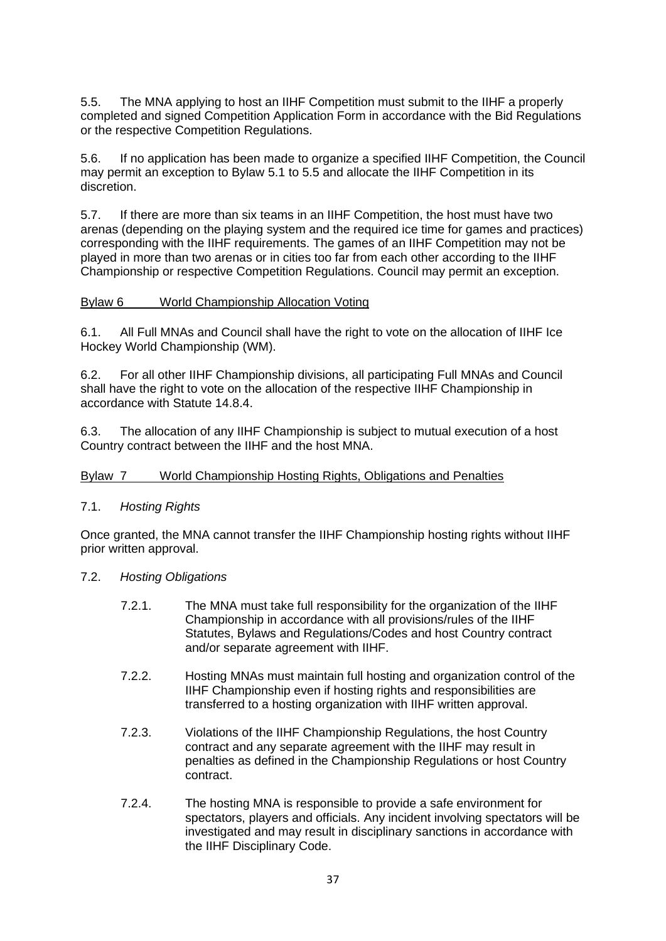5.5. The MNA applying to host an IIHF Competition must submit to the IIHF a properly completed and signed Competition Application Form in accordance with the Bid Regulations or the respective Competition Regulations.

5.6. If no application has been made to organize a specified IIHF Competition, the Council may permit an exception to Bylaw 5.1 to 5.5 and allocate the IIHF Competition in its discretion.

5.7. If there are more than six teams in an IIHF Competition, the host must have two arenas (depending on the playing system and the required ice time for games and practices) corresponding with the IIHF requirements. The games of an IIHF Competition may not be played in more than two arenas or in cities too far from each other according to the IIHF Championship or respective Competition Regulations. Council may permit an exception.

### <span id="page-37-0"></span>Bylaw 6 World Championship Allocation Voting

6.1. All Full MNAs and Council shall have the right to vote on the allocation of IIHF Ice Hockey World Championship (WM).

6.2. For all other IIHF Championship divisions, all participating Full MNAs and Council shall have the right to vote on the allocation of the respective IIHF Championship in accordance with Statute 14.8.4.

6.3. The allocation of any IIHF Championship is subject to mutual execution of a host Country contract between the IIHF and the host MNA.

# <span id="page-37-1"></span>Bylaw 7 World Championship Hosting Rights, Obligations and Penalties

### 7.1. *Hosting Rights*

Once granted, the MNA cannot transfer the IIHF Championship hosting rights without IIHF prior written approval.

# 7.2. *Hosting Obligations*

- 7.2.1. The MNA must take full responsibility for the organization of the IIHF Championship in accordance with all provisions/rules of the IIHF Statutes, Bylaws and Regulations/Codes and host Country contract and/or separate agreement with IIHF.
- 7.2.2. Hosting MNAs must maintain full hosting and organization control of the IIHF Championship even if hosting rights and responsibilities are transferred to a hosting organization with IIHF written approval.
- 7.2.3. Violations of the IIHF Championship Regulations, the host Country contract and any separate agreement with the IIHF may result in penalties as defined in the Championship Regulations or host Country contract.
- 7.2.4. The hosting MNA is responsible to provide a safe environment for spectators, players and officials. Any incident involving spectators will be investigated and may result in disciplinary sanctions in accordance with the IIHF Disciplinary Code.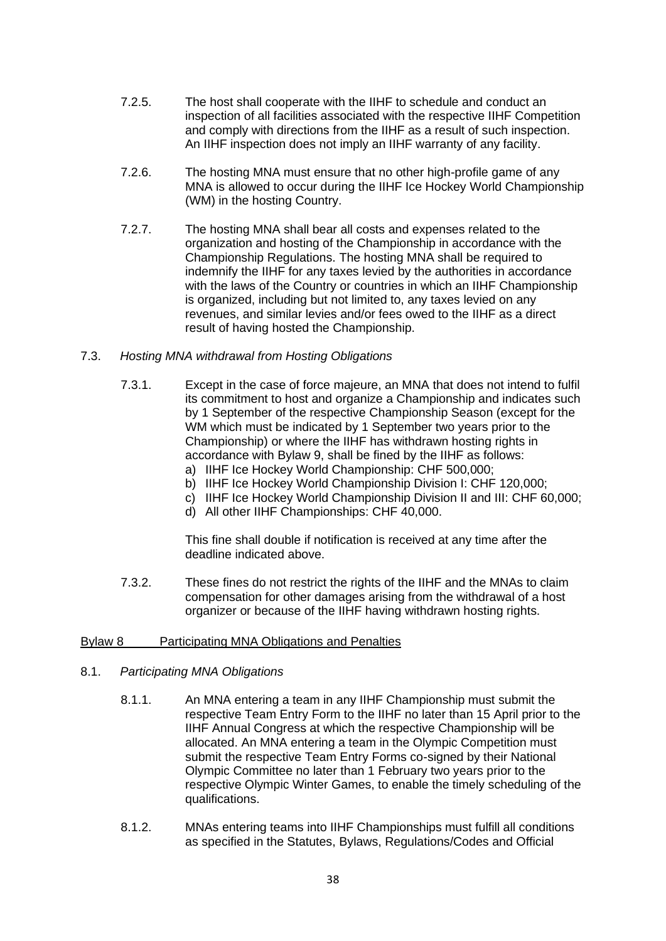- 7.2.5. The host shall cooperate with the IIHF to schedule and conduct an inspection of all facilities associated with the respective IIHF Competition and comply with directions from the IIHF as a result of such inspection. An IIHF inspection does not imply an IIHF warranty of any facility.
- 7.2.6. The hosting MNA must ensure that no other high-profile game of any MNA is allowed to occur during the IIHF Ice Hockey World Championship (WM) in the hosting Country.
- 7.2.7. The hosting MNA shall bear all costs and expenses related to the organization and hosting of the Championship in accordance with the Championship Regulations. The hosting MNA shall be required to indemnify the IIHF for any taxes levied by the authorities in accordance with the laws of the Country or countries in which an IIHF Championship is organized, including but not limited to, any taxes levied on any revenues, and similar levies and/or fees owed to the IIHF as a direct result of having hosted the Championship.

### 7.3. *Hosting MNA withdrawal from Hosting Obligations*

- 7.3.1. Except in the case of force majeure, an MNA that does not intend to fulfil its commitment to host and organize a Championship and indicates such by 1 September of the respective Championship Season (except for the WM which must be indicated by 1 September two years prior to the Championship) or where the IIHF has withdrawn hosting rights in accordance with Bylaw 9, shall be fined by the IIHF as follows: a) IIHF Ice Hockey World Championship: CHF 500,000;
	-
	- b) IIHF Ice Hockey World Championship Division I: CHF 120,000;
	- c) IIHF Ice Hockey World Championship Division II and III: CHF 60,000;
	- d) All other IIHF Championships: CHF 40,000.

This fine shall double if notification is received at any time after the deadline indicated above.

7.3.2. These fines do not restrict the rights of the IIHF and the MNAs to claim compensation for other damages arising from the withdrawal of a host organizer or because of the IIHF having withdrawn hosting rights.

# <span id="page-38-0"></span>Bylaw 8 Participating MNA Obligations and Penalties

- 8.1. *Participating MNA Obligations*
	- 8.1.1. An MNA entering a team in any IIHF Championship must submit the respective Team Entry Form to the IIHF no later than 15 April prior to the IIHF Annual Congress at which the respective Championship will be allocated. An MNA entering a team in the Olympic Competition must submit the respective Team Entry Forms co-signed by their National Olympic Committee no later than 1 February two years prior to the respective Olympic Winter Games, to enable the timely scheduling of the qualifications.
	- 8.1.2. MNAs entering teams into IIHF Championships must fulfill all conditions as specified in the Statutes, Bylaws, Regulations/Codes and Official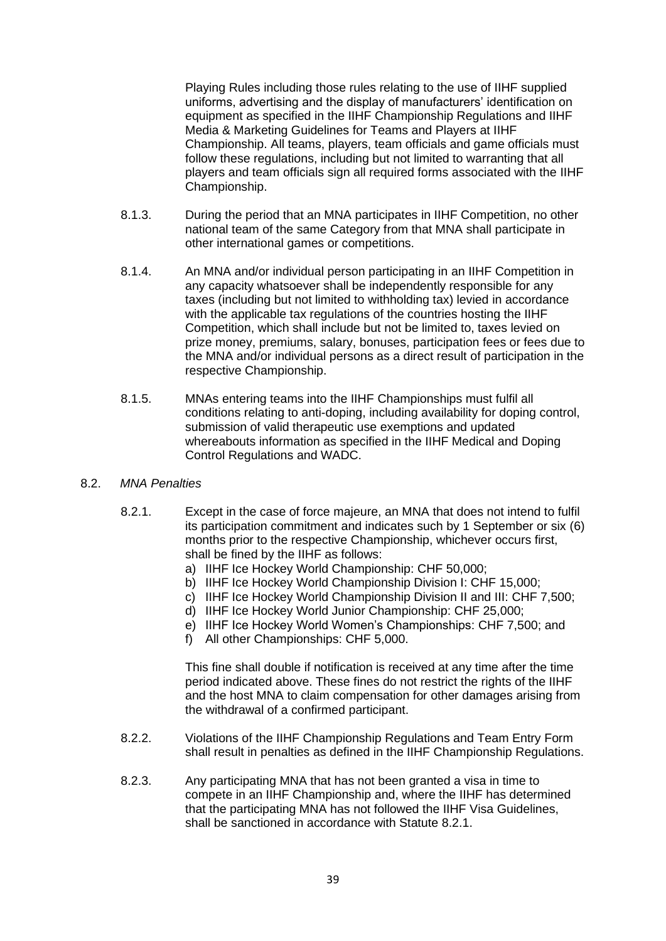Playing Rules including those rules relating to the use of IIHF supplied uniforms, advertising and the display of manufacturers' identification on equipment as specified in the IIHF Championship Regulations and IIHF Media & Marketing Guidelines for Teams and Players at IIHF Championship. All teams, players, team officials and game officials must follow these regulations, including but not limited to warranting that all players and team officials sign all required forms associated with the IIHF Championship.

- 8.1.3. During the period that an MNA participates in IIHF Competition, no other national team of the same Category from that MNA shall participate in other international games or competitions.
- 8.1.4. An MNA and/or individual person participating in an IIHF Competition in any capacity whatsoever shall be independently responsible for any taxes (including but not limited to withholding tax) levied in accordance with the applicable tax regulations of the countries hosting the IIHF Competition, which shall include but not be limited to, taxes levied on prize money, premiums, salary, bonuses, participation fees or fees due to the MNA and/or individual persons as a direct result of participation in the respective Championship.
- 8.1.5. MNAs entering teams into the IIHF Championships must fulfil all conditions relating to anti-doping, including availability for doping control, submission of valid therapeutic use exemptions and updated whereabouts information as specified in the IIHF Medical and Doping Control Regulations and WADC.

### 8.2. *MNA Penalties*

- 8.2.1. Except in the case of force majeure, an MNA that does not intend to fulfil its participation commitment and indicates such by 1 September or six (6) months prior to the respective Championship, whichever occurs first, shall be fined by the IIHF as follows:
	- a) IIHF Ice Hockey World Championship: CHF 50,000;
	- b) IIHF Ice Hockey World Championship Division I: CHF 15,000;
	- c) IIHF Ice Hockey World Championship Division II and III: CHF 7,500;
	- d) IIHF Ice Hockey World Junior Championship: CHF 25,000;
	- e) IIHF Ice Hockey World Women's Championships: CHF 7,500; and
	- f) All other Championships: CHF 5,000.

This fine shall double if notification is received at any time after the time period indicated above. These fines do not restrict the rights of the IIHF and the host MNA to claim compensation for other damages arising from the withdrawal of a confirmed participant.

- 8.2.2. Violations of the IIHF Championship Regulations and Team Entry Form shall result in penalties as defined in the IIHF Championship Regulations.
- 8.2.3. Any participating MNA that has not been granted a visa in time to compete in an IIHF Championship and, where the IIHF has determined that the participating MNA has not followed the IIHF Visa Guidelines, shall be sanctioned in accordance with Statute 8.2.1.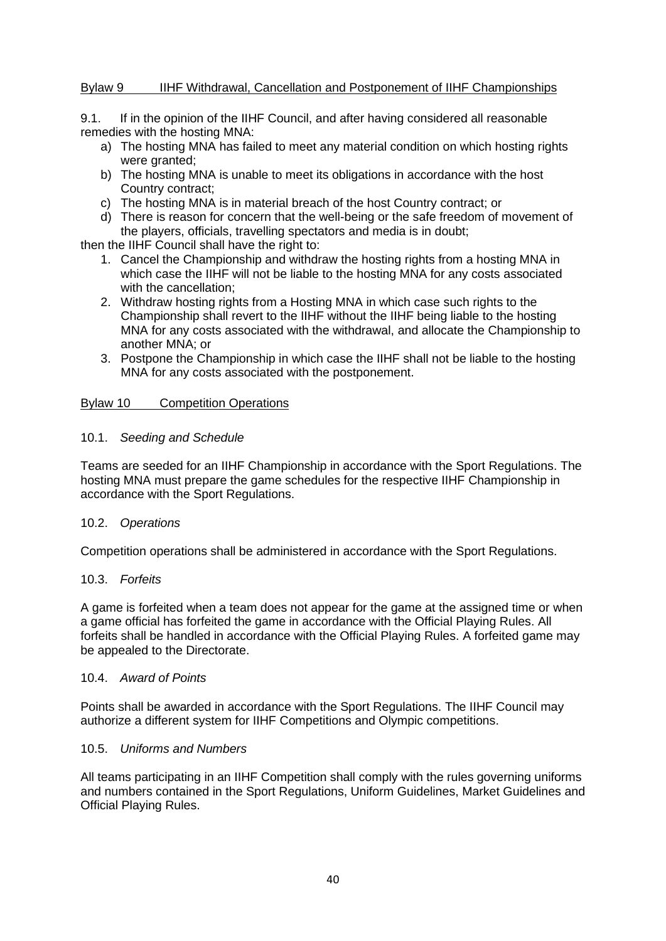### <span id="page-40-0"></span>Bylaw 9 IIHF Withdrawal, Cancellation and Postponement of IIHF Championships

9.1. If in the opinion of the IIHF Council, and after having considered all reasonable remedies with the hosting MNA:

- a) The hosting MNA has failed to meet any material condition on which hosting rights were granted;
- b) The hosting MNA is unable to meet its obligations in accordance with the host Country contract;
- c) The hosting MNA is in material breach of the host Country contract; or
- d) There is reason for concern that the well-being or the safe freedom of movement of the players, officials, travelling spectators and media is in doubt;

then the IIHF Council shall have the right to:

- 1. Cancel the Championship and withdraw the hosting rights from a hosting MNA in which case the IIHF will not be liable to the hosting MNA for any costs associated with the cancellation;
- 2. Withdraw hosting rights from a Hosting MNA in which case such rights to the Championship shall revert to the IIHF without the IIHF being liable to the hosting MNA for any costs associated with the withdrawal, and allocate the Championship to another MNA; or
- 3. Postpone the Championship in which case the IIHF shall not be liable to the hosting MNA for any costs associated with the postponement.

### <span id="page-40-1"></span>Bylaw 10 Competition Operations

### 10.1. *Seeding and Schedule*

Teams are seeded for an IIHF Championship in accordance with the Sport Regulations. The hosting MNA must prepare the game schedules for the respective IIHF Championship in accordance with the Sport Regulations.

### 10.2. *Operations*

Competition operations shall be administered in accordance with the Sport Regulations.

### 10.3. *Forfeits*

A game is forfeited when a team does not appear for the game at the assigned time or when a game official has forfeited the game in accordance with the Official Playing Rules. All forfeits shall be handled in accordance with the Official Playing Rules. A forfeited game may be appealed to the Directorate.

### 10.4. *Award of Points*

Points shall be awarded in accordance with the Sport Regulations. The IIHF Council may authorize a different system for IIHF Competitions and Olympic competitions.

### 10.5. *Uniforms and Numbers*

All teams participating in an IIHF Competition shall comply with the rules governing uniforms and numbers contained in the Sport Regulations, Uniform Guidelines, Market Guidelines and Official Playing Rules.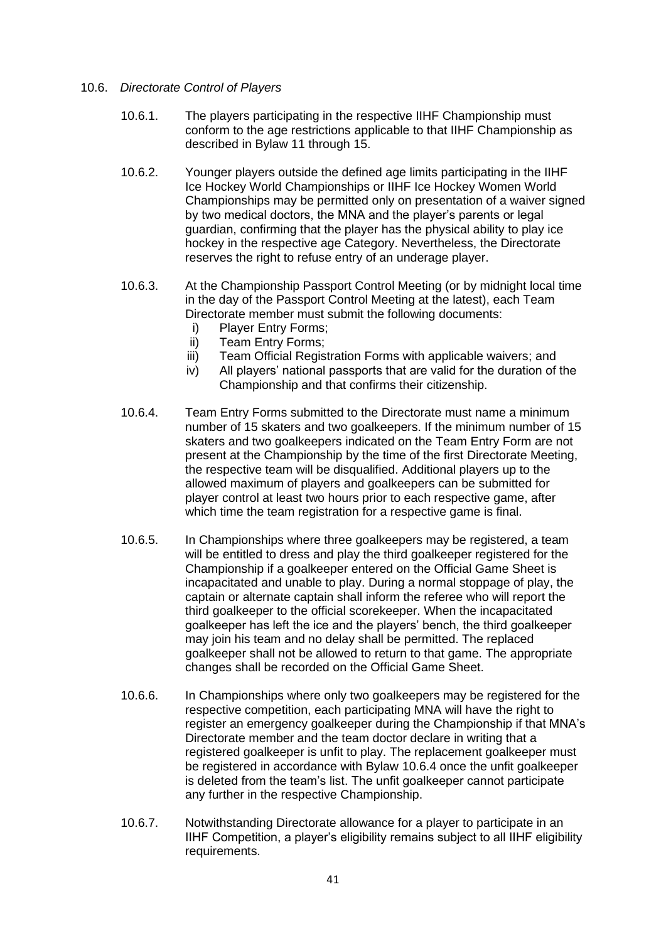### 10.6. *Directorate Control of Players*

- 10.6.1. The players participating in the respective IIHF Championship must conform to the age restrictions applicable to that IIHF Championship as described in Bylaw 11 through 15.
- 10.6.2. Younger players outside the defined age limits participating in the IIHF Ice Hockey World Championships or IIHF Ice Hockey Women World Championships may be permitted only on presentation of a waiver signed by two medical doctors, the MNA and the player's parents or legal guardian, confirming that the player has the physical ability to play ice hockey in the respective age Category. Nevertheless, the Directorate reserves the right to refuse entry of an underage player.
- 10.6.3. At the Championship Passport Control Meeting (or by midnight local time in the day of the Passport Control Meeting at the latest), each Team Directorate member must submit the following documents:
	- i) Player Entry Forms;
	- ii) Team Entry Forms;
	- iii) Team Official Registration Forms with applicable waivers; and
	- iv) All players' national passports that are valid for the duration of the Championship and that confirms their citizenship.
- 10.6.4. Team Entry Forms submitted to the Directorate must name a minimum number of 15 skaters and two goalkeepers. If the minimum number of 15 skaters and two goalkeepers indicated on the Team Entry Form are not present at the Championship by the time of the first Directorate Meeting, the respective team will be disqualified. Additional players up to the allowed maximum of players and goalkeepers can be submitted for player control at least two hours prior to each respective game, after which time the team registration for a respective game is final.
- 10.6.5. In Championships where three goalkeepers may be registered, a team will be entitled to dress and play the third goalkeeper registered for the Championship if a goalkeeper entered on the Official Game Sheet is incapacitated and unable to play. During a normal stoppage of play, the captain or alternate captain shall inform the referee who will report the third goalkeeper to the official scorekeeper. When the incapacitated goalkeeper has left the ice and the players' bench, the third goalkeeper may join his team and no delay shall be permitted. The replaced goalkeeper shall not be allowed to return to that game. The appropriate changes shall be recorded on the Official Game Sheet.
- 10.6.6. In Championships where only two goalkeepers may be registered for the respective competition, each participating MNA will have the right to register an emergency goalkeeper during the Championship if that MNA's Directorate member and the team doctor declare in writing that a registered goalkeeper is unfit to play. The replacement goalkeeper must be registered in accordance with Bylaw 10.6.4 once the unfit goalkeeper is deleted from the team's list. The unfit goalkeeper cannot participate any further in the respective Championship.
- 10.6.7. Notwithstanding Directorate allowance for a player to participate in an IIHF Competition, a player's eligibility remains subject to all IIHF eligibility requirements.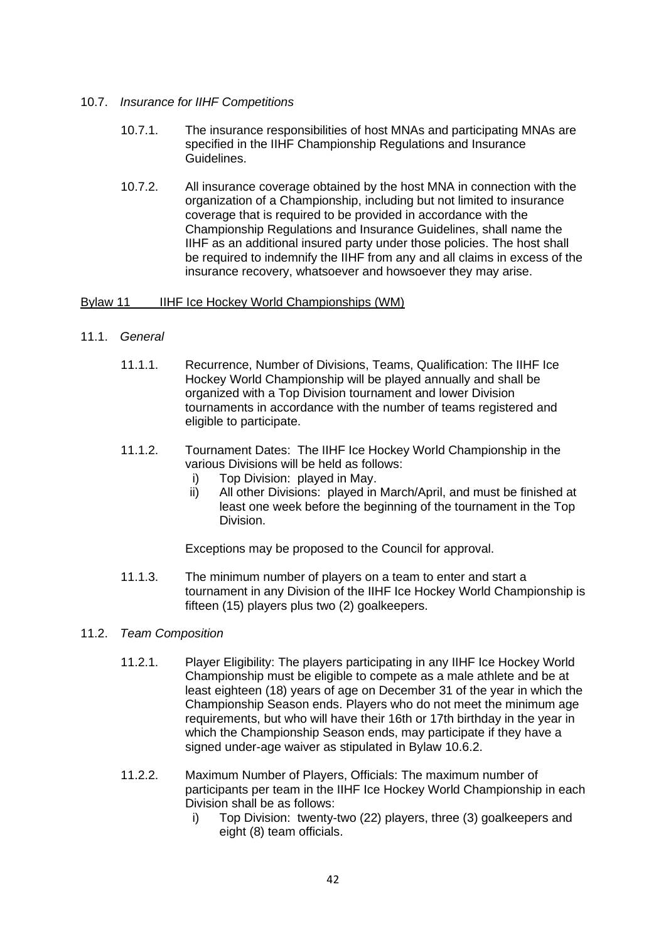### 10.7. *Insurance for IIHF Competitions*

- 10.7.1. The insurance responsibilities of host MNAs and participating MNAs are specified in the IIHF Championship Regulations and Insurance Guidelines.
- 10.7.2. All insurance coverage obtained by the host MNA in connection with the organization of a Championship, including but not limited to insurance coverage that is required to be provided in accordance with the Championship Regulations and Insurance Guidelines, shall name the IIHF as an additional insured party under those policies. The host shall be required to indemnify the IIHF from any and all claims in excess of the insurance recovery, whatsoever and howsoever they may arise.

### <span id="page-42-0"></span>Bylaw 11 IIHF Ice Hockey World Championships (WM)

# 11.1. *General*

- 11.1.1. Recurrence, Number of Divisions, Teams, Qualification: The IIHF Ice Hockey World Championship will be played annually and shall be organized with a Top Division tournament and lower Division tournaments in accordance with the number of teams registered and eligible to participate.
- 11.1.2. Tournament Dates: The IIHF Ice Hockey World Championship in the various Divisions will be held as follows:
	- i) Top Division: played in May.
	- ii) All other Divisions: played in March/April, and must be finished at least one week before the beginning of the tournament in the Top Division.

Exceptions may be proposed to the Council for approval.

11.1.3. The minimum number of players on a team to enter and start a tournament in any Division of the IIHF Ice Hockey World Championship is fifteen (15) players plus two (2) goalkeepers.

# 11.2. *Team Composition*

- 11.2.1. Player Eligibility: The players participating in any IIHF Ice Hockey World Championship must be eligible to compete as a male athlete and be at least eighteen (18) years of age on December 31 of the year in which the Championship Season ends. Players who do not meet the minimum age requirements, but who will have their 16th or 17th birthday in the year in which the Championship Season ends, may participate if they have a signed under-age waiver as stipulated in Bylaw 10.6.2.
- 11.2.2. Maximum Number of Players, Officials: The maximum number of participants per team in the IIHF Ice Hockey World Championship in each Division shall be as follows:
	- i) Top Division: twenty-two (22) players, three (3) goalkeepers and eight (8) team officials.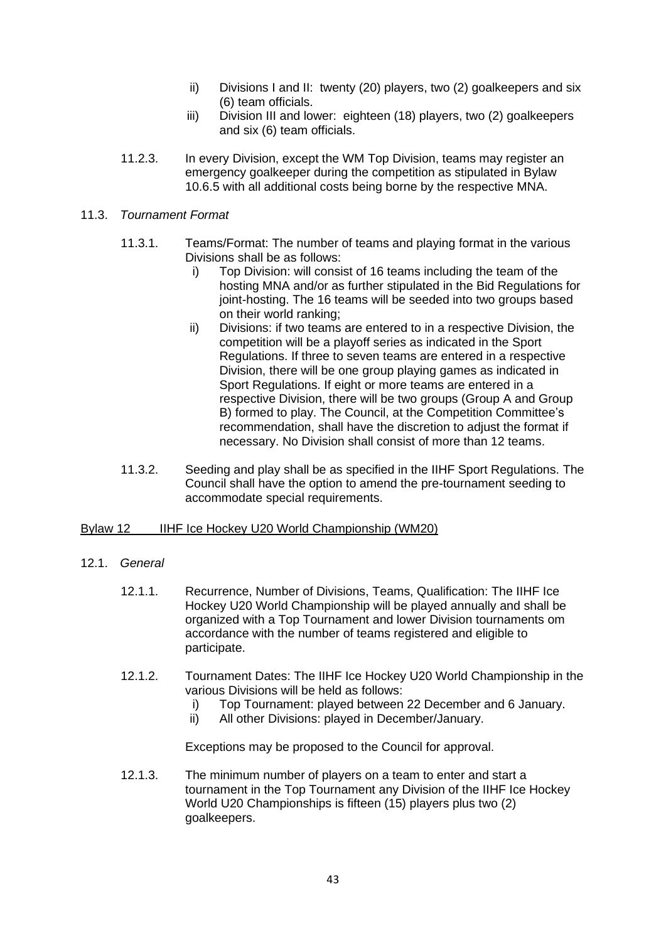- ii) Divisions I and II: twenty (20) players, two (2) goalkeepers and six (6) team officials.
- iii) Division III and lower: eighteen (18) players, two (2) goalkeepers and six (6) team officials.
- 11.2.3. In every Division, except the WM Top Division, teams may register an emergency goalkeeper during the competition as stipulated in Bylaw 10.6.5 with all additional costs being borne by the respective MNA.

### 11.3. *Tournament Format*

- 11.3.1. Teams/Format: The number of teams and playing format in the various Divisions shall be as follows:
	- i) Top Division: will consist of 16 teams including the team of the hosting MNA and/or as further stipulated in the Bid Regulations for joint-hosting. The 16 teams will be seeded into two groups based on their world ranking;
	- ii) Divisions: if two teams are entered to in a respective Division, the competition will be a playoff series as indicated in the Sport Regulations. If three to seven teams are entered in a respective Division, there will be one group playing games as indicated in Sport Regulations. If eight or more teams are entered in a respective Division, there will be two groups (Group A and Group B) formed to play. The Council, at the Competition Committee's recommendation, shall have the discretion to adjust the format if necessary. No Division shall consist of more than 12 teams.
- 11.3.2. Seeding and play shall be as specified in the IIHF Sport Regulations. The Council shall have the option to amend the pre-tournament seeding to accommodate special requirements.

# <span id="page-43-0"></span>Bylaw 12 IIHF Ice Hockey U20 World Championship (WM20)

- 12.1. *General*
	- 12.1.1. Recurrence, Number of Divisions, Teams, Qualification: The IIHF Ice Hockey U20 World Championship will be played annually and shall be organized with a Top Tournament and lower Division tournaments om accordance with the number of teams registered and eligible to participate.
	- 12.1.2. Tournament Dates: The IIHF Ice Hockey U20 World Championship in the various Divisions will be held as follows:
		- i) Top Tournament: played between 22 December and 6 January.
		- ii) All other Divisions: played in December/January.

Exceptions may be proposed to the Council for approval.

12.1.3. The minimum number of players on a team to enter and start a tournament in the Top Tournament any Division of the IIHF Ice Hockey World U20 Championships is fifteen (15) players plus two (2) goalkeepers.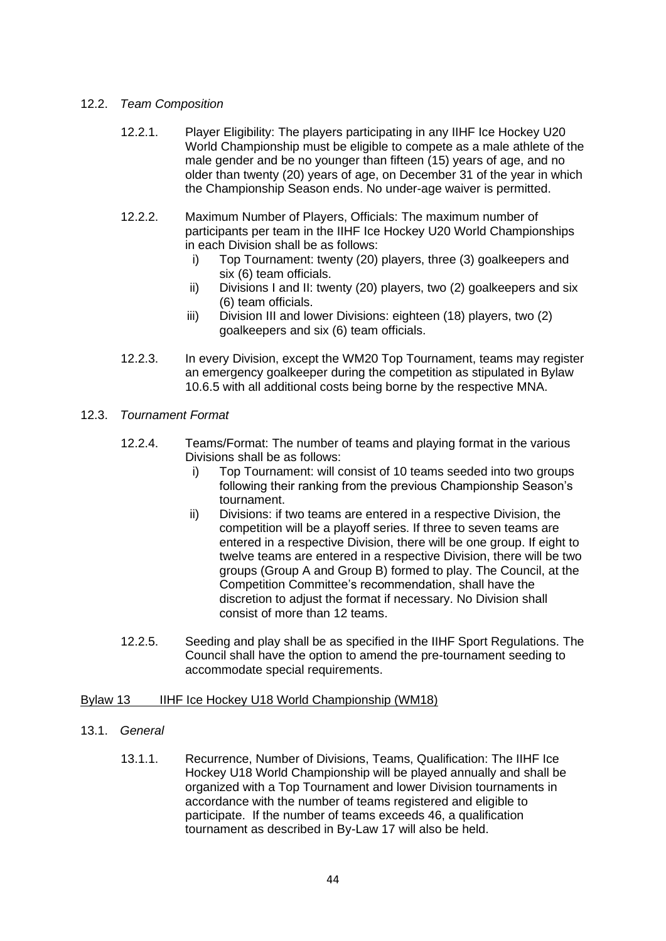# 12.2. *Team Composition*

- 12.2.1. Player Eligibility: The players participating in any IIHF Ice Hockey U20 World Championship must be eligible to compete as a male athlete of the male gender and be no younger than fifteen (15) years of age, and no older than twenty (20) years of age, on December 31 of the year in which the Championship Season ends. No under-age waiver is permitted.
- 12.2.2. Maximum Number of Players, Officials: The maximum number of participants per team in the IIHF Ice Hockey U20 World Championships in each Division shall be as follows:
	- i) Top Tournament: twenty (20) players, three (3) goalkeepers and six (6) team officials.
	- ii) Divisions I and II: twenty (20) players, two (2) goalkeepers and six (6) team officials.
	- iii) Division III and lower Divisions: eighteen (18) players, two (2) goalkeepers and six (6) team officials.
- 12.2.3. In every Division, except the WM20 Top Tournament, teams may register an emergency goalkeeper during the competition as stipulated in Bylaw 10.6.5 with all additional costs being borne by the respective MNA.
- 12.3. *Tournament Format*
	- 12.2.4. Teams/Format: The number of teams and playing format in the various Divisions shall be as follows:
		- i) Top Tournament: will consist of 10 teams seeded into two groups following their ranking from the previous Championship Season's tournament.
		- ii) Divisions: if two teams are entered in a respective Division, the competition will be a playoff series. If three to seven teams are entered in a respective Division, there will be one group. If eight to twelve teams are entered in a respective Division, there will be two groups (Group A and Group B) formed to play. The Council, at the Competition Committee's recommendation, shall have the discretion to adjust the format if necessary. No Division shall consist of more than 12 teams.
	- 12.2.5. Seeding and play shall be as specified in the IIHF Sport Regulations. The Council shall have the option to amend the pre-tournament seeding to accommodate special requirements.

# <span id="page-44-0"></span>Bylaw 13 IIHF Ice Hockey U18 World Championship (WM18)

- 13.1. *General*
	- 13.1.1. Recurrence, Number of Divisions, Teams, Qualification: The IIHF Ice Hockey U18 World Championship will be played annually and shall be organized with a Top Tournament and lower Division tournaments in accordance with the number of teams registered and eligible to participate. If the number of teams exceeds 46, a qualification tournament as described in By-Law 17 will also be held.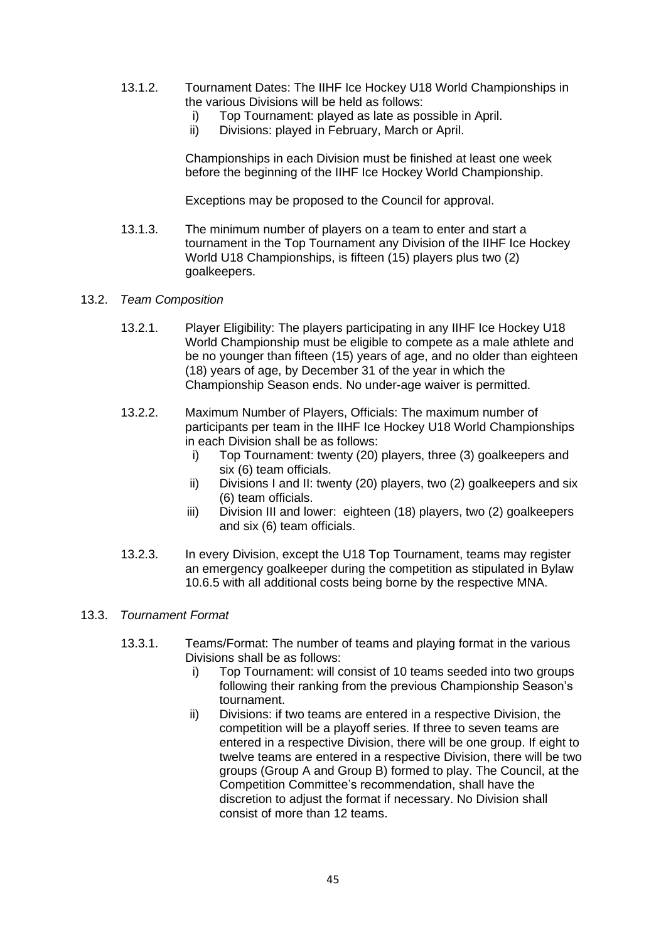- 13.1.2. Tournament Dates: The IIHF Ice Hockey U18 World Championships in the various Divisions will be held as follows:
	- i) Top Tournament: played as late as possible in April.<br>ii) Divisions: played in February. March or April.
	- Divisions: played in February, March or April.

Championships in each Division must be finished at least one week before the beginning of the IIHF Ice Hockey World Championship.

Exceptions may be proposed to the Council for approval.

- 13.1.3. The minimum number of players on a team to enter and start a tournament in the Top Tournament any Division of the IIHF Ice Hockey World U18 Championships, is fifteen (15) players plus two (2) goalkeepers.
- 13.2. *Team Composition*
	- 13.2.1. Player Eligibility: The players participating in any IIHF Ice Hockey U18 World Championship must be eligible to compete as a male athlete and be no younger than fifteen (15) years of age, and no older than eighteen (18) years of age, by December 31 of the year in which the Championship Season ends. No under-age waiver is permitted.
	- 13.2.2. Maximum Number of Players, Officials: The maximum number of participants per team in the IIHF Ice Hockey U18 World Championships in each Division shall be as follows:
		- i) Top Tournament: twenty (20) players, three (3) goalkeepers and six (6) team officials.
		- ii) Divisions I and II: twenty (20) players, two (2) goalkeepers and six (6) team officials.
		- iii) Division III and lower: eighteen (18) players, two (2) goalkeepers and six (6) team officials.
	- 13.2.3. In every Division, except the U18 Top Tournament, teams may register an emergency goalkeeper during the competition as stipulated in Bylaw 10.6.5 with all additional costs being borne by the respective MNA.

# 13.3. *Tournament Format*

- 13.3.1. Teams/Format: The number of teams and playing format in the various Divisions shall be as follows:
	- i) Top Tournament: will consist of 10 teams seeded into two groups following their ranking from the previous Championship Season's tournament.
	- ii) Divisions: if two teams are entered in a respective Division, the competition will be a playoff series. If three to seven teams are entered in a respective Division, there will be one group. If eight to twelve teams are entered in a respective Division, there will be two groups (Group A and Group B) formed to play. The Council, at the Competition Committee's recommendation, shall have the discretion to adjust the format if necessary. No Division shall consist of more than 12 teams.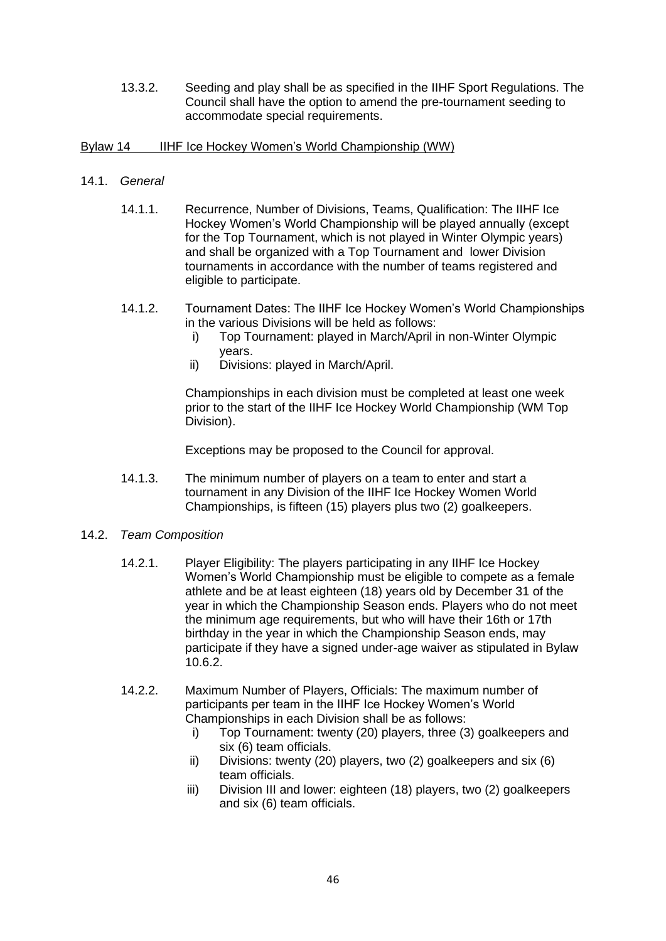13.3.2. Seeding and play shall be as specified in the IIHF Sport Regulations. The Council shall have the option to amend the pre-tournament seeding to accommodate special requirements.

# <span id="page-46-0"></span>Bylaw 14 IIHF Ice Hockey Women's World Championship (WW)

- 14.1. *General*
	- 14.1.1. Recurrence, Number of Divisions, Teams, Qualification: The IIHF Ice Hockey Women's World Championship will be played annually (except for the Top Tournament, which is not played in Winter Olympic years) and shall be organized with a Top Tournament and lower Division tournaments in accordance with the number of teams registered and eligible to participate.
	- 14.1.2. Tournament Dates: The IIHF Ice Hockey Women's World Championships in the various Divisions will be held as follows:
		- i) Top Tournament: played in March/April in non-Winter Olympic years.
		- ii) Divisions: played in March/April.

Championships in each division must be completed at least one week prior to the start of the IIHF Ice Hockey World Championship (WM Top Division).

Exceptions may be proposed to the Council for approval.

- 14.1.3. The minimum number of players on a team to enter and start a tournament in any Division of the IIHF Ice Hockey Women World Championships, is fifteen (15) players plus two (2) goalkeepers.
- 14.2. *Team Composition*
	- 14.2.1. Player Eligibility: The players participating in any IIHF Ice Hockey Women's World Championship must be eligible to compete as a female athlete and be at least eighteen (18) years old by December 31 of the year in which the Championship Season ends. Players who do not meet the minimum age requirements, but who will have their 16th or 17th birthday in the year in which the Championship Season ends, may participate if they have a signed under-age waiver as stipulated in Bylaw 10.6.2.
	- 14.2.2. Maximum Number of Players, Officials: The maximum number of participants per team in the IIHF Ice Hockey Women's World Championships in each Division shall be as follows:
		- i) Top Tournament: twenty (20) players, three (3) goalkeepers and six (6) team officials.
		- ii) Divisions: twenty (20) players, two (2) goalkeepers and six (6) team officials.
		- iii) Division III and lower: eighteen (18) players, two (2) goalkeepers and six (6) team officials.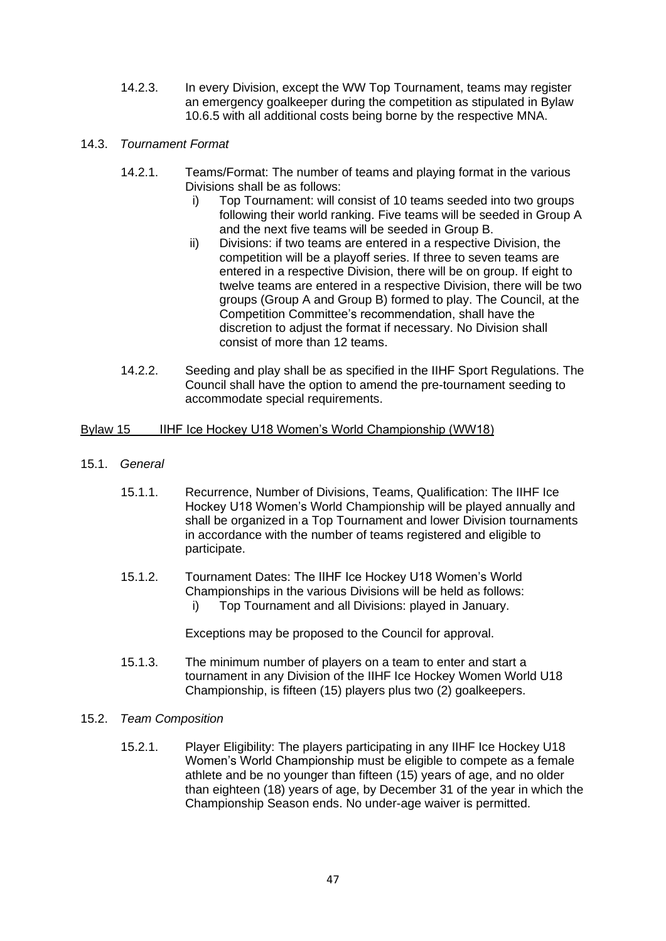- 14.2.3. In every Division, except the WW Top Tournament, teams may register an emergency goalkeeper during the competition as stipulated in Bylaw 10.6.5 with all additional costs being borne by the respective MNA.
- 14.3. *Tournament Format* 
	- 14.2.1. Teams/Format: The number of teams and playing format in the various Divisions shall be as follows:
		- i) Top Tournament: will consist of 10 teams seeded into two groups following their world ranking. Five teams will be seeded in Group A and the next five teams will be seeded in Group B.
		- ii) Divisions: if two teams are entered in a respective Division, the competition will be a playoff series. If three to seven teams are entered in a respective Division, there will be on group. If eight to twelve teams are entered in a respective Division, there will be two groups (Group A and Group B) formed to play. The Council, at the Competition Committee's recommendation, shall have the discretion to adjust the format if necessary. No Division shall consist of more than 12 teams.
	- 14.2.2. Seeding and play shall be as specified in the IIHF Sport Regulations. The Council shall have the option to amend the pre-tournament seeding to accommodate special requirements.

# <span id="page-47-0"></span>Bylaw 15 IIHF Ice Hockey U18 Women's World Championship (WW18)

- 15.1. *General*
	- 15.1.1. Recurrence, Number of Divisions, Teams, Qualification: The IIHF Ice Hockey U18 Women's World Championship will be played annually and shall be organized in a Top Tournament and lower Division tournaments in accordance with the number of teams registered and eligible to participate.
	- 15.1.2. Tournament Dates: The IIHF Ice Hockey U18 Women's World Championships in the various Divisions will be held as follows: i) Top Tournament and all Divisions: played in January.

Exceptions may be proposed to the Council for approval.

- 15.1.3. The minimum number of players on a team to enter and start a tournament in any Division of the IIHF Ice Hockey Women World U18 Championship, is fifteen (15) players plus two (2) goalkeepers.
- 15.2. *Team Composition*
	- 15.2.1. Player Eligibility: The players participating in any IIHF Ice Hockey U18 Women's World Championship must be eligible to compete as a female athlete and be no younger than fifteen (15) years of age, and no older than eighteen (18) years of age, by December 31 of the year in which the Championship Season ends. No under-age waiver is permitted.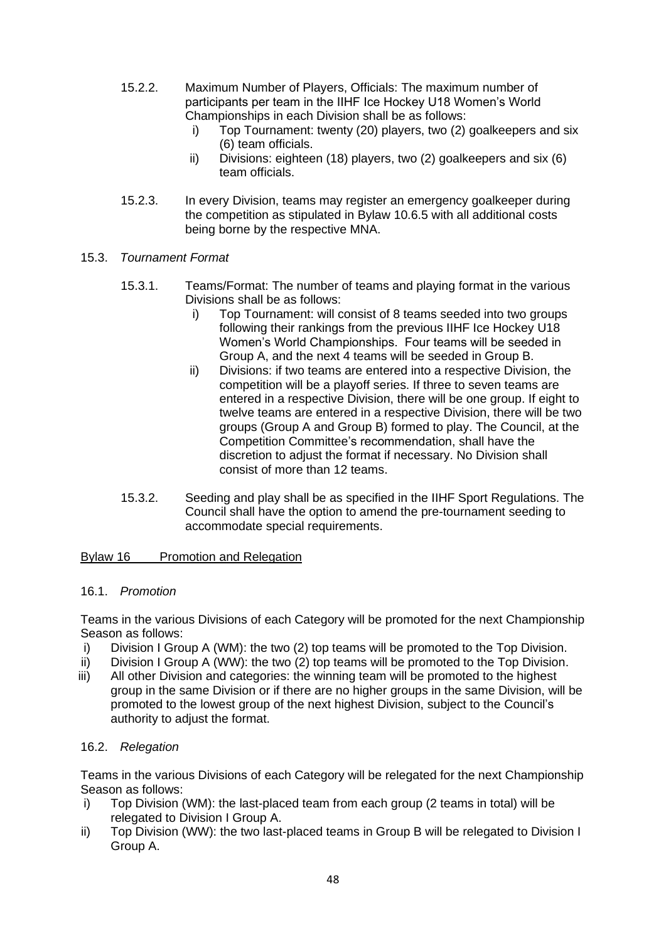- 15.2.2. Maximum Number of Players, Officials: The maximum number of participants per team in the IIHF Ice Hockey U18 Women's World Championships in each Division shall be as follows:
	- i) Top Tournament: twenty (20) players, two (2) goalkeepers and six (6) team officials.
	- ii) Divisions: eighteen (18) players, two (2) goalkeepers and six (6) team officials.
- 15.2.3. In every Division, teams may register an emergency goalkeeper during the competition as stipulated in Bylaw 10.6.5 with all additional costs being borne by the respective MNA.
- 15.3. *Tournament Format* 
	- 15.3.1. Teams/Format: The number of teams and playing format in the various Divisions shall be as follows:
		- i) Top Tournament: will consist of 8 teams seeded into two groups following their rankings from the previous IIHF Ice Hockey U18 Women's World Championships. Four teams will be seeded in Group A, and the next 4 teams will be seeded in Group B.
		- ii) Divisions: if two teams are entered into a respective Division, the competition will be a playoff series. If three to seven teams are entered in a respective Division, there will be one group. If eight to twelve teams are entered in a respective Division, there will be two groups (Group A and Group B) formed to play. The Council, at the Competition Committee's recommendation, shall have the discretion to adjust the format if necessary. No Division shall consist of more than 12 teams.
	- 15.3.2. Seeding and play shall be as specified in the IIHF Sport Regulations. The Council shall have the option to amend the pre-tournament seeding to accommodate special requirements.

# <span id="page-48-0"></span>Bylaw 16 Promotion and Relegation

# 16.1. *Promotion*

Teams in the various Divisions of each Category will be promoted for the next Championship Season as follows:

- i) Division I Group A (WM): the two (2) top teams will be promoted to the Top Division.
- ii) Division I Group A (WW): the two (2) top teams will be promoted to the Top Division.
- iii) All other Division and categories: the winning team will be promoted to the highest group in the same Division or if there are no higher groups in the same Division, will be promoted to the lowest group of the next highest Division, subject to the Council's authority to adjust the format.

# 16.2. *Relegation*

Teams in the various Divisions of each Category will be relegated for the next Championship Season as follows:

- i) Top Division (WM): the last-placed team from each group (2 teams in total) will be relegated to Division I Group A.
- ii) Top Division (WW): the two last-placed teams in Group B will be relegated to Division I Group A.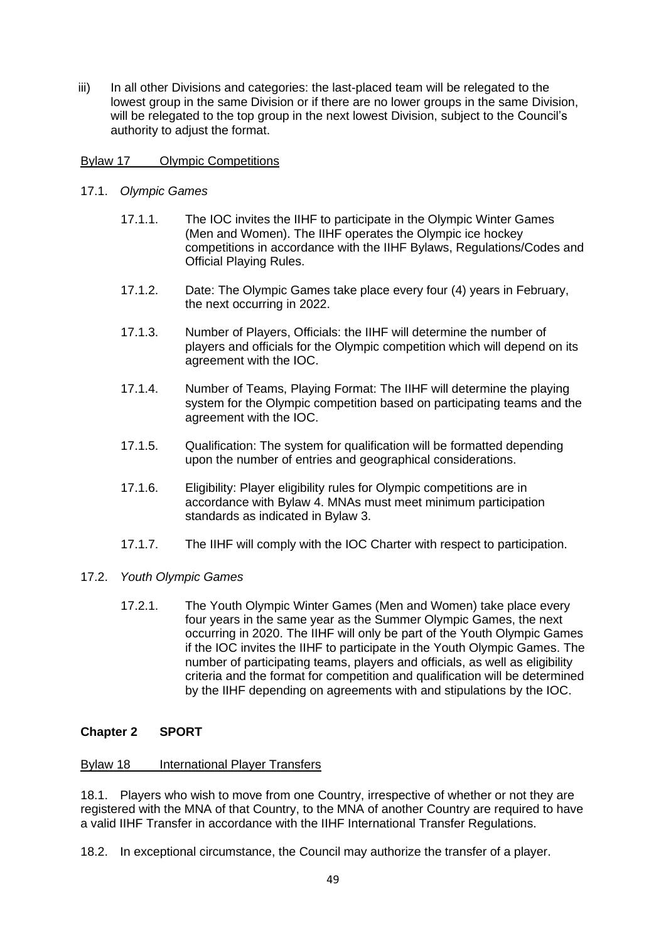iii) In all other Divisions and categories: the last-placed team will be relegated to the lowest group in the same Division or if there are no lower groups in the same Division, will be relegated to the top group in the next lowest Division, subject to the Council's authority to adjust the format.

# <span id="page-49-0"></span>Bylaw 17 Olympic Competitions

- 17.1. *Olympic Games*
	- 17.1.1. The IOC invites the IIHF to participate in the Olympic Winter Games (Men and Women). The IIHF operates the Olympic ice hockey competitions in accordance with the IIHF Bylaws, Regulations/Codes and Official Playing Rules.
	- 17.1.2. Date: The Olympic Games take place every four (4) years in February, the next occurring in 2022.
	- 17.1.3. Number of Players, Officials: the IIHF will determine the number of players and officials for the Olympic competition which will depend on its agreement with the IOC.
	- 17.1.4. Number of Teams, Playing Format: The IIHF will determine the playing system for the Olympic competition based on participating teams and the agreement with the IOC.
	- 17.1.5. Qualification: The system for qualification will be formatted depending upon the number of entries and geographical considerations.
	- 17.1.6. Eligibility: Player eligibility rules for Olympic competitions are in accordance with Bylaw 4. MNAs must meet minimum participation standards as indicated in Bylaw 3.
	- 17.1.7. The IIHF will comply with the IOC Charter with respect to participation.

# 17.2. *Youth Olympic Games*

17.2.1. The Youth Olympic Winter Games (Men and Women) take place every four years in the same year as the Summer Olympic Games, the next occurring in 2020. The IIHF will only be part of the Youth Olympic Games if the IOC invites the IIHF to participate in the Youth Olympic Games. The number of participating teams, players and officials, as well as eligibility criteria and the format for competition and qualification will be determined by the IIHF depending on agreements with and stipulations by the IOC.

# <span id="page-49-1"></span>**Chapter 2 SPORT**

# <span id="page-49-2"></span>Bylaw 18 International Player Transfers

18.1. Players who wish to move from one Country, irrespective of whether or not they are registered with the MNA of that Country, to the MNA of another Country are required to have a valid IIHF Transfer in accordance with the IIHF International Transfer Regulations.

18.2. In exceptional circumstance, the Council may authorize the transfer of a player.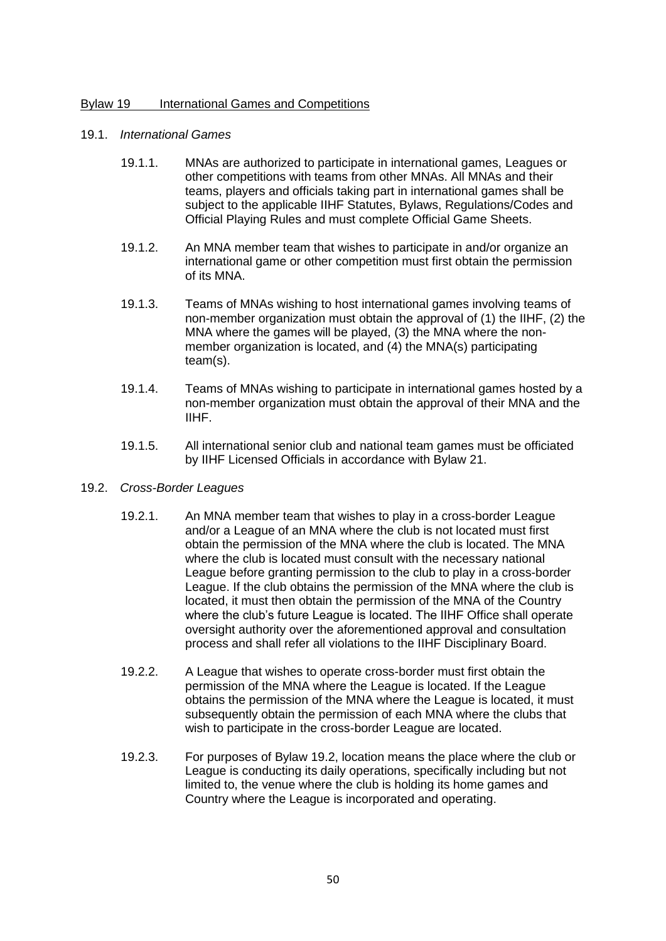### <span id="page-50-0"></span>Bylaw 19 International Games and Competitions

### 19.1. *International Games*

- 19.1.1. MNAs are authorized to participate in international games, Leagues or other competitions with teams from other MNAs. All MNAs and their teams, players and officials taking part in international games shall be subject to the applicable IIHF Statutes, Bylaws, Regulations/Codes and Official Playing Rules and must complete Official Game Sheets.
- 19.1.2. An MNA member team that wishes to participate in and/or organize an international game or other competition must first obtain the permission of its MNA.
- 19.1.3. Teams of MNAs wishing to host international games involving teams of non-member organization must obtain the approval of (1) the IIHF, (2) the MNA where the games will be played, (3) the MNA where the nonmember organization is located, and (4) the MNA(s) participating team(s).
- 19.1.4. Teams of MNAs wishing to participate in international games hosted by a non-member organization must obtain the approval of their MNA and the IIHF.
- 19.1.5. All international senior club and national team games must be officiated by IIHF Licensed Officials in accordance with Bylaw 21.
- <span id="page-50-1"></span>19.2. *Cross-Border Leagues*
	- 19.2.1. An MNA member team that wishes to play in a cross-border League and/or a League of an MNA where the club is not located must first obtain the permission of the MNA where the club is located. The MNA where the club is located must consult with the necessary national League before granting permission to the club to play in a cross-border League. If the club obtains the permission of the MNA where the club is located, it must then obtain the permission of the MNA of the Country where the club's future League is located. The IIHF Office shall operate oversight authority over the aforementioned approval and consultation process and shall refer all violations to the IIHF Disciplinary Board.
	- 19.2.2. A League that wishes to operate cross-border must first obtain the permission of the MNA where the League is located. If the League obtains the permission of the MNA where the League is located, it must subsequently obtain the permission of each MNA where the clubs that wish to participate in the cross-border League are located.
	- 19.2.3. For purposes of Bylaw 19.2, location means the place where the club or League is conducting its daily operations, specifically including but not limited to, the venue where the club is holding its home games and Country where the League is incorporated and operating.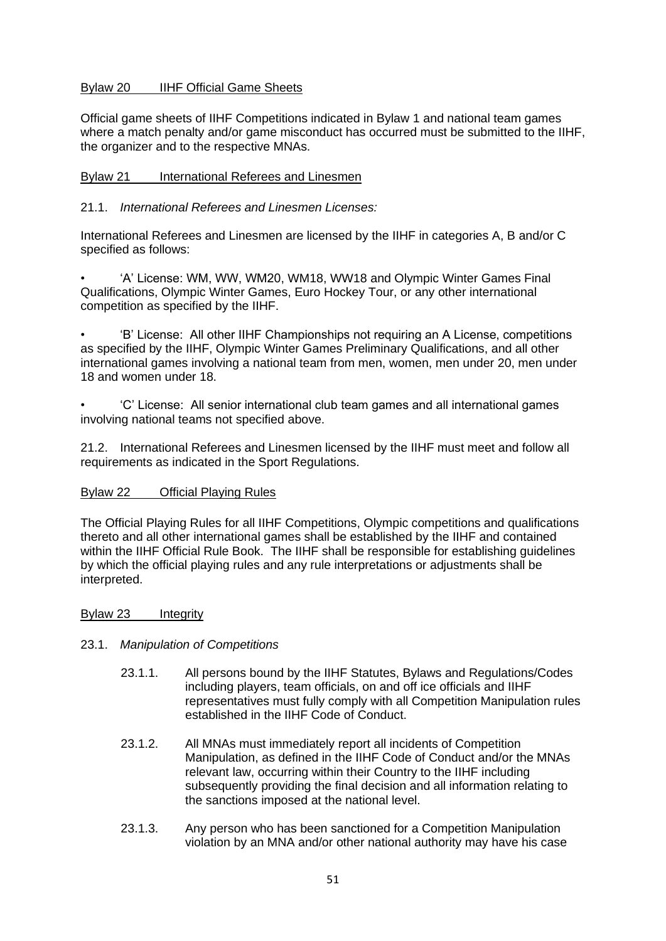# Bylaw 20 IIHF Official Game Sheets

Official game sheets of IIHF Competitions indicated in Bylaw 1 and national team games where a match penalty and/or game misconduct has occurred must be submitted to the IIHF, the organizer and to the respective MNAs.

# <span id="page-51-0"></span>Bylaw 21 International Referees and Linesmen

# 21.1. *International Referees and Linesmen Licenses:*

International Referees and Linesmen are licensed by the IIHF in categories A, B and/or C specified as follows:

• 'A' License: WM, WW, WM20, WM18, WW18 and Olympic Winter Games Final Qualifications, Olympic Winter Games, Euro Hockey Tour, or any other international competition as specified by the IIHF.

• 'B' License: All other IIHF Championships not requiring an A License, competitions as specified by the IIHF, Olympic Winter Games Preliminary Qualifications, and all other international games involving a national team from men, women, men under 20, men under 18 and women under 18.

• 'C' License: All senior international club team games and all international games involving national teams not specified above.

21.2. International Referees and Linesmen licensed by the IIHF must meet and follow all requirements as indicated in the Sport Regulations.

# <span id="page-51-1"></span>Bylaw 22 Official Playing Rules

The Official Playing Rules for all IIHF Competitions, Olympic competitions and qualifications thereto and all other international games shall be established by the IIHF and contained within the IIHF Official Rule Book. The IIHF shall be responsible for establishing guidelines by which the official playing rules and any rule interpretations or adjustments shall be interpreted.

### <span id="page-51-2"></span>Bylaw 23 Integrity

# 23.1. *Manipulation of Competitions*

- 23.1.1. All persons bound by the IIHF Statutes, Bylaws and Regulations/Codes including players, team officials, on and off ice officials and IIHF representatives must fully comply with all Competition Manipulation rules established in the IIHF Code of Conduct.
- 23.1.2. All MNAs must immediately report all incidents of Competition Manipulation, as defined in the IIHF Code of Conduct and/or the MNAs relevant law, occurring within their Country to the IIHF including subsequently providing the final decision and all information relating to the sanctions imposed at the national level.
- 23.1.3. Any person who has been sanctioned for a Competition Manipulation violation by an MNA and/or other national authority may have his case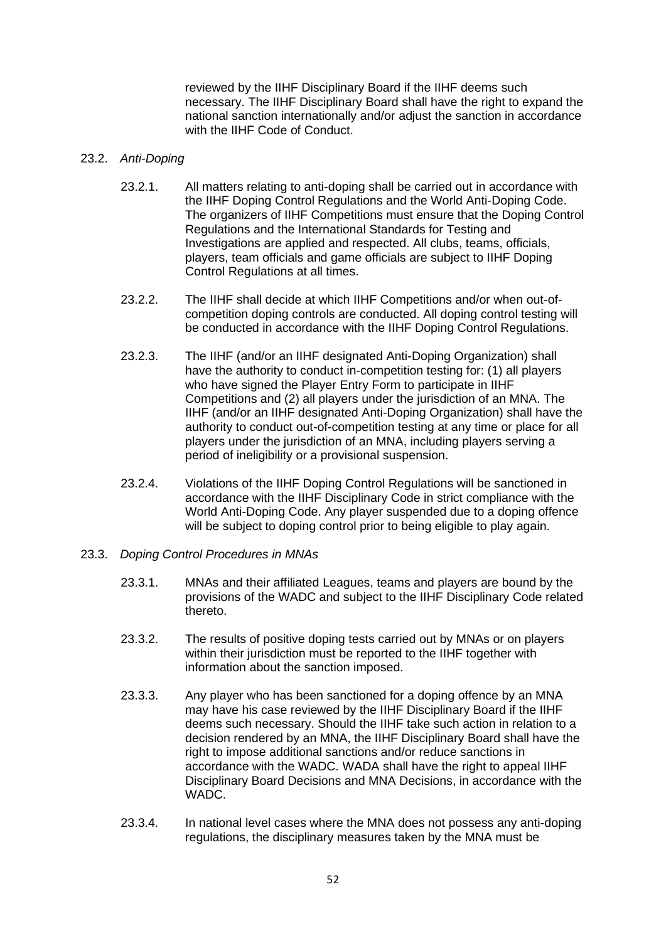reviewed by the IIHF Disciplinary Board if the IIHF deems such necessary. The IIHF Disciplinary Board shall have the right to expand the national sanction internationally and/or adjust the sanction in accordance with the IIHF Code of Conduct.

### 23.2. *Anti-Doping*

- 23.2.1. All matters relating to anti-doping shall be carried out in accordance with the IIHF Doping Control Regulations and the World Anti-Doping Code. The organizers of IIHF Competitions must ensure that the Doping Control Regulations and the International Standards for Testing and Investigations are applied and respected. All clubs, teams, officials, players, team officials and game officials are subject to IIHF Doping Control Regulations at all times.
- 23.2.2. The IIHF shall decide at which IIHF Competitions and/or when out-ofcompetition doping controls are conducted. All doping control testing will be conducted in accordance with the IIHF Doping Control Regulations.
- 23.2.3. The IIHF (and/or an IIHF designated Anti-Doping Organization) shall have the authority to conduct in-competition testing for: (1) all players who have signed the Player Entry Form to participate in IIHF Competitions and (2) all players under the jurisdiction of an MNA. The IIHF (and/or an IIHF designated Anti-Doping Organization) shall have the authority to conduct out-of-competition testing at any time or place for all players under the jurisdiction of an MNA, including players serving a period of ineligibility or a provisional suspension.
- 23.2.4. Violations of the IIHF Doping Control Regulations will be sanctioned in accordance with the IIHF Disciplinary Code in strict compliance with the World Anti-Doping Code. Any player suspended due to a doping offence will be subject to doping control prior to being eligible to play again.
- 23.3. *Doping Control Procedures in MNAs*
	- 23.3.1. MNAs and their affiliated Leagues, teams and players are bound by the provisions of the WADC and subject to the IIHF Disciplinary Code related thereto.
	- 23.3.2. The results of positive doping tests carried out by MNAs or on players within their jurisdiction must be reported to the IIHF together with information about the sanction imposed.
	- 23.3.3. Any player who has been sanctioned for a doping offence by an MNA may have his case reviewed by the IIHF Disciplinary Board if the IIHF deems such necessary. Should the IIHF take such action in relation to a decision rendered by an MNA, the IIHF Disciplinary Board shall have the right to impose additional sanctions and/or reduce sanctions in accordance with the WADC. WADA shall have the right to appeal IIHF Disciplinary Board Decisions and MNA Decisions, in accordance with the WADC.
	- 23.3.4. In national level cases where the MNA does not possess any anti-doping regulations, the disciplinary measures taken by the MNA must be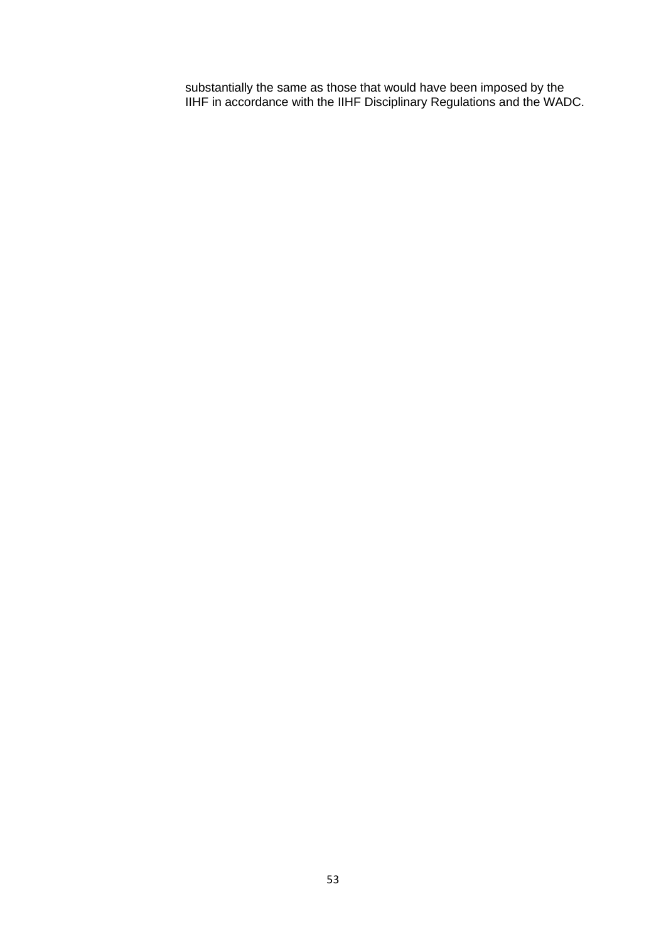substantially the same as those that would have been imposed by the IIHF in accordance with the IIHF Disciplinary Regulations and the WADC.